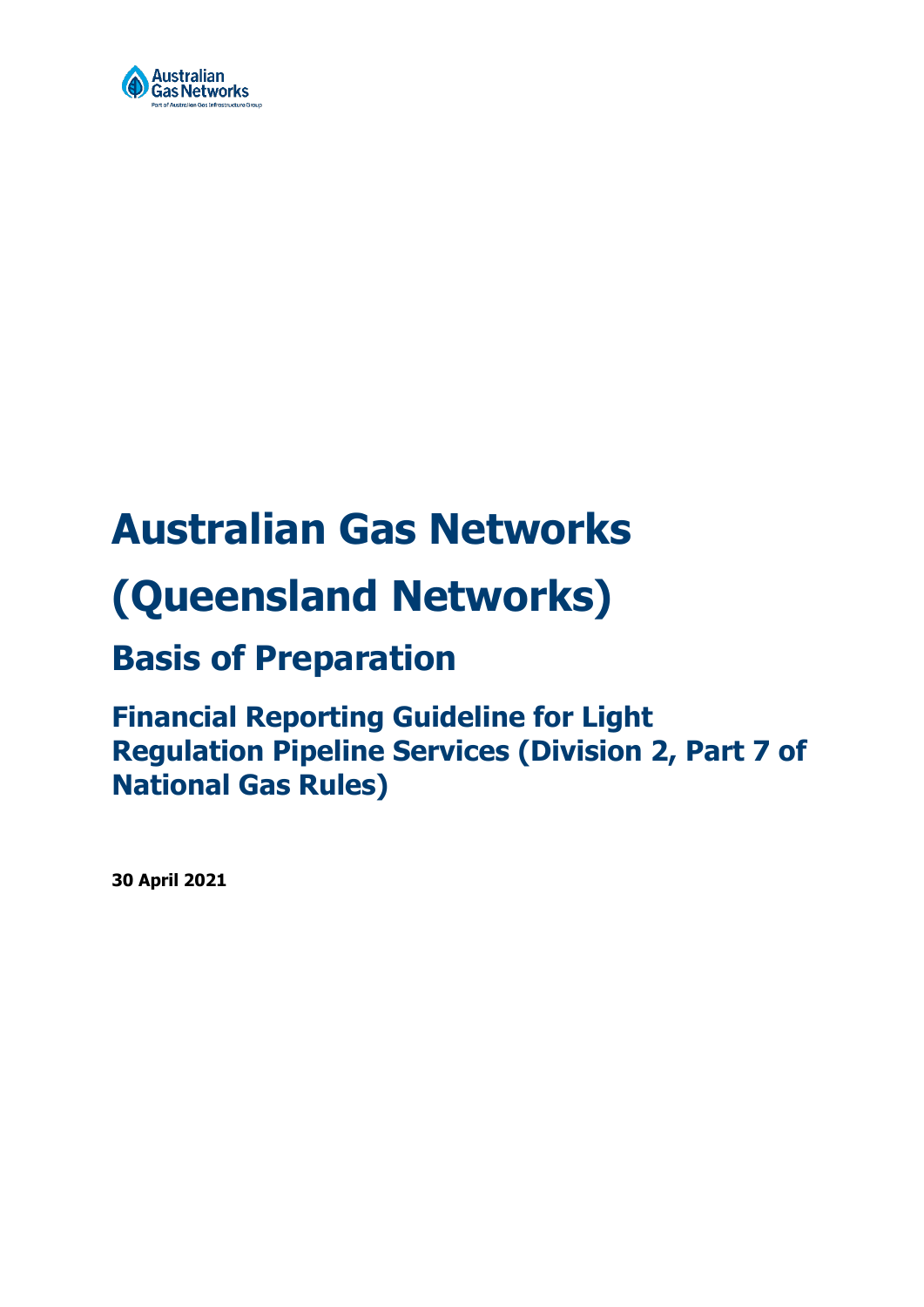

# **Australian Gas Networks (Queensland Networks)**

## **Basis of Preparation**

## **Financial Reporting Guideline for Light Regulation Pipeline Services (Division 2, Part 7 of National Gas Rules)**

**30 April 2021**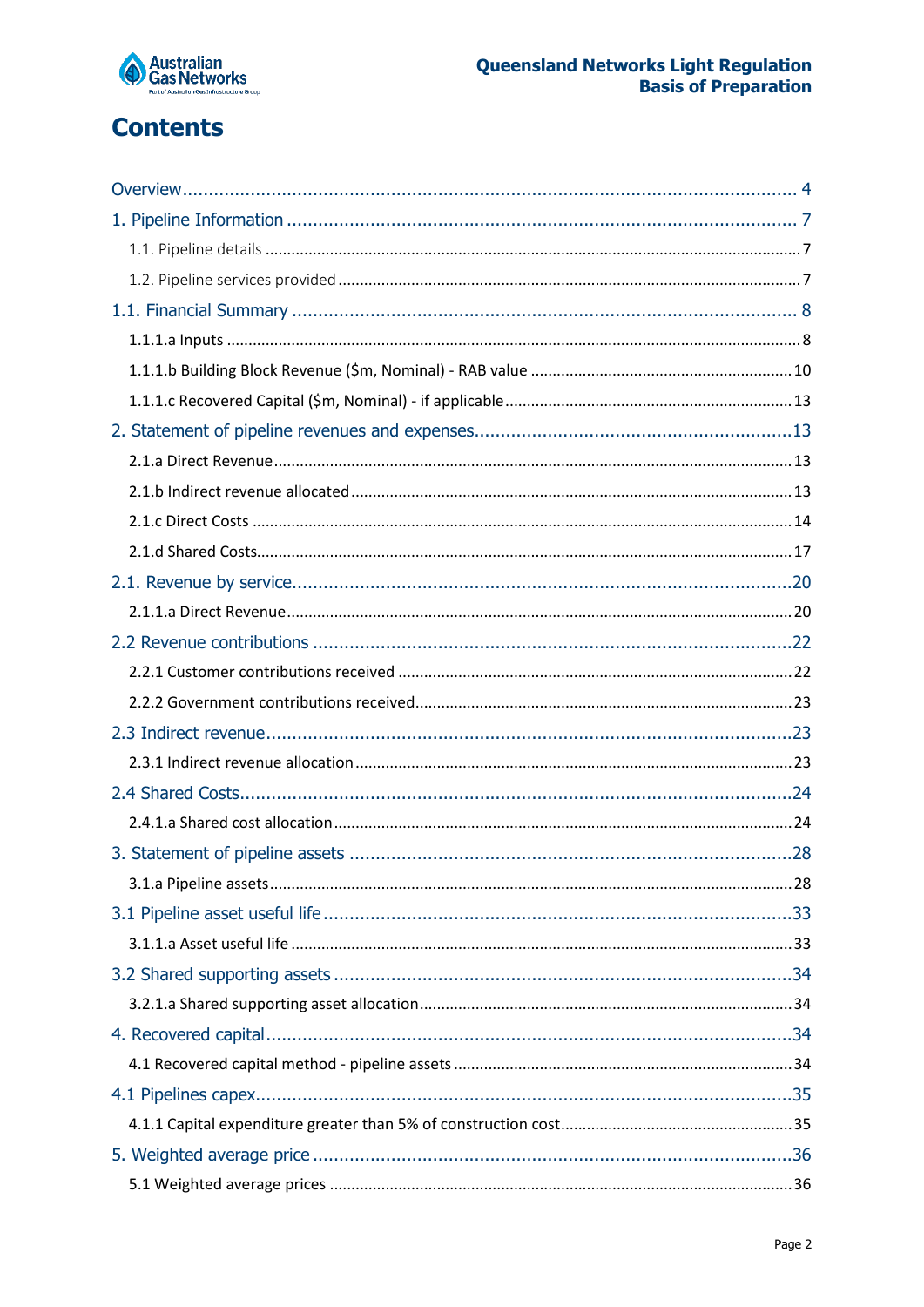

## **Contents**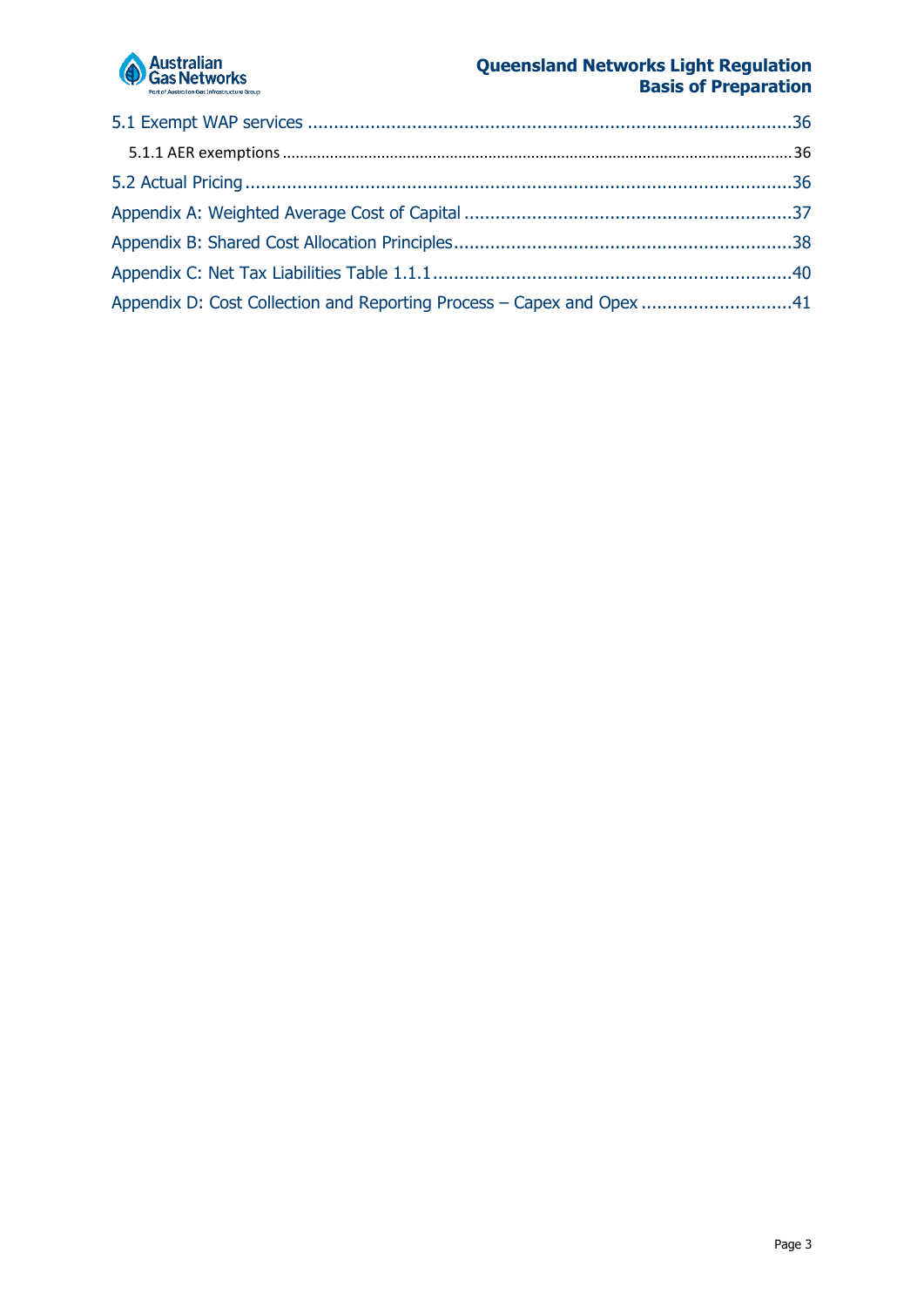

| Appendix D: Cost Collection and Reporting Process - Capex and Opex 41 |  |
|-----------------------------------------------------------------------|--|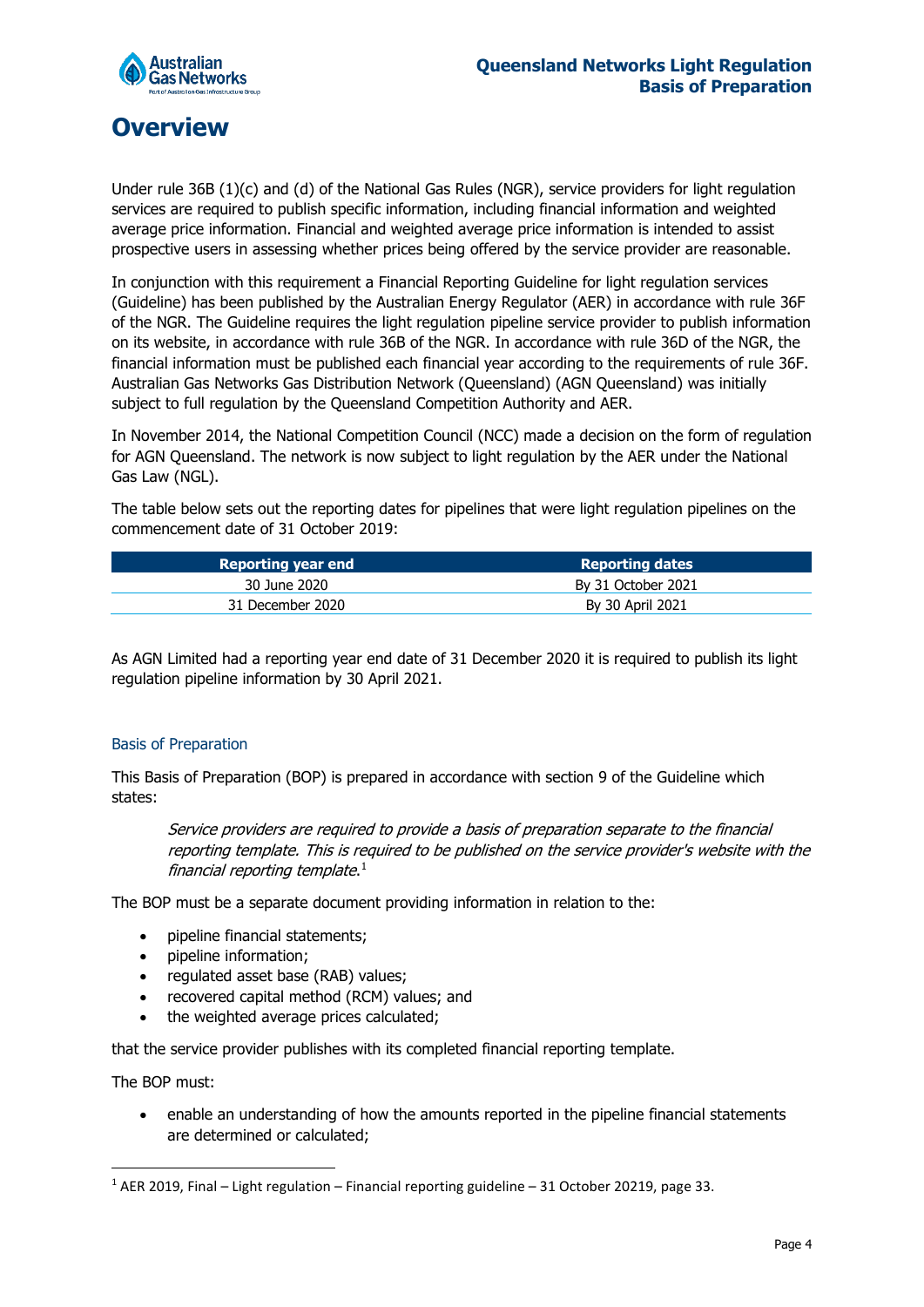

## <span id="page-3-0"></span>**Overview**

Under rule 36B (1)(c) and (d) of the National Gas Rules (NGR), service providers for light regulation services are required to publish specific information, including financial information and weighted average price information. Financial and weighted average price information is intended to assist prospective users in assessing whether prices being offered by the service provider are reasonable.

In conjunction with this requirement a Financial Reporting Guideline for light regulation services (Guideline) has been published by the Australian Energy Regulator (AER) in accordance with rule 36F of the NGR. The Guideline requires the light regulation pipeline service provider to publish information on its website, in accordance with rule 36B of the NGR. In accordance with rule 36D of the NGR, the financial information must be published each financial year according to the requirements of rule 36F. Australian Gas Networks Gas Distribution Network (Queensland) (AGN Queensland) was initially subject to full regulation by the Queensland Competition Authority and AER.

In November 2014, the National Competition Council (NCC) made a decision on the form of regulation for AGN Queensland. The network is now subject to light regulation by the AER under the National Gas Law (NGL).

The table below sets out the reporting dates for pipelines that were light regulation pipelines on the commencement date of 31 October 2019:

| Reporting year end | <b>Reporting dates</b> |
|--------------------|------------------------|
| 30 June 2020       | By 31 October 2021     |
| 31 December 2020   | By 30 April 2021       |

As AGN Limited had a reporting year end date of 31 December 2020 it is required to publish its light regulation pipeline information by 30 April 2021.

#### Basis of Preparation

This Basis of Preparation (BOP) is prepared in accordance with section 9 of the Guideline which states:

Service providers are required to provide a basis of preparation separate to the financial reporting template. This is required to be published on the service provider's website with the financial reporting template. $1$ 

The BOP must be a separate document providing information in relation to the:

- pipeline financial statements;
- pipeline information;
- regulated asset base (RAB) values;
- recovered capital method (RCM) values; and
- the weighted average prices calculated;

that the service provider publishes with its completed financial reporting template.

The BOP must:

• enable an understanding of how the amounts reported in the pipeline financial statements are determined or calculated;

<span id="page-3-1"></span> <sup>1</sup> AER 2019, Final – Light regulation – Financial reporting guideline – 31 October 20219, page 33.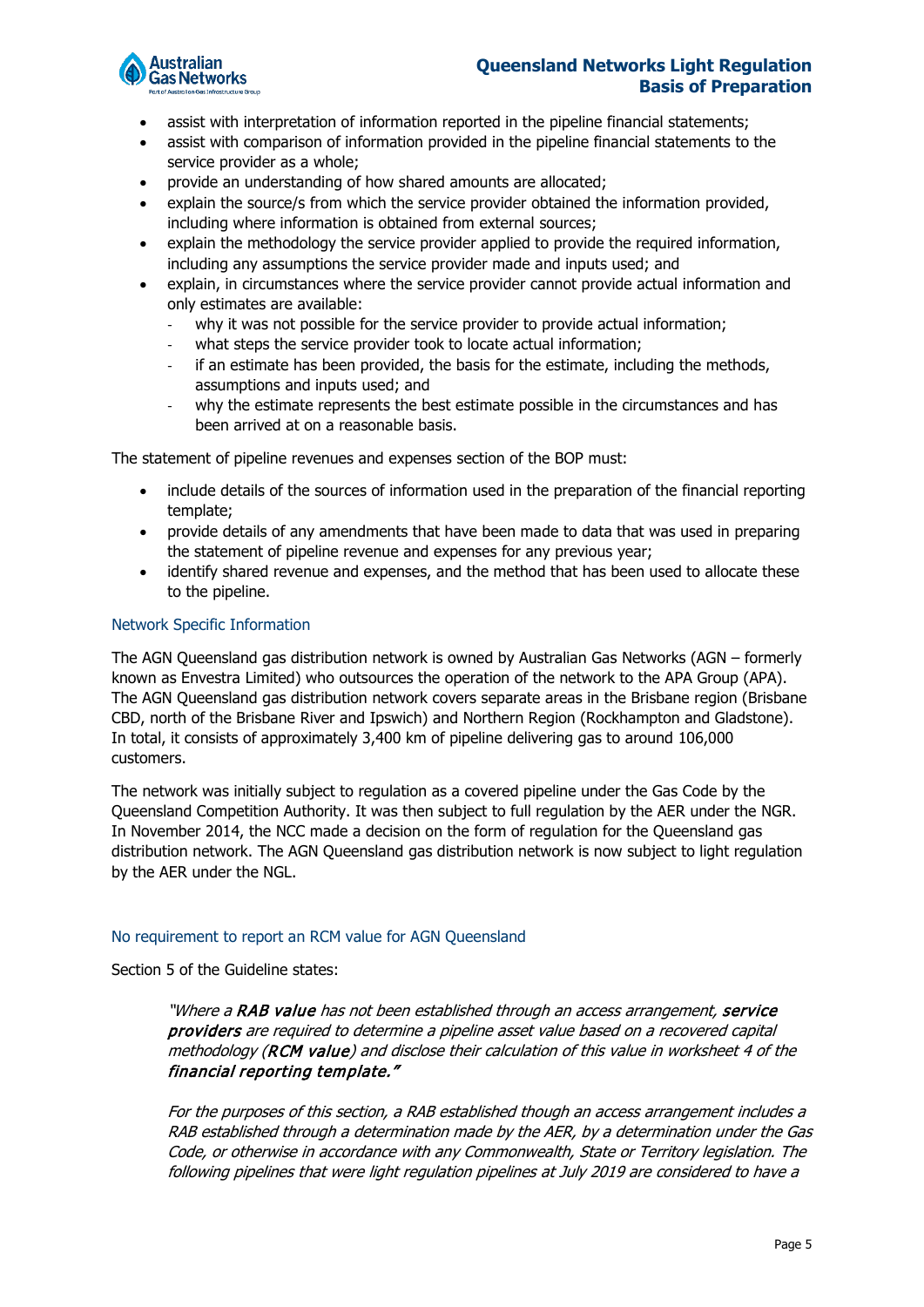

- assist with interpretation of information reported in the pipeline financial statements;
- assist with comparison of information provided in the pipeline financial statements to the service provider as a whole;
- provide an understanding of how shared amounts are allocated;
- explain the source/s from which the service provider obtained the information provided, including where information is obtained from external sources;
- explain the methodology the service provider applied to provide the required information, including any assumptions the service provider made and inputs used; and
- explain, in circumstances where the service provider cannot provide actual information and only estimates are available:
	- why it was not possible for the service provider to provide actual information;
	- what steps the service provider took to locate actual information;
	- if an estimate has been provided, the basis for the estimate, including the methods, assumptions and inputs used; and
	- why the estimate represents the best estimate possible in the circumstances and has been arrived at on a reasonable basis.

The statement of pipeline revenues and expenses section of the BOP must:

- include details of the sources of information used in the preparation of the financial reporting template;
- provide details of any amendments that have been made to data that was used in preparing the statement of pipeline revenue and expenses for any previous year;
- identify shared revenue and expenses, and the method that has been used to allocate these to the pipeline.

#### Network Specific Information

The AGN Queensland gas distribution network is owned by Australian Gas Networks (AGN – formerly known as Envestra Limited) who outsources the operation of the network to the APA Group (APA). The AGN Queensland gas distribution network covers separate areas in the Brisbane region (Brisbane CBD, north of the Brisbane River and Ipswich) and Northern Region (Rockhampton and Gladstone). In total, it consists of approximately 3,400 km of pipeline delivering gas to around 106,000 customers.

The network was initially subject to regulation as a covered pipeline under the Gas Code by the Queensland Competition Authority. It was then subject to full regulation by the AER under the NGR. In November 2014, the NCC made a decision on the form of regulation for the Queensland gas distribution network. The AGN Queensland gas distribution network is now subject to light regulation by the AER under the NGL.

#### No requirement to report an RCM value for AGN Queensland

Section 5 of the Guideline states:

"Where a RAB value has not been established through an access arrangement, service providers are required to determine a pipeline asset value based on a recovered capital methodology (RCM value) and disclose their calculation of this value in worksheet 4 of the financial reporting template."

For the purposes of this section, a RAB established though an access arrangement includes a RAB established through a determination made by the AER, by a determination under the Gas Code, or otherwise in accordance with any Commonwealth, State or Territory legislation. The following pipelines that were light regulation pipelines at July 2019 are considered to have a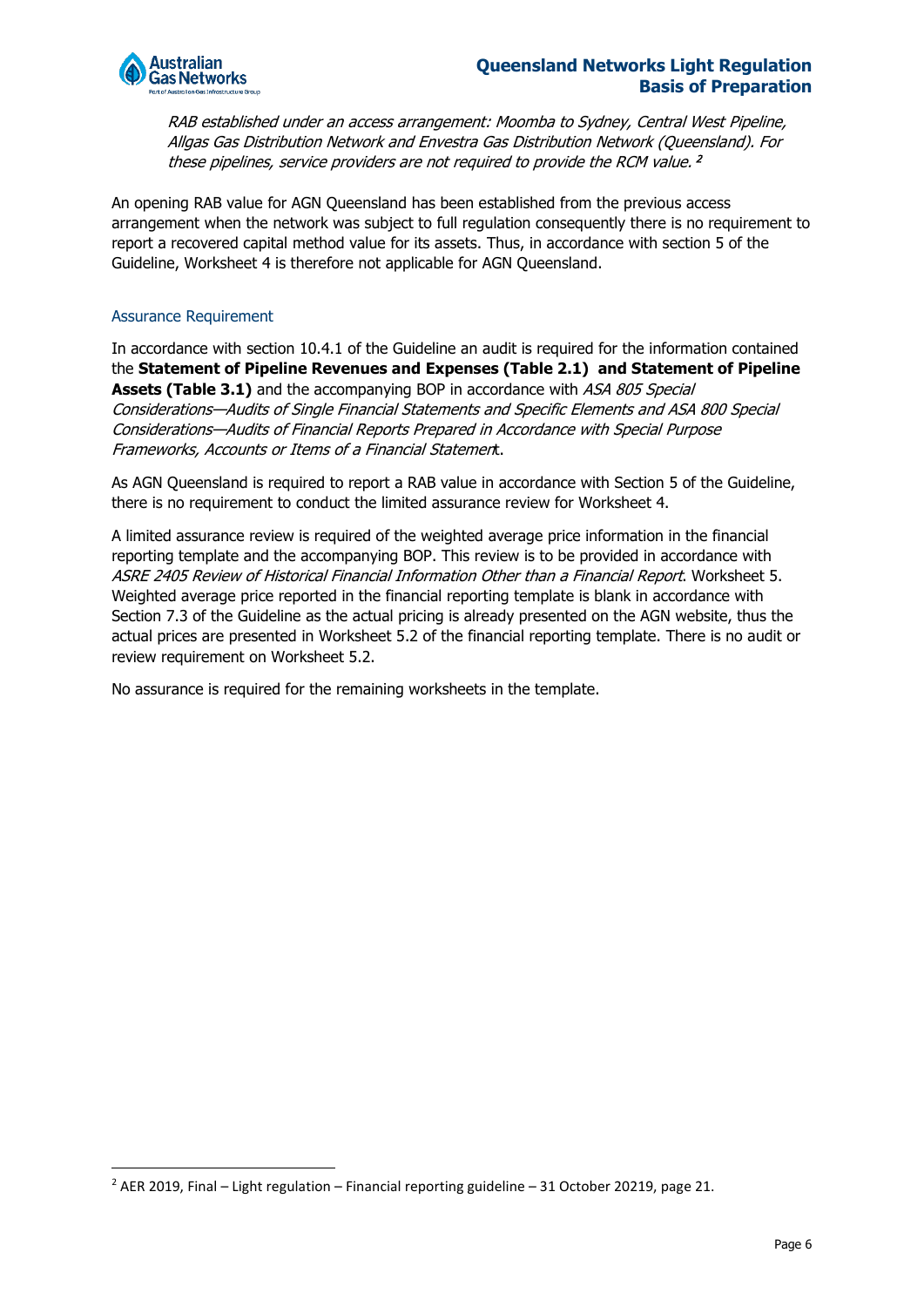

RAB established under an access arrangement: Moomba to Sydney, Central West Pipeline, Allgas Gas Distribution Network and Envestra Gas Distribution Network (Queensland). For these pipelines, service providers are not required to provide the RCM value. 2

An opening RAB value for AGN Queensland has been established from the previous access arrangement when the network was subject to full regulation consequently there is no requirement to report a recovered capital method value for its assets. Thus, in accordance with section 5 of the Guideline, Worksheet 4 is therefore not applicable for AGN Queensland.

#### Assurance Requirement

In accordance with section 10.4.1 of the Guideline an audit is required for the information contained the **Statement of Pipeline Revenues and Expenses (Table 2.1) and Statement of Pipeline Assets (Table 3.1)** and the accompanying BOP in accordance with ASA 805 Special Considerations—Audits of Single Financial Statements and Specific Elements and ASA 800 Special Considerations—Audits of Financial Reports Prepared in Accordance with Special Purpose Frameworks, Accounts or Items of a Financial Statement.

As AGN Queensland is required to report a RAB value in accordance with Section 5 of the Guideline, there is no requirement to conduct the limited assurance review for Worksheet 4.

A limited assurance review is required of the weighted average price information in the financial reporting template and the accompanying BOP. This review is to be provided in accordance with ASRE 2405 Review of Historical Financial Information Other than a Financial Report. Worksheet 5. Weighted average price reported in the financial reporting template is blank in accordance with Section 7.3 of the Guideline as the actual pricing is already presented on the AGN website, thus the actual prices are presented in Worksheet 5.2 of the financial reporting template. There is no audit or review requirement on Worksheet 5.2.

No assurance is required for the remaining worksheets in the template.

<sup>&</sup>lt;sup>2</sup> AER 2019, Final – Light regulation – Financial reporting guideline – 31 October 20219, page 21.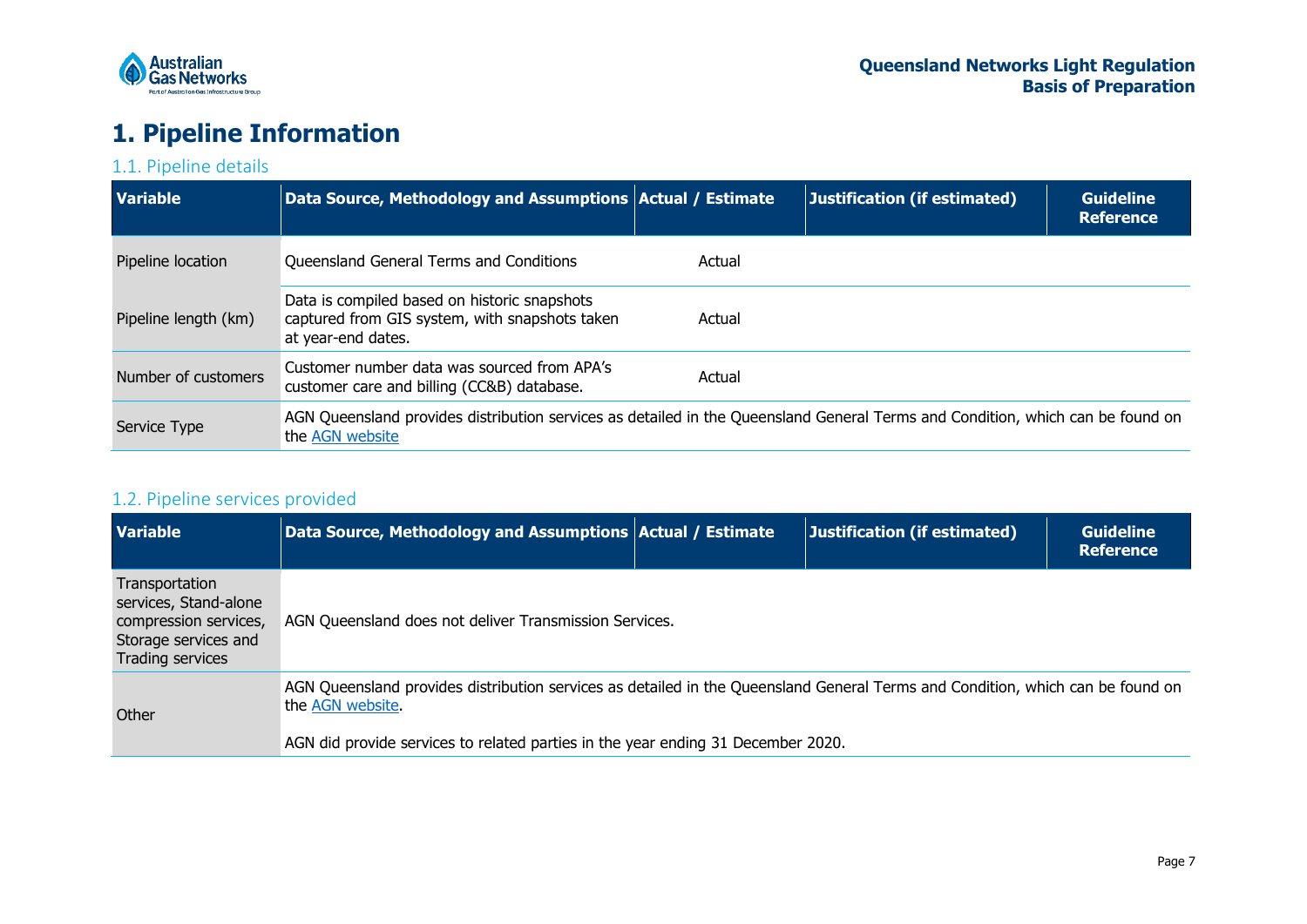

## **1. Pipeline Information**

### 1.1. Pipeline details

| <b>Variable</b>      | Data Source, Methodology and Assumptions Actual / Estimate                                                                                        |        | Justification (if estimated) | <b>Guideline</b><br><b>Reference</b> |
|----------------------|---------------------------------------------------------------------------------------------------------------------------------------------------|--------|------------------------------|--------------------------------------|
| Pipeline location    | Queensland General Terms and Conditions                                                                                                           | Actual |                              |                                      |
| Pipeline length (km) | Data is compiled based on historic snapshots<br>captured from GIS system, with snapshots taken<br>at year-end dates.                              | Actual |                              |                                      |
| Number of customers  | Customer number data was sourced from APA's<br>customer care and billing (CC&B) database.                                                         | Actual |                              |                                      |
| Service Type         | AGN Queensland provides distribution services as detailed in the Queensland General Terms and Condition, which can be found on<br>the AGN website |        |                              |                                      |

### <span id="page-6-0"></span>1.2. Pipeline services provided

<span id="page-6-2"></span><span id="page-6-1"></span>

| <b>Variable</b>                                                                                              | Data Source, Methodology and Assumptions Actual / Estimate                                                                                                                                                                             | Justification (if estimated) | <b>Guideline</b><br><b>Reference</b> |
|--------------------------------------------------------------------------------------------------------------|----------------------------------------------------------------------------------------------------------------------------------------------------------------------------------------------------------------------------------------|------------------------------|--------------------------------------|
| Transportation<br>services, Stand-alone<br>compression services,<br>Storage services and<br>Trading services | AGN Queensland does not deliver Transmission Services.                                                                                                                                                                                 |                              |                                      |
| Other                                                                                                        | AGN Queensland provides distribution services as detailed in the Queensland General Terms and Condition, which can be found on<br>the AGN website.<br>AGN did provide services to related parties in the year ending 31 December 2020. |                              |                                      |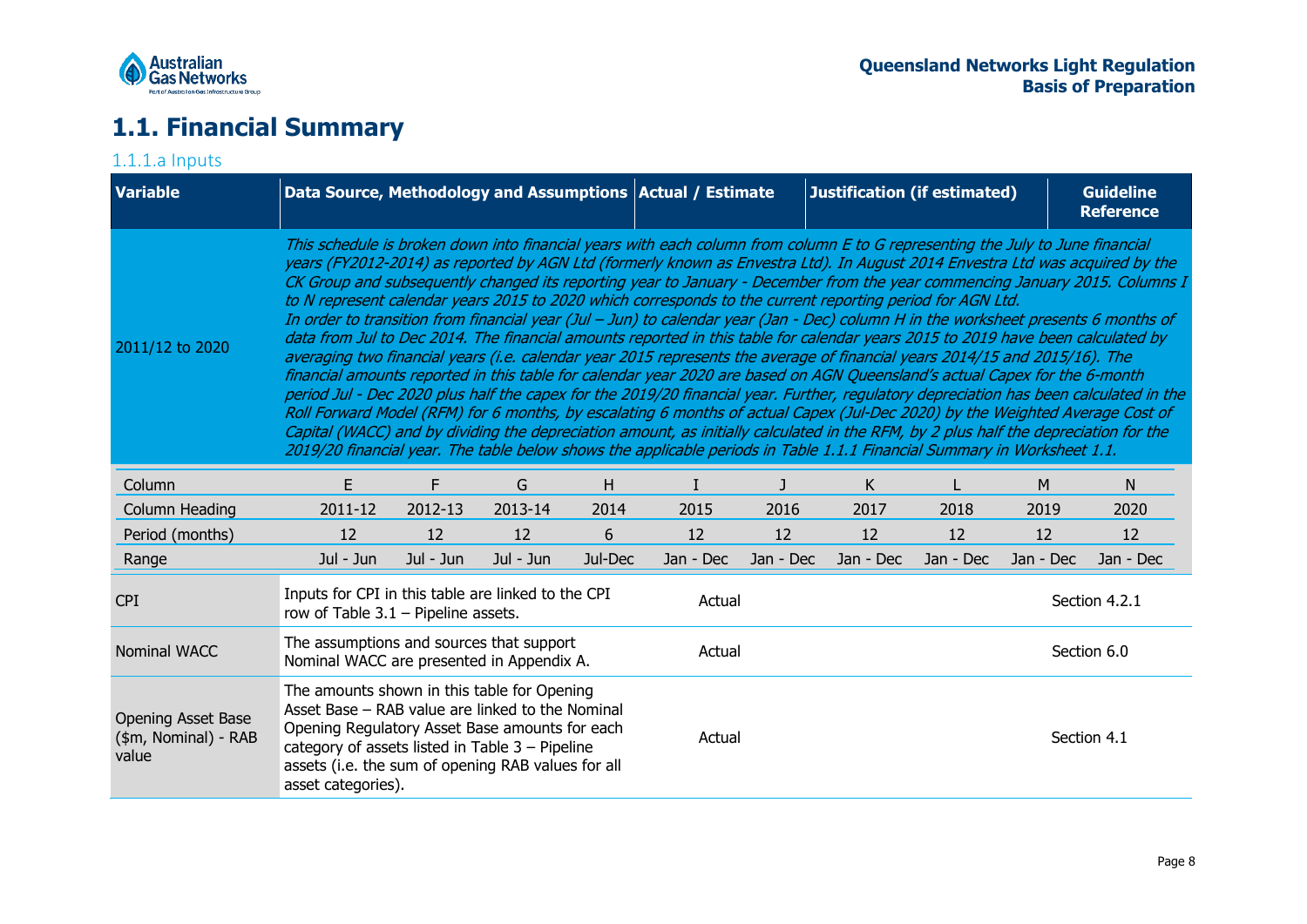

## **1.1. Financial Summary**

#### <span id="page-7-1"></span><span id="page-7-0"></span>1.1.1.a Inputs **Variable 19th 20 Source, Methodology and Assumptions Actual / Estimate 10 | Justification (if estimated) 10 | Guideline Reference** 2011/12 to 2020 This schedule is broken down into financial years with each column from column E to G representing the July to June financial years (FY2012-2014) as reported by AGN Ltd (formerly known as Envestra Ltd). In August 2014 Envestra Ltd was acquired by the CK Group and subsequently changed its reporting year to January - December from the year commencing January 2015. Columns I to N represent calendar years 2015 to 2020 which corresponds to the current reporting period for AGN Ltd. In order to transition from financial year (Jul – Jun) to calendar year (Jan - Dec) column H in the worksheet presents 6 months of data from Jul to Dec 2014. The financial amounts reported in this table for calendar years 2015 to 2019 have been calculated by averaging two financial years (i.e. calendar year 2015 represents the average of financial years 2014/15 and 2015/16). The financial amounts reported in this table for calendar year 2020 are based on AGN Queensland's actual Capex for the 6-month period Jul - Dec 2020 plus half the capex for the 2019/20 financial year. Further, regulatory depreciation has been calculated in the Roll Forward Model (RFM) for 6 months, by escalating 6 months of actual Capex (Jul-Dec 2020) by the Weighted Average Cost of Capital (WACC) and by dividing the depreciation amount, as initially calculated in the RFM, by 2 plus half the depreciation for the 2019/20 financial year. The table below shows the applicable periods in Table 1.1.1 Financial Summary in Worksheet 1.1. Column E F G H I J K L M N Column Heading 2011-12 2012-13 2013-14 2014 2015 2016 2017 2018 2019 2020 Period (months) 12 12 12 6 12 12 12 12 12 Range Jul - Jun Jul - Jun Jul - Jun Jul - Jun Jul-Dec Jan - Dec Jan - Dec Jan - Dec Jan - Dec Jan - Dec Jan - Dec CPI Inputs for CPI in this table are linked to the CPI row of Table 3.1 – Pipeline assets.<br>
Prow of Table 3.1 – Pipeline assets. Nominal WACC The assumptions and sources that support nie assumptions and sources that support<br>Nominal WACC are presented in Appendix A. Actual Section 6.0 Opening Asset Base (\$m, Nominal) - RAB value The amounts shown in this table for Opening Asset Base – RAB value are linked to the Nominal Opening Regulatory Asset Base amounts for each category of assets listed in Table 3 – Pipeline assets (i.e. the sum of opening RAB values for all asset categories). Actual Section 4.1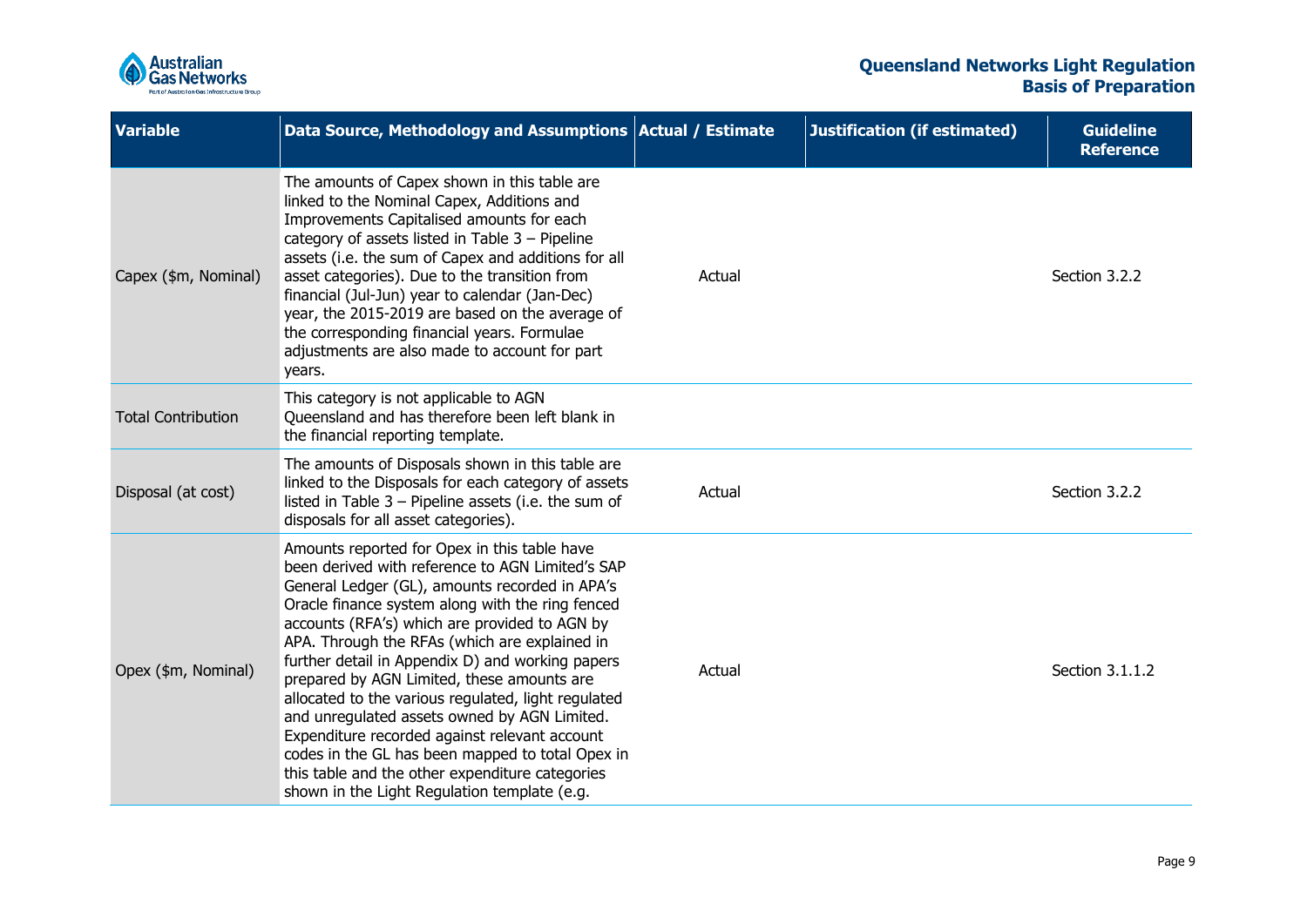

| <b>Variable</b>           | Data Source, Methodology and Assumptions   Actual / Estimate                                                                                                                                                                                                                                                                                                                                                                                                                                                                                                                                                                                                                                                              |        | Justification (if estimated) | <b>Guideline</b><br><b>Reference</b> |
|---------------------------|---------------------------------------------------------------------------------------------------------------------------------------------------------------------------------------------------------------------------------------------------------------------------------------------------------------------------------------------------------------------------------------------------------------------------------------------------------------------------------------------------------------------------------------------------------------------------------------------------------------------------------------------------------------------------------------------------------------------------|--------|------------------------------|--------------------------------------|
| Capex (\$m, Nominal)      | The amounts of Capex shown in this table are<br>linked to the Nominal Capex, Additions and<br>Improvements Capitalised amounts for each<br>category of assets listed in Table 3 - Pipeline<br>assets (i.e. the sum of Capex and additions for all<br>asset categories). Due to the transition from<br>financial (Jul-Jun) year to calendar (Jan-Dec)<br>year, the 2015-2019 are based on the average of<br>the corresponding financial years. Formulae<br>adjustments are also made to account for part<br>years.                                                                                                                                                                                                         | Actual |                              | Section 3.2.2                        |
| <b>Total Contribution</b> | This category is not applicable to AGN<br>Queensland and has therefore been left blank in<br>the financial reporting template.                                                                                                                                                                                                                                                                                                                                                                                                                                                                                                                                                                                            |        |                              |                                      |
| Disposal (at cost)        | The amounts of Disposals shown in this table are<br>linked to the Disposals for each category of assets<br>listed in Table $3$ – Pipeline assets (i.e. the sum of<br>disposals for all asset categories).                                                                                                                                                                                                                                                                                                                                                                                                                                                                                                                 | Actual |                              | Section 3.2.2                        |
| Opex (\$m, Nominal)       | Amounts reported for Opex in this table have<br>been derived with reference to AGN Limited's SAP<br>General Ledger (GL), amounts recorded in APA's<br>Oracle finance system along with the ring fenced<br>accounts (RFA's) which are provided to AGN by<br>APA. Through the RFAs (which are explained in<br>further detail in Appendix D) and working papers<br>prepared by AGN Limited, these amounts are<br>allocated to the various regulated, light regulated<br>and unregulated assets owned by AGN Limited.<br>Expenditure recorded against relevant account<br>codes in the GL has been mapped to total Opex in<br>this table and the other expenditure categories<br>shown in the Light Regulation template (e.g. | Actual |                              | Section 3.1.1.2                      |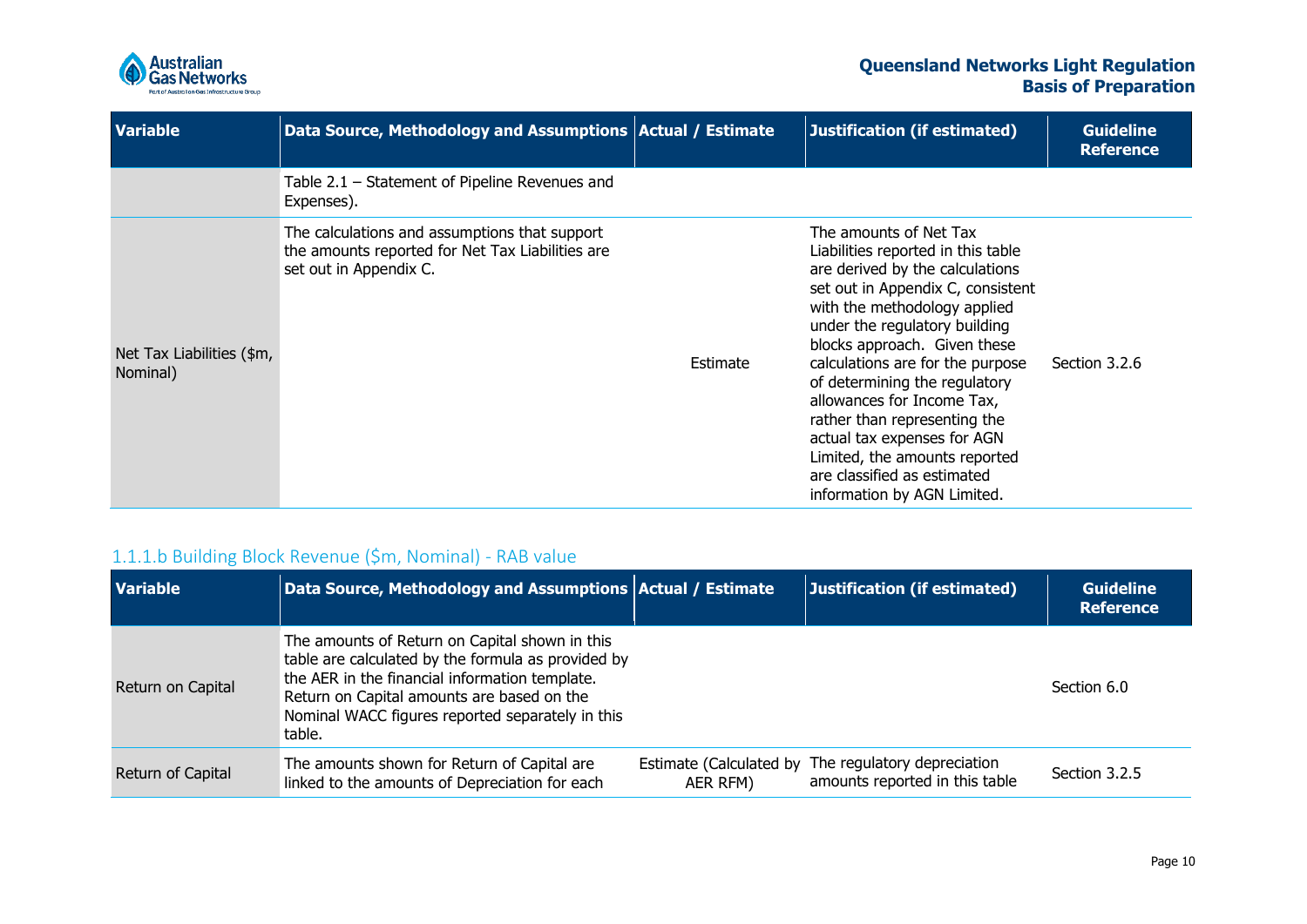

| <b>Variable</b>                       | Data Source, Methodology and Assumptions   Actual / Estimate                                                                |          | Justification (if estimated)                                                                                                                                                                                                                                                                                                                                                                                                                                                                           | <b>Guideline</b><br><b>Reference</b> |
|---------------------------------------|-----------------------------------------------------------------------------------------------------------------------------|----------|--------------------------------------------------------------------------------------------------------------------------------------------------------------------------------------------------------------------------------------------------------------------------------------------------------------------------------------------------------------------------------------------------------------------------------------------------------------------------------------------------------|--------------------------------------|
|                                       | Table $2.1$ – Statement of Pipeline Revenues and<br>Expenses).                                                              |          |                                                                                                                                                                                                                                                                                                                                                                                                                                                                                                        |                                      |
| Net Tax Liabilities (\$m,<br>Nominal) | The calculations and assumptions that support<br>the amounts reported for Net Tax Liabilities are<br>set out in Appendix C. | Estimate | The amounts of Net Tax<br>Liabilities reported in this table<br>are derived by the calculations<br>set out in Appendix C, consistent<br>with the methodology applied<br>under the regulatory building<br>blocks approach. Given these<br>calculations are for the purpose<br>of determining the regulatory<br>allowances for Income Tax,<br>rather than representing the<br>actual tax expenses for AGN<br>Limited, the amounts reported<br>are classified as estimated<br>information by AGN Limited. | Section 3.2.6                        |

### 1.1.1.b Building Block Revenue (\$m, Nominal) - RAB value

<span id="page-9-0"></span>

| <b>Variable</b>   | Data Source, Methodology and Assumptions Actual / Estimate                                                                                                                                                                                                         |                                     | Justification (if estimated)                                  | <b>Guideline</b><br><b>Reference</b> |
|-------------------|--------------------------------------------------------------------------------------------------------------------------------------------------------------------------------------------------------------------------------------------------------------------|-------------------------------------|---------------------------------------------------------------|--------------------------------------|
| Return on Capital | The amounts of Return on Capital shown in this<br>table are calculated by the formula as provided by<br>the AER in the financial information template.<br>Return on Capital amounts are based on the<br>Nominal WACC figures reported separately in this<br>table. |                                     |                                                               | Section 6.0                          |
| Return of Capital | The amounts shown for Return of Capital are<br>linked to the amounts of Depreciation for each                                                                                                                                                                      | Estimate (Calculated by<br>AER RFM) | The regulatory depreciation<br>amounts reported in this table | Section 3.2.5                        |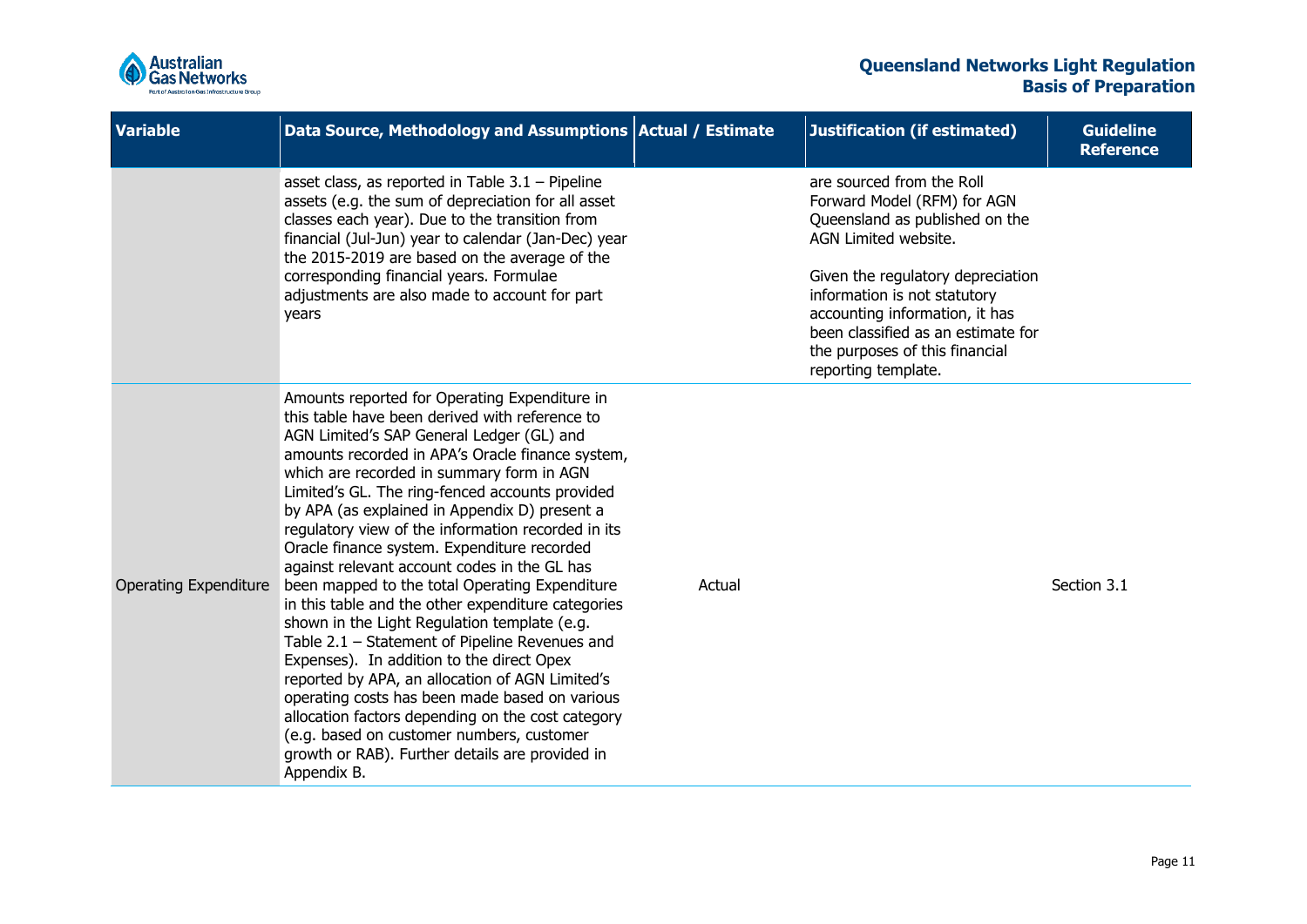

| Variable                     | Data Source, Methodology and Assumptions   Actual / Estimate                                                                                                                                                                                                                                                                                                                                                                                                                                                                                                                                                                                                                                                                                                                                                                                                                                                                                                                                                                           |        | <b>Justification (if estimated)</b>                                                                                                                                                                                                                                                                                      | <b>Guideline</b><br><b>Reference</b> |
|------------------------------|----------------------------------------------------------------------------------------------------------------------------------------------------------------------------------------------------------------------------------------------------------------------------------------------------------------------------------------------------------------------------------------------------------------------------------------------------------------------------------------------------------------------------------------------------------------------------------------------------------------------------------------------------------------------------------------------------------------------------------------------------------------------------------------------------------------------------------------------------------------------------------------------------------------------------------------------------------------------------------------------------------------------------------------|--------|--------------------------------------------------------------------------------------------------------------------------------------------------------------------------------------------------------------------------------------------------------------------------------------------------------------------------|--------------------------------------|
|                              | asset class, as reported in Table $3.1$ – Pipeline<br>assets (e.g. the sum of depreciation for all asset<br>classes each year). Due to the transition from<br>financial (Jul-Jun) year to calendar (Jan-Dec) year<br>the 2015-2019 are based on the average of the<br>corresponding financial years. Formulae<br>adjustments are also made to account for part<br>years                                                                                                                                                                                                                                                                                                                                                                                                                                                                                                                                                                                                                                                                |        | are sourced from the Roll<br>Forward Model (RFM) for AGN<br>Queensland as published on the<br>AGN Limited website.<br>Given the regulatory depreciation<br>information is not statutory<br>accounting information, it has<br>been classified as an estimate for<br>the purposes of this financial<br>reporting template. |                                      |
| <b>Operating Expenditure</b> | Amounts reported for Operating Expenditure in<br>this table have been derived with reference to<br>AGN Limited's SAP General Ledger (GL) and<br>amounts recorded in APA's Oracle finance system,<br>which are recorded in summary form in AGN<br>Limited's GL. The ring-fenced accounts provided<br>by APA (as explained in Appendix D) present a<br>regulatory view of the information recorded in its<br>Oracle finance system. Expenditure recorded<br>against relevant account codes in the GL has<br>been mapped to the total Operating Expenditure<br>in this table and the other expenditure categories<br>shown in the Light Regulation template (e.g.<br>Table 2.1 - Statement of Pipeline Revenues and<br>Expenses). In addition to the direct Opex<br>reported by APA, an allocation of AGN Limited's<br>operating costs has been made based on various<br>allocation factors depending on the cost category<br>(e.g. based on customer numbers, customer<br>growth or RAB). Further details are provided in<br>Appendix B. | Actual |                                                                                                                                                                                                                                                                                                                          | Section 3.1                          |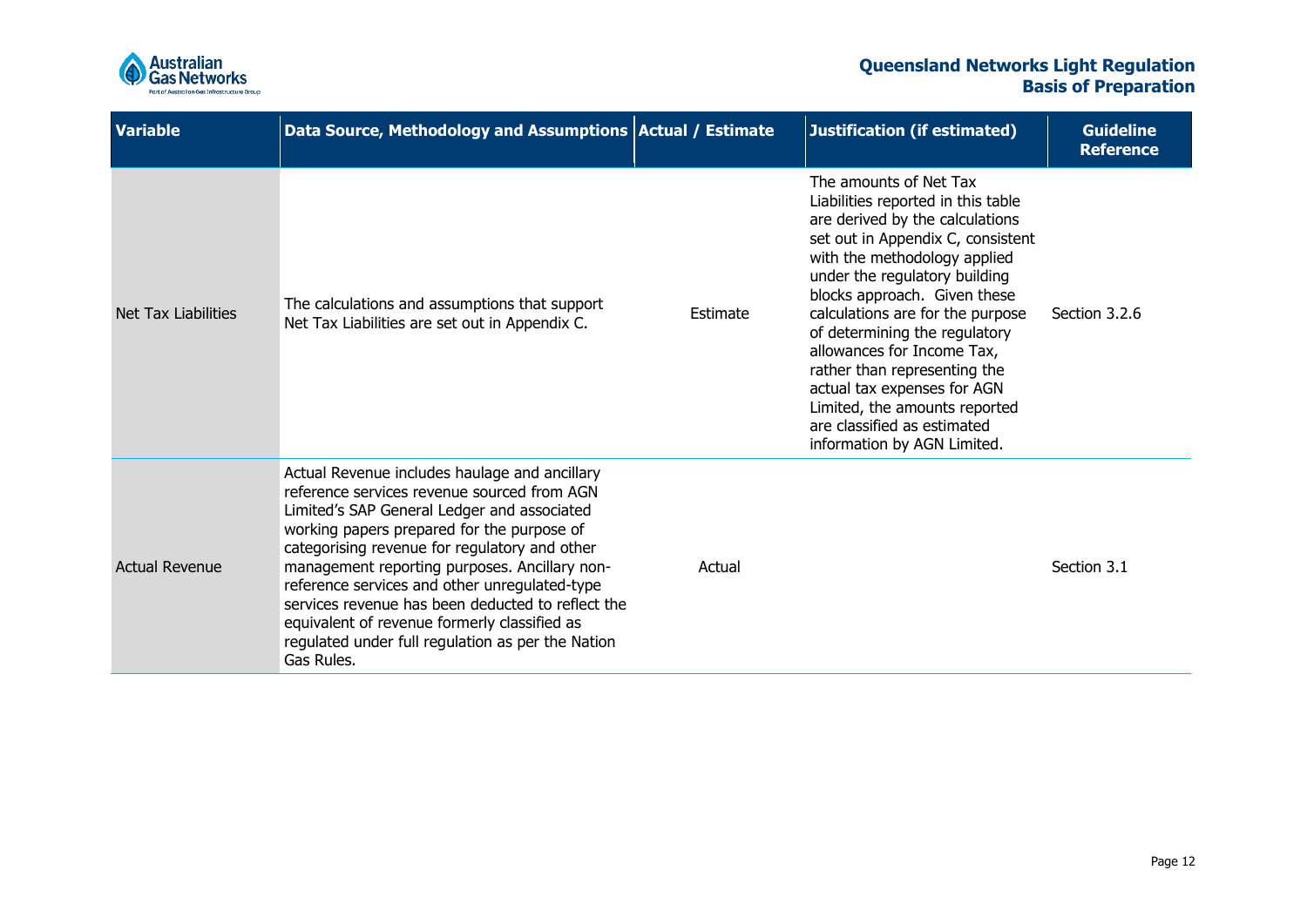

| <b>Variable</b>       | Data Source, Methodology and Assumptions Actual / Estimate                                                                                                                                                                                                                                                                                                                                                                                                                                                           |          | Justification (if estimated)                                                                                                                                                                                                                                                                                                                                                                                                                                                                           | <b>Guideline</b><br><b>Reference</b> |
|-----------------------|----------------------------------------------------------------------------------------------------------------------------------------------------------------------------------------------------------------------------------------------------------------------------------------------------------------------------------------------------------------------------------------------------------------------------------------------------------------------------------------------------------------------|----------|--------------------------------------------------------------------------------------------------------------------------------------------------------------------------------------------------------------------------------------------------------------------------------------------------------------------------------------------------------------------------------------------------------------------------------------------------------------------------------------------------------|--------------------------------------|
| Net Tax Liabilities   | The calculations and assumptions that support<br>Net Tax Liabilities are set out in Appendix C.                                                                                                                                                                                                                                                                                                                                                                                                                      | Estimate | The amounts of Net Tax<br>Liabilities reported in this table<br>are derived by the calculations<br>set out in Appendix C, consistent<br>with the methodology applied<br>under the regulatory building<br>blocks approach. Given these<br>calculations are for the purpose<br>of determining the regulatory<br>allowances for Income Tax,<br>rather than representing the<br>actual tax expenses for AGN<br>Limited, the amounts reported<br>are classified as estimated<br>information by AGN Limited. | Section 3.2.6                        |
| <b>Actual Revenue</b> | Actual Revenue includes haulage and ancillary<br>reference services revenue sourced from AGN<br>Limited's SAP General Ledger and associated<br>working papers prepared for the purpose of<br>categorising revenue for regulatory and other<br>management reporting purposes. Ancillary non-<br>reference services and other unregulated-type<br>services revenue has been deducted to reflect the<br>equivalent of revenue formerly classified as<br>regulated under full regulation as per the Nation<br>Gas Rules. | Actual   |                                                                                                                                                                                                                                                                                                                                                                                                                                                                                                        | Section 3.1                          |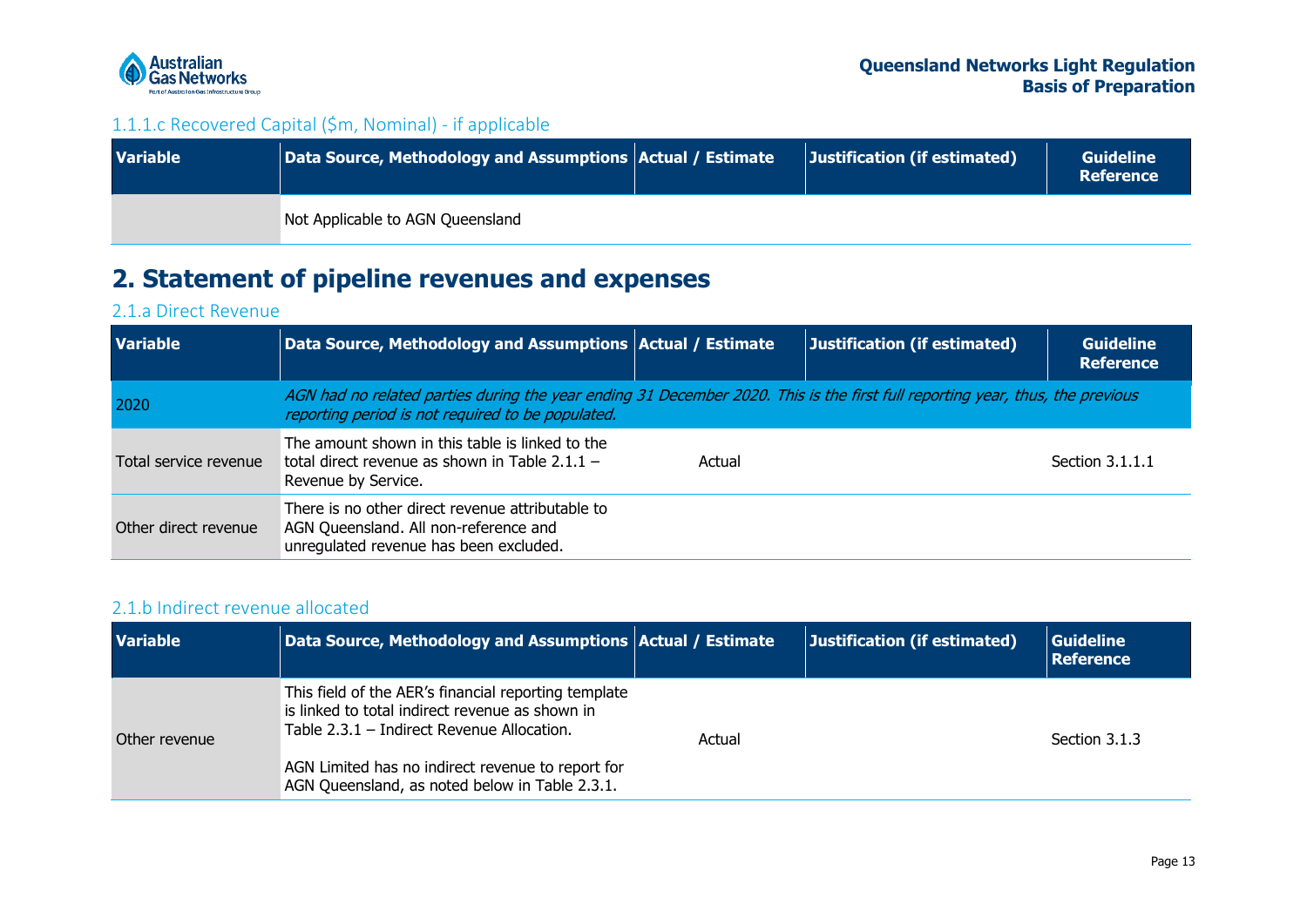

### 1.1.1.c Recovered Capital (\$m, Nominal) - if applicable

| <b>Variable</b> | Data Source, Methodology and Assumptions Actual / Estimate | Justification (if estimated) | <b>Guideline</b><br><b>Reference</b> |
|-----------------|------------------------------------------------------------|------------------------------|--------------------------------------|
|                 | Not Applicable to AGN Queensland                           |                              |                                      |

## **2. Statement of pipeline revenues and expenses**

### 2.1.a Direct Revenue

| <b>Variable</b>       | Data Source, Methodology and Assumptions Actual / Estimate                                                                                                                         |        | <b>Justification (if estimated)</b> | <b>Guideline</b><br><b>Reference</b> |
|-----------------------|------------------------------------------------------------------------------------------------------------------------------------------------------------------------------------|--------|-------------------------------------|--------------------------------------|
| 2020                  | AGN had no related parties during the year ending 31 December 2020. This is the first full reporting year, thus, the previous<br>reporting period is not required to be populated. |        |                                     |                                      |
| Total service revenue | The amount shown in this table is linked to the<br>total direct revenue as shown in Table $2.1.1 -$<br>Revenue by Service.                                                         | Actual |                                     | Section 3.1.1.1                      |
| Other direct revenue  | There is no other direct revenue attributable to<br>AGN Queensland. All non-reference and<br>unregulated revenue has been excluded.                                                |        |                                     |                                      |

### <span id="page-12-0"></span>2.1.b Indirect revenue allocated

<span id="page-12-3"></span><span id="page-12-2"></span><span id="page-12-1"></span>

| <b>Variable</b> | Data Source, Methodology and Assumptions   Actual / Estimate                                                                                            |        | Justification (if estimated) | <b>Guideline</b><br><b>Reference</b> |  |
|-----------------|---------------------------------------------------------------------------------------------------------------------------------------------------------|--------|------------------------------|--------------------------------------|--|
| Other revenue   | This field of the AER's financial reporting template<br>is linked to total indirect revenue as shown in<br>Table $2.3.1$ – Indirect Revenue Allocation. | Actual |                              | Section 3.1.3                        |  |
|                 | AGN Limited has no indirect revenue to report for<br>AGN Queensland, as noted below in Table 2.3.1.                                                     |        |                              |                                      |  |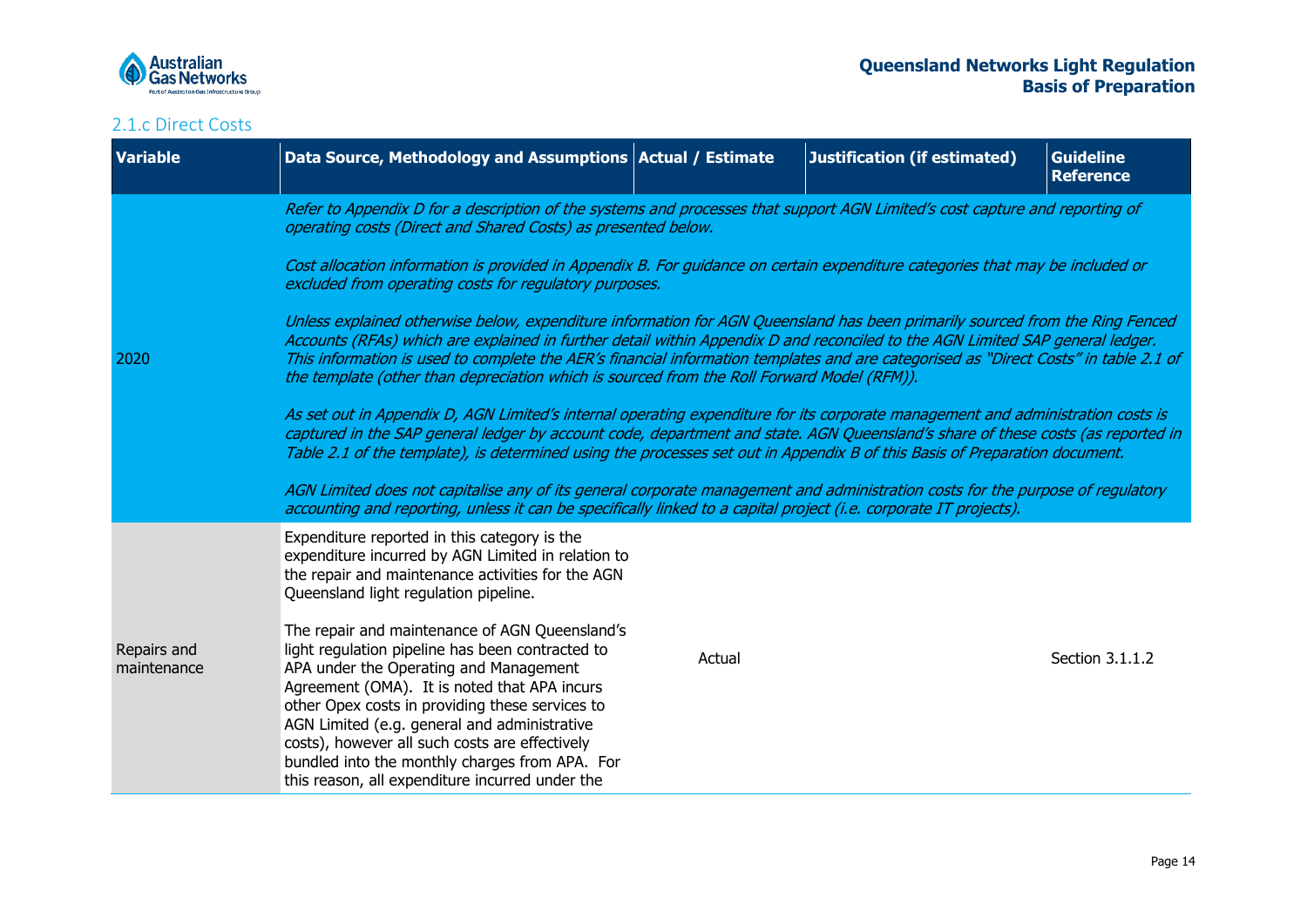

<span id="page-13-0"></span>

| <b>Variable</b>            | Data Source, Methodology and Assumptions Actual / Estimate                                                                                                                                                                                                                                                                                                                                                                                                                                                                                                                                                                                                                                                                                                                                                                                                                                                                                                                                                                                                                                                                                                                                                                                                                                                                                                                                                                                                                                                                                                |        | Justification (if estimated) | <b>Guideline</b><br><b>Reference</b> |
|----------------------------|-----------------------------------------------------------------------------------------------------------------------------------------------------------------------------------------------------------------------------------------------------------------------------------------------------------------------------------------------------------------------------------------------------------------------------------------------------------------------------------------------------------------------------------------------------------------------------------------------------------------------------------------------------------------------------------------------------------------------------------------------------------------------------------------------------------------------------------------------------------------------------------------------------------------------------------------------------------------------------------------------------------------------------------------------------------------------------------------------------------------------------------------------------------------------------------------------------------------------------------------------------------------------------------------------------------------------------------------------------------------------------------------------------------------------------------------------------------------------------------------------------------------------------------------------------------|--------|------------------------------|--------------------------------------|
| 2020                       | Refer to Appendix D for a description of the systems and processes that support AGN Limited's cost capture and reporting of<br>operating costs (Direct and Shared Costs) as presented below.<br>Cost allocation information is provided in Appendix B. For guidance on certain expenditure categories that may be included or<br>excluded from operating costs for regulatory purposes.<br>Unless explained otherwise below, expenditure information for AGN Queensland has been primarily sourced from the Ring Fenced<br>Accounts (RFAs) which are explained in further detail within Appendix D and reconciled to the AGN Limited SAP general ledger.<br>This information is used to complete the AER's financial information templates and are categorised as "Direct Costs" in table 2.1 of<br>the template (other than depreciation which is sourced from the Roll Forward Model (RFM)).<br>As set out in Appendix D, AGN Limited's internal operating expenditure for its corporate management and administration costs is<br>captured in the SAP general ledger by account code, department and state. AGN Queensland's share of these costs (as reported in<br>Table 2.1 of the template), is determined using the processes set out in Appendix B of this Basis of Preparation document.<br>AGN Limited does not capitalise any of its general corporate management and administration costs for the purpose of regulatory<br>accounting and reporting, unless it can be specifically linked to a capital project (i.e. corporate IT projects). |        |                              |                                      |
| Repairs and<br>maintenance | Expenditure reported in this category is the<br>expenditure incurred by AGN Limited in relation to<br>the repair and maintenance activities for the AGN<br>Queensland light regulation pipeline.<br>The repair and maintenance of AGN Queensland's<br>light regulation pipeline has been contracted to<br>APA under the Operating and Management<br>Agreement (OMA). It is noted that APA incurs<br>other Opex costs in providing these services to<br>AGN Limited (e.g. general and administrative<br>costs), however all such costs are effectively<br>bundled into the monthly charges from APA. For<br>this reason, all expenditure incurred under the                                                                                                                                                                                                                                                                                                                                                                                                                                                                                                                                                                                                                                                                                                                                                                                                                                                                                                | Actual |                              | Section 3.1.1.2                      |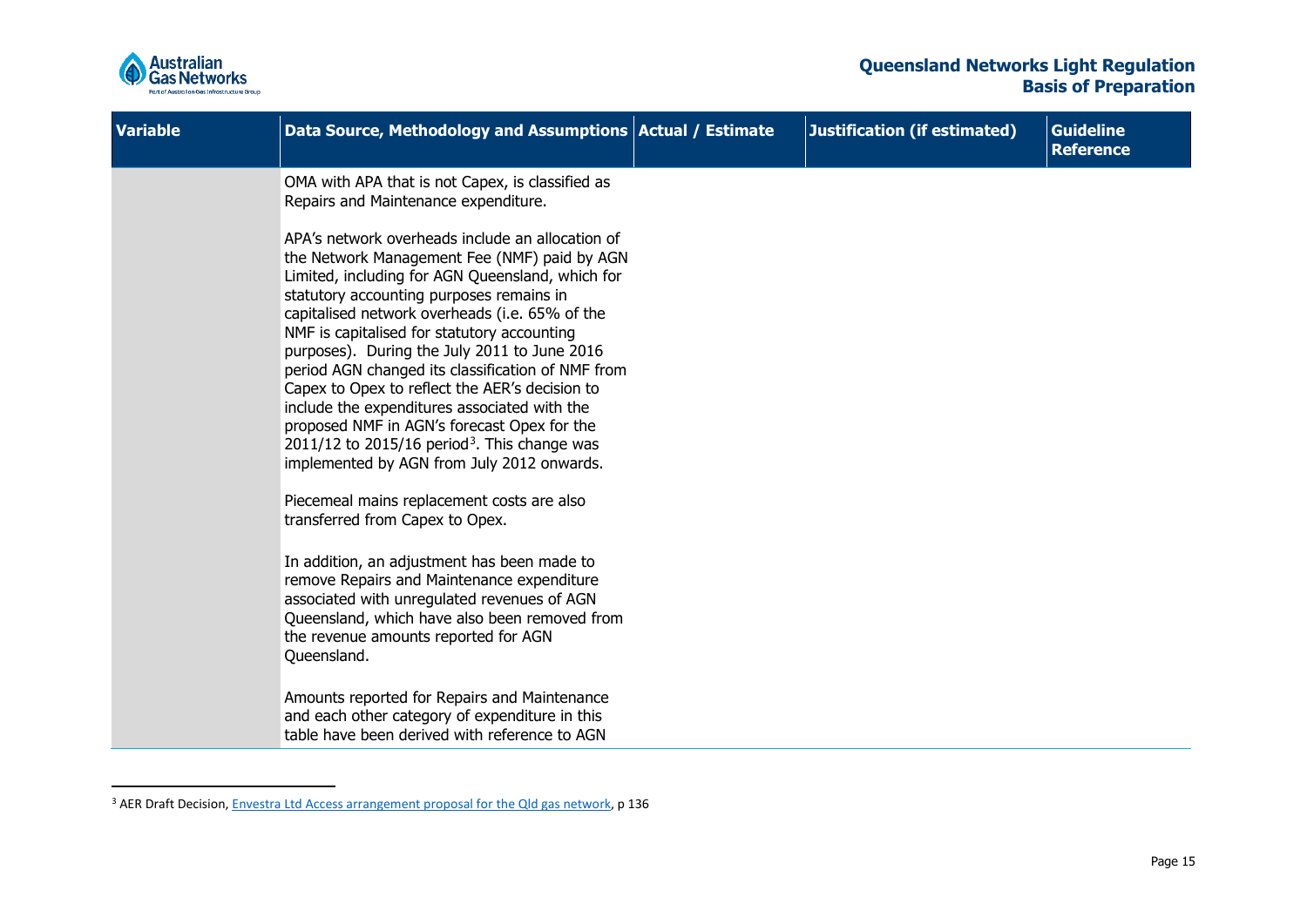<span id="page-14-0"></span>

| <b>Variable</b> | Data Source, Methodology and Assumptions   Actual / Estimate                                                                                                                                                                                                                                                                                                                                                                                                                                                                                                                                                                                                                                                                                                                                                  | Justification (if estimated) | <b>Guideline</b><br><b>Reference</b> |
|-----------------|---------------------------------------------------------------------------------------------------------------------------------------------------------------------------------------------------------------------------------------------------------------------------------------------------------------------------------------------------------------------------------------------------------------------------------------------------------------------------------------------------------------------------------------------------------------------------------------------------------------------------------------------------------------------------------------------------------------------------------------------------------------------------------------------------------------|------------------------------|--------------------------------------|
|                 | OMA with APA that is not Capex, is classified as<br>Repairs and Maintenance expenditure.<br>APA's network overheads include an allocation of<br>the Network Management Fee (NMF) paid by AGN<br>Limited, including for AGN Queensland, which for<br>statutory accounting purposes remains in<br>capitalised network overheads (i.e. 65% of the<br>NMF is capitalised for statutory accounting<br>purposes). During the July 2011 to June 2016<br>period AGN changed its classification of NMF from<br>Capex to Opex to reflect the AER's decision to<br>include the expenditures associated with the<br>proposed NMF in AGN's forecast Opex for the<br>$2011/12$ to 2015/16 period <sup>3</sup> . This change was<br>implemented by AGN from July 2012 onwards.<br>Piecemeal mains replacement costs are also |                              |                                      |
|                 | transferred from Capex to Opex.<br>In addition, an adjustment has been made to<br>remove Repairs and Maintenance expenditure<br>associated with unregulated revenues of AGN<br>Queensland, which have also been removed from<br>the revenue amounts reported for AGN<br>Queensland.<br>Amounts reported for Repairs and Maintenance<br>and each other category of expenditure in this<br>table have been derived with reference to AGN                                                                                                                                                                                                                                                                                                                                                                        |                              |                                      |

<sup>&</sup>lt;sup>3</sup> AER Draft Decision, *Envestra Ltd Access arrangement proposal for the Qld gas network*, p 136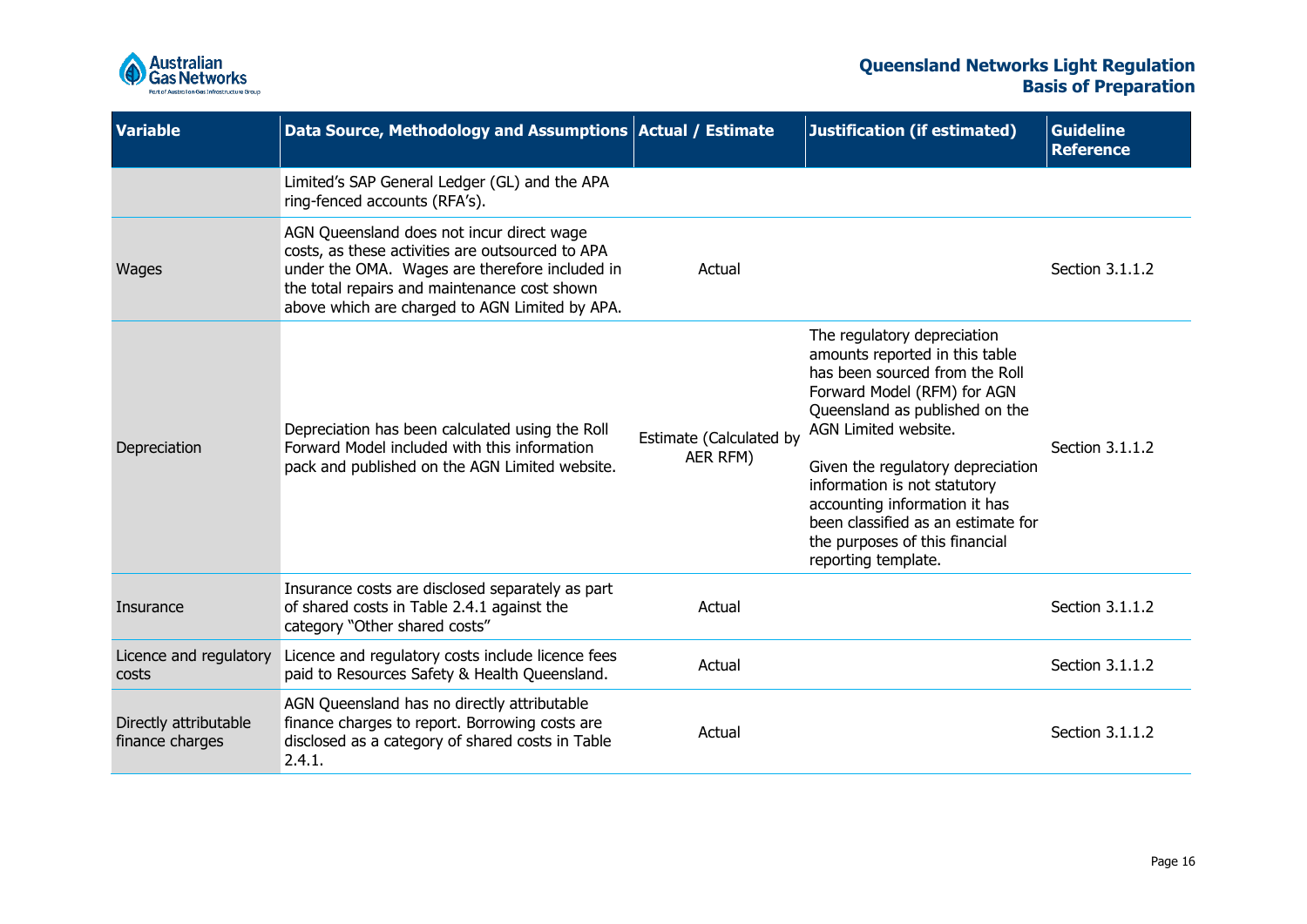

| <b>Variable</b>                          | Data Source, Methodology and Assumptions Actual / Estimate                                                                                                                                                                                        |                                     | <b>Justification (if estimated)</b>                                                                                                                                                                                                                                                                                                                                                           | <b>Guideline</b><br><b>Reference</b> |
|------------------------------------------|---------------------------------------------------------------------------------------------------------------------------------------------------------------------------------------------------------------------------------------------------|-------------------------------------|-----------------------------------------------------------------------------------------------------------------------------------------------------------------------------------------------------------------------------------------------------------------------------------------------------------------------------------------------------------------------------------------------|--------------------------------------|
|                                          | Limited's SAP General Ledger (GL) and the APA<br>ring-fenced accounts (RFA's).                                                                                                                                                                    |                                     |                                                                                                                                                                                                                                                                                                                                                                                               |                                      |
| Wages                                    | AGN Queensland does not incur direct wage<br>costs, as these activities are outsourced to APA<br>under the OMA. Wages are therefore included in<br>the total repairs and maintenance cost shown<br>above which are charged to AGN Limited by APA. | Actual                              |                                                                                                                                                                                                                                                                                                                                                                                               | Section 3.1.1.2                      |
| Depreciation                             | Depreciation has been calculated using the Roll<br>Forward Model included with this information<br>pack and published on the AGN Limited website.                                                                                                 | Estimate (Calculated by<br>AER RFM) | The regulatory depreciation<br>amounts reported in this table<br>has been sourced from the Roll<br>Forward Model (RFM) for AGN<br>Queensland as published on the<br>AGN Limited website.<br>Given the regulatory depreciation<br>information is not statutory<br>accounting information it has<br>been classified as an estimate for<br>the purposes of this financial<br>reporting template. | Section 3.1.1.2                      |
| Insurance                                | Insurance costs are disclosed separately as part<br>of shared costs in Table 2.4.1 against the<br>category "Other shared costs"                                                                                                                   | Actual                              |                                                                                                                                                                                                                                                                                                                                                                                               | Section 3.1.1.2                      |
| Licence and regulatory<br>costs          | Licence and regulatory costs include licence fees<br>paid to Resources Safety & Health Queensland.                                                                                                                                                | Actual                              |                                                                                                                                                                                                                                                                                                                                                                                               | Section 3.1.1.2                      |
| Directly attributable<br>finance charges | AGN Queensland has no directly attributable<br>finance charges to report. Borrowing costs are<br>disclosed as a category of shared costs in Table<br>2.4.1.                                                                                       | Actual                              |                                                                                                                                                                                                                                                                                                                                                                                               | Section 3.1.1.2                      |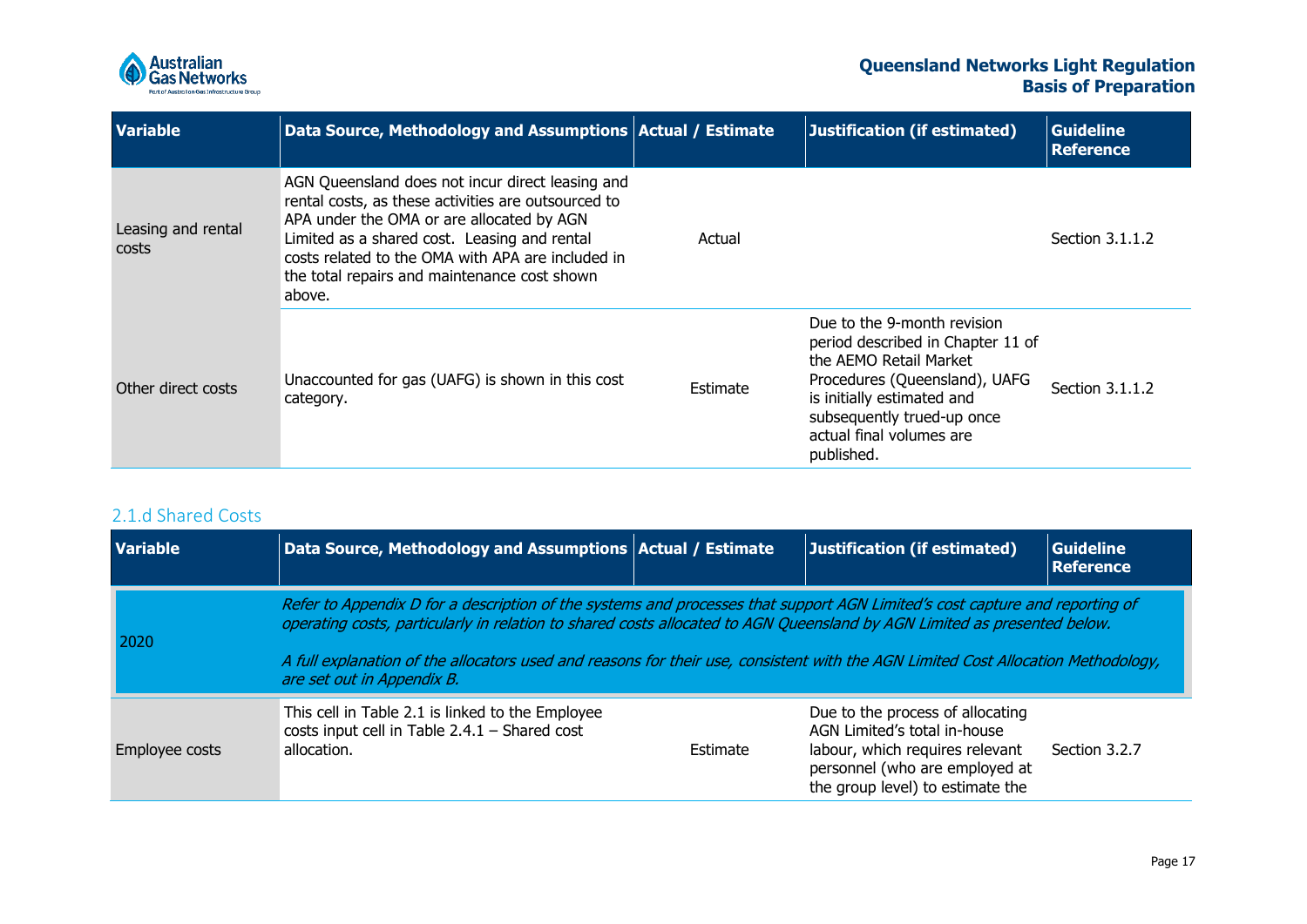

| <b>Variable</b>             | Data Source, Methodology and Assumptions Actual / Estimate                                                                                                                                                                                                                                                          |          | Justification (if estimated)                                                                                                                                                                                                      | <b>Guideline</b><br><b>Reference</b> |
|-----------------------------|---------------------------------------------------------------------------------------------------------------------------------------------------------------------------------------------------------------------------------------------------------------------------------------------------------------------|----------|-----------------------------------------------------------------------------------------------------------------------------------------------------------------------------------------------------------------------------------|--------------------------------------|
| Leasing and rental<br>costs | AGN Queensland does not incur direct leasing and<br>rental costs, as these activities are outsourced to<br>APA under the OMA or are allocated by AGN<br>Limited as a shared cost. Leasing and rental<br>costs related to the OMA with APA are included in<br>the total repairs and maintenance cost shown<br>above. | Actual   |                                                                                                                                                                                                                                   | Section 3.1.1.2                      |
| Other direct costs          | Unaccounted for gas (UAFG) is shown in this cost<br>category.                                                                                                                                                                                                                                                       | Estimate | Due to the 9-month revision<br>period described in Chapter 11 of<br>the AEMO Retail Market<br>Procedures (Queensland), UAFG<br>is initially estimated and<br>subsequently trued-up once<br>actual final volumes are<br>published. | Section 3.1.1.2                      |

### 2.1.d Shared Costs

<span id="page-16-0"></span>

| <b>Variable</b> | Data Source, Methodology and Assumptions Actual / Estimate                                                                                                                                                                                                                                                                                                                                                                 |          | Justification (if estimated)                                                                                                                                              | <b>Guideline</b><br><b>Reference</b> |
|-----------------|----------------------------------------------------------------------------------------------------------------------------------------------------------------------------------------------------------------------------------------------------------------------------------------------------------------------------------------------------------------------------------------------------------------------------|----------|---------------------------------------------------------------------------------------------------------------------------------------------------------------------------|--------------------------------------|
| 2020            | Refer to Appendix D for a description of the systems and processes that support AGN Limited's cost capture and reporting of<br>operating costs, particularly in relation to shared costs allocated to AGN Queensland by AGN Limited as presented below.<br>A full explanation of the allocators used and reasons for their use, consistent with the AGN Limited Cost Allocation Methodology,<br>are set out in Appendix B. |          |                                                                                                                                                                           |                                      |
| Employee costs  | This cell in Table 2.1 is linked to the Employee<br>costs input cell in Table $2.4.1$ – Shared cost<br>allocation.                                                                                                                                                                                                                                                                                                         | Estimate | Due to the process of allocating<br>AGN Limited's total in-house<br>labour, which requires relevant<br>personnel (who are employed at<br>the group level) to estimate the | Section 3.2.7                        |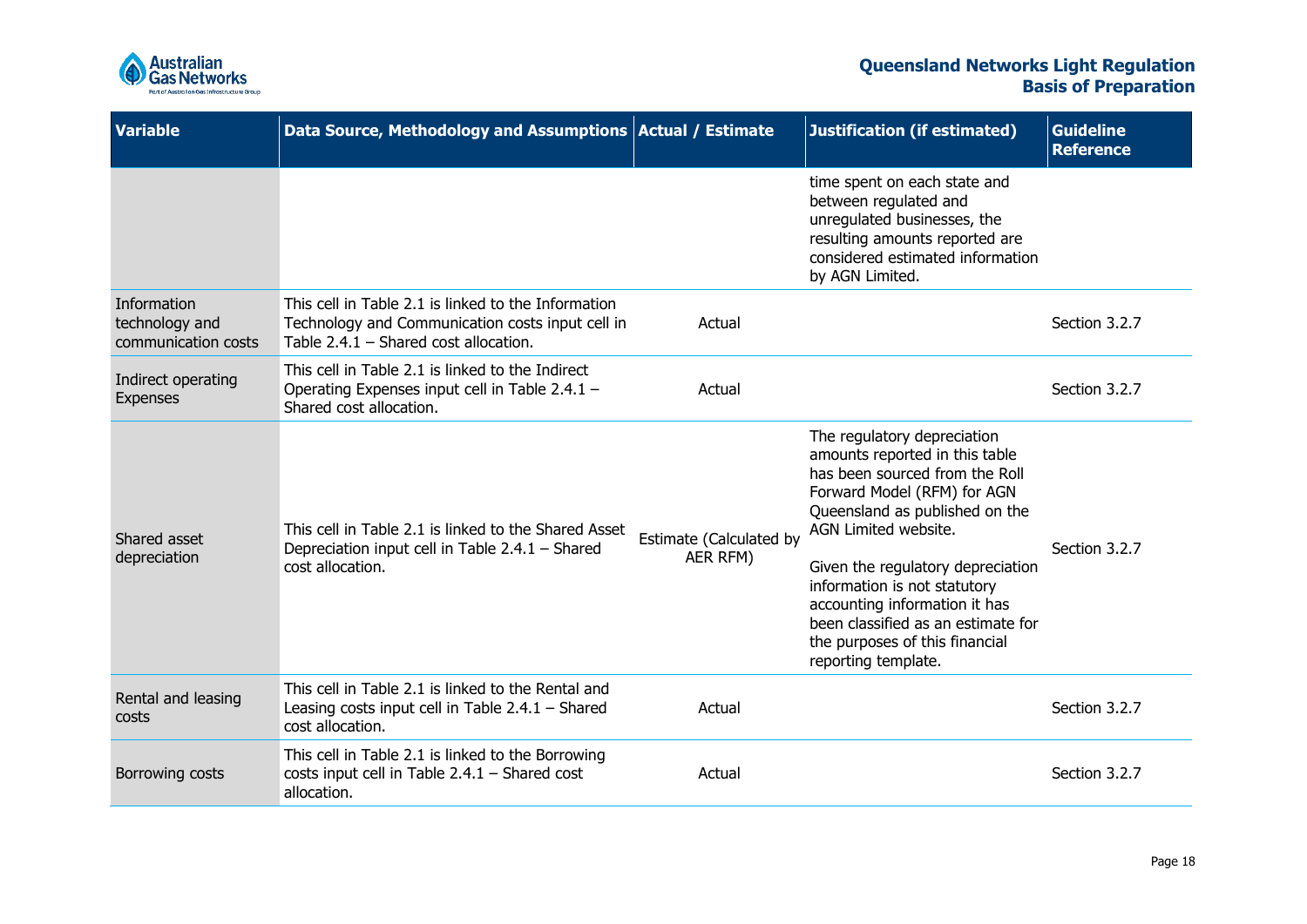

| <b>Variable</b>                                      | Data Source, Methodology and Assumptions Actual / Estimate                                                                                         |                                     | <b>Justification (if estimated)</b>                                                                                                                                                                                                                                                                                                                                                           | <b>Guideline</b><br><b>Reference</b> |
|------------------------------------------------------|----------------------------------------------------------------------------------------------------------------------------------------------------|-------------------------------------|-----------------------------------------------------------------------------------------------------------------------------------------------------------------------------------------------------------------------------------------------------------------------------------------------------------------------------------------------------------------------------------------------|--------------------------------------|
|                                                      |                                                                                                                                                    |                                     | time spent on each state and<br>between regulated and<br>unregulated businesses, the<br>resulting amounts reported are<br>considered estimated information<br>by AGN Limited.                                                                                                                                                                                                                 |                                      |
| Information<br>technology and<br>communication costs | This cell in Table 2.1 is linked to the Information<br>Technology and Communication costs input cell in<br>Table $2.4.1$ – Shared cost allocation. | Actual                              |                                                                                                                                                                                                                                                                                                                                                                                               | Section 3.2.7                        |
| Indirect operating<br>Expenses                       | This cell in Table 2.1 is linked to the Indirect<br>Operating Expenses input cell in Table 2.4.1 -<br>Shared cost allocation.                      | Actual                              |                                                                                                                                                                                                                                                                                                                                                                                               | Section 3.2.7                        |
| Shared asset<br>depreciation                         | This cell in Table 2.1 is linked to the Shared Asset<br>Depreciation input cell in Table 2.4.1 - Shared<br>cost allocation.                        | Estimate (Calculated by<br>AER RFM) | The regulatory depreciation<br>amounts reported in this table<br>has been sourced from the Roll<br>Forward Model (RFM) for AGN<br>Queensland as published on the<br>AGN Limited website.<br>Given the regulatory depreciation<br>information is not statutory<br>accounting information it has<br>been classified as an estimate for<br>the purposes of this financial<br>reporting template. | Section 3.2.7                        |
| Rental and leasing<br>costs                          | This cell in Table 2.1 is linked to the Rental and<br>Leasing costs input cell in Table $2.4.1$ – Shared<br>cost allocation.                       | Actual                              |                                                                                                                                                                                                                                                                                                                                                                                               | Section 3.2.7                        |
| Borrowing costs                                      | This cell in Table 2.1 is linked to the Borrowing<br>costs input cell in Table $2.4.1$ – Shared cost<br>allocation.                                | Actual                              |                                                                                                                                                                                                                                                                                                                                                                                               | Section 3.2.7                        |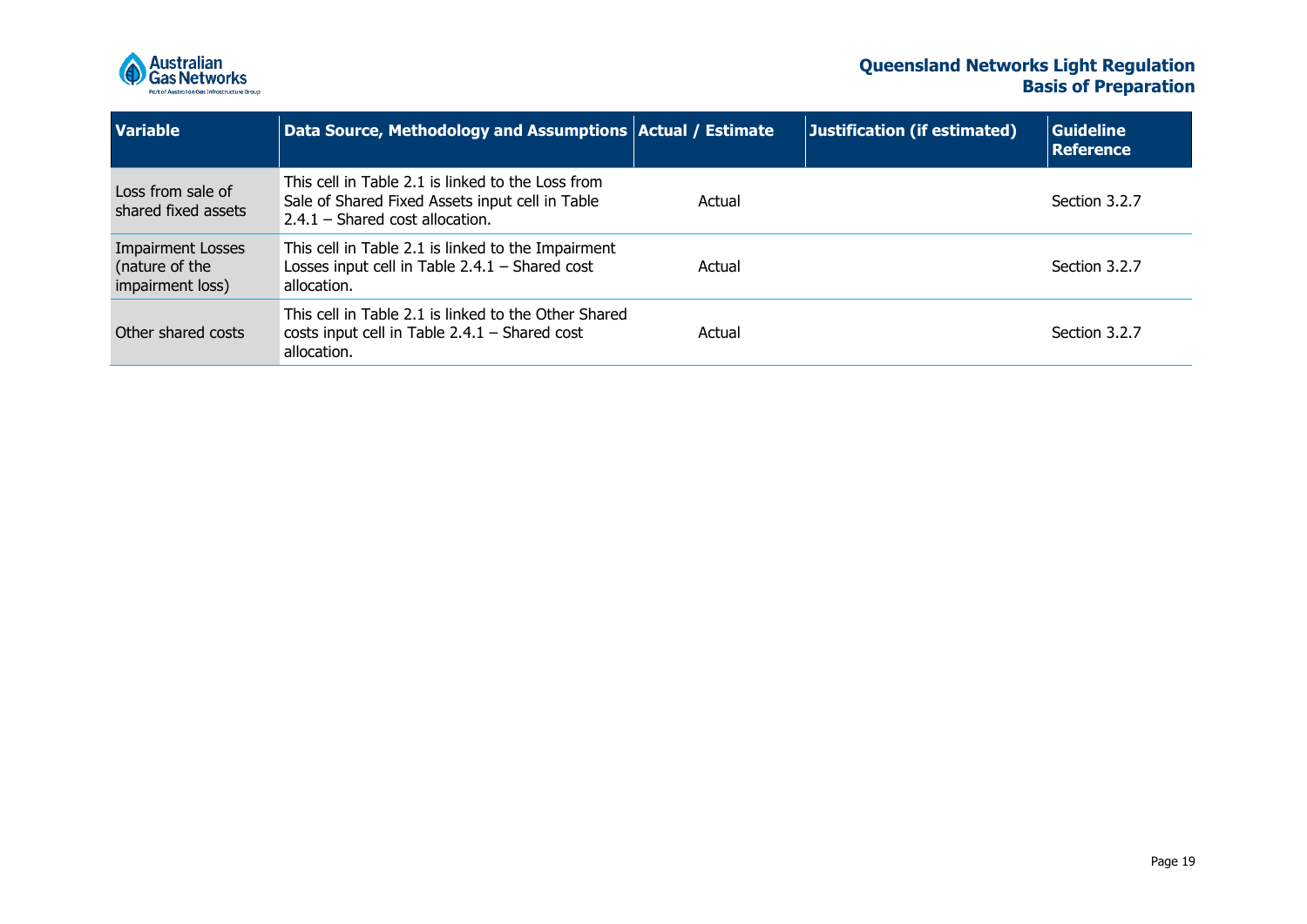

| <b>Variable</b>                                                | Data Source, Methodology and Assumptions Actual / Estimate                                                                                |        | Justification (if estimated) | <b>Guideline</b><br><b>Reference</b> |
|----------------------------------------------------------------|-------------------------------------------------------------------------------------------------------------------------------------------|--------|------------------------------|--------------------------------------|
| Loss from sale of<br>shared fixed assets                       | This cell in Table 2.1 is linked to the Loss from<br>Sale of Shared Fixed Assets input cell in Table<br>$2.4.1$ – Shared cost allocation. | Actual |                              | Section 3.2.7                        |
| <b>Impairment Losses</b><br>(nature of the<br>impairment loss) | This cell in Table 2.1 is linked to the Impairment<br>Losses input cell in Table $2.4.1$ – Shared cost<br>allocation.                     | Actual |                              | Section 3.2.7                        |
| Other shared costs                                             | This cell in Table 2.1 is linked to the Other Shared<br>costs input cell in Table $2.4.1$ – Shared cost<br>allocation.                    | Actual |                              | Section 3.2.7                        |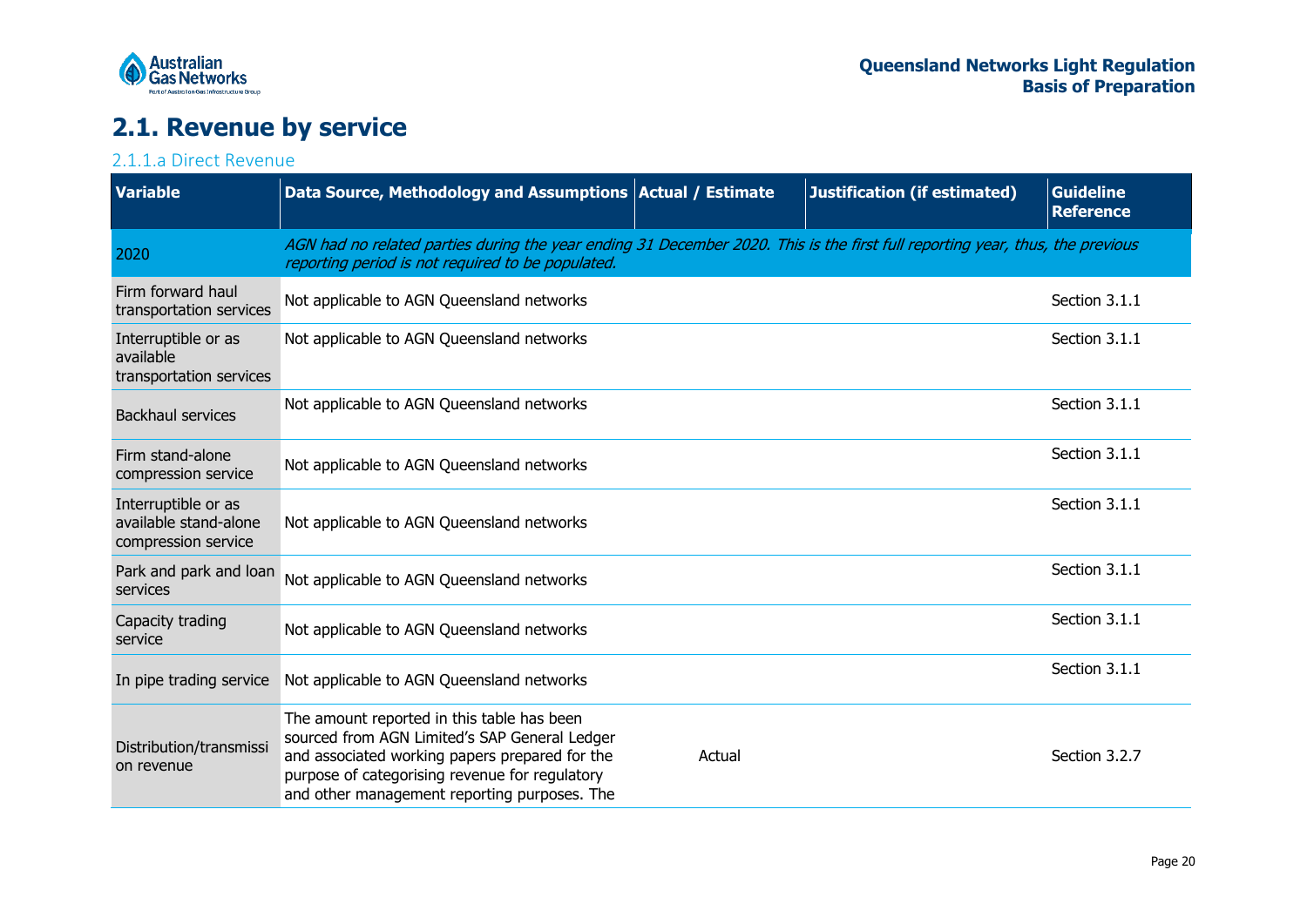

## **2.1. Revenue by service**

### 2.1.1.a Direct Revenue

<span id="page-19-1"></span><span id="page-19-0"></span>

| <b>Variable</b>                                                     | Data Source, Methodology and Assumptions   Actual / Estimate                                                                                                                                                                                    |        | <b>Justification (if estimated)</b> | <b>Guideline</b><br><b>Reference</b> |
|---------------------------------------------------------------------|-------------------------------------------------------------------------------------------------------------------------------------------------------------------------------------------------------------------------------------------------|--------|-------------------------------------|--------------------------------------|
| 2020                                                                | AGN had no related parties during the year ending 31 December 2020. This is the first full reporting year, thus, the previous<br>reporting period is not required to be populated.                                                              |        |                                     |                                      |
| Firm forward haul<br>transportation services                        | Not applicable to AGN Queensland networks                                                                                                                                                                                                       |        |                                     | Section 3.1.1                        |
| Interruptible or as<br>available<br>transportation services         | Not applicable to AGN Queensland networks                                                                                                                                                                                                       |        |                                     | Section 3.1.1                        |
| <b>Backhaul services</b>                                            | Not applicable to AGN Queensland networks                                                                                                                                                                                                       |        |                                     | Section 3.1.1                        |
| Firm stand-alone<br>compression service                             | Not applicable to AGN Queensland networks                                                                                                                                                                                                       |        |                                     | Section 3.1.1                        |
| Interruptible or as<br>available stand-alone<br>compression service | Not applicable to AGN Queensland networks                                                                                                                                                                                                       |        |                                     | Section 3.1.1                        |
| Park and park and loan<br>services                                  | Not applicable to AGN Queensland networks                                                                                                                                                                                                       |        |                                     | Section 3.1.1                        |
| Capacity trading<br>service                                         | Not applicable to AGN Queensland networks                                                                                                                                                                                                       |        |                                     | Section 3.1.1                        |
| In pipe trading service                                             | Not applicable to AGN Queensland networks                                                                                                                                                                                                       |        |                                     | Section 3.1.1                        |
| Distribution/transmissi<br>on revenue                               | The amount reported in this table has been<br>sourced from AGN Limited's SAP General Ledger<br>and associated working papers prepared for the<br>purpose of categorising revenue for regulatory<br>and other management reporting purposes. The | Actual |                                     | Section 3.2.7                        |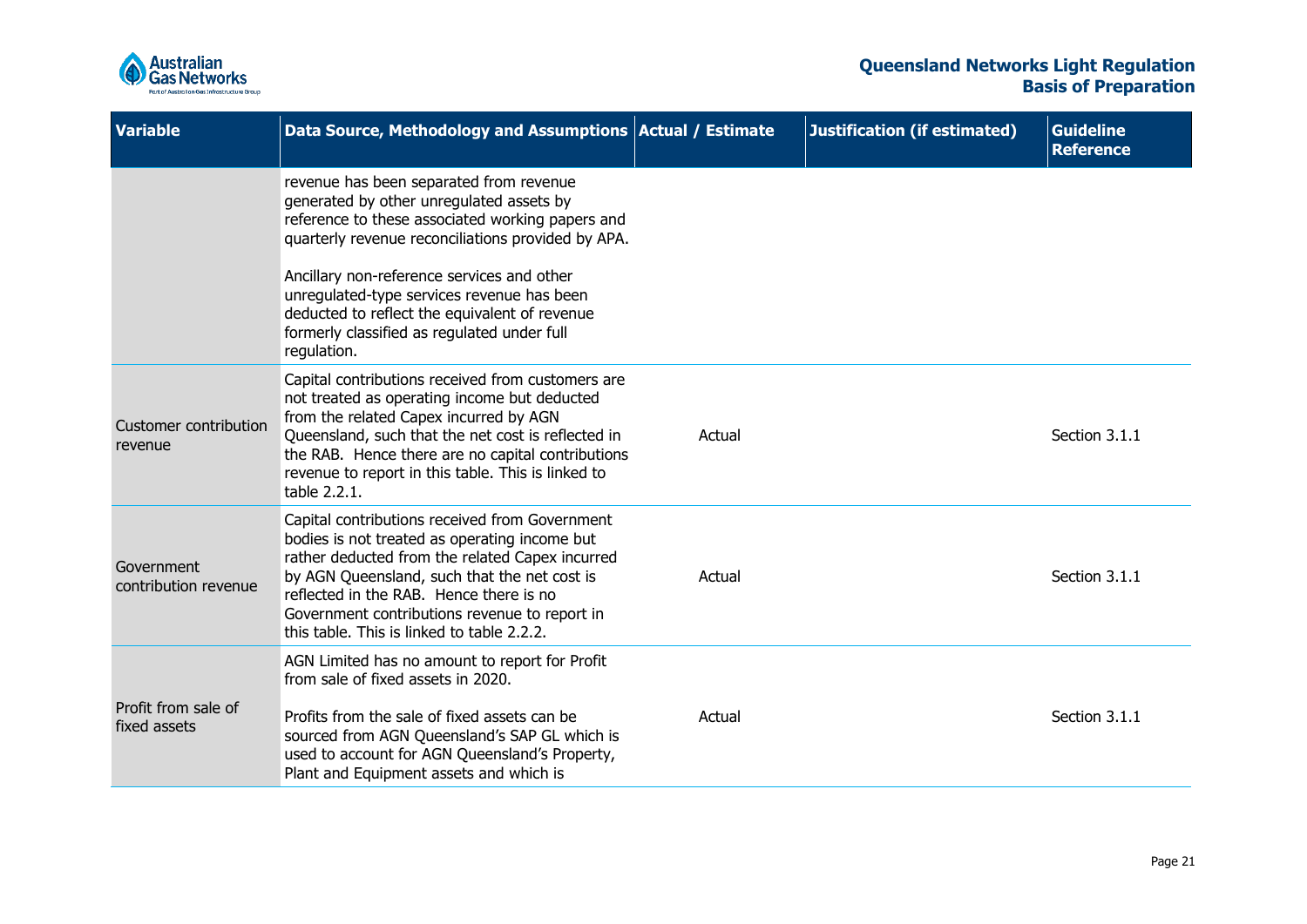

| <b>Variable</b>                     | Data Source, Methodology and Assumptions Actual / Estimate                                                                                                                                                                                                                                                                                                                                               |        | <b>Justification (if estimated)</b> | <b>Guideline</b><br><b>Reference</b> |
|-------------------------------------|----------------------------------------------------------------------------------------------------------------------------------------------------------------------------------------------------------------------------------------------------------------------------------------------------------------------------------------------------------------------------------------------------------|--------|-------------------------------------|--------------------------------------|
|                                     | revenue has been separated from revenue<br>generated by other unregulated assets by<br>reference to these associated working papers and<br>quarterly revenue reconciliations provided by APA.<br>Ancillary non-reference services and other<br>unregulated-type services revenue has been<br>deducted to reflect the equivalent of revenue<br>formerly classified as regulated under full<br>regulation. |        |                                     |                                      |
| Customer contribution<br>revenue    | Capital contributions received from customers are<br>not treated as operating income but deducted<br>from the related Capex incurred by AGN<br>Queensland, such that the net cost is reflected in<br>the RAB. Hence there are no capital contributions<br>revenue to report in this table. This is linked to<br>table 2.2.1.                                                                             | Actual |                                     | Section 3.1.1                        |
| Government<br>contribution revenue  | Capital contributions received from Government<br>bodies is not treated as operating income but<br>rather deducted from the related Capex incurred<br>by AGN Queensland, such that the net cost is<br>reflected in the RAB. Hence there is no<br>Government contributions revenue to report in<br>this table. This is linked to table 2.2.2.                                                             | Actual |                                     | Section 3.1.1                        |
| Profit from sale of<br>fixed assets | AGN Limited has no amount to report for Profit<br>from sale of fixed assets in 2020.<br>Profits from the sale of fixed assets can be<br>sourced from AGN Queensland's SAP GL which is<br>used to account for AGN Queensland's Property,<br>Plant and Equipment assets and which is                                                                                                                       | Actual |                                     | Section 3.1.1                        |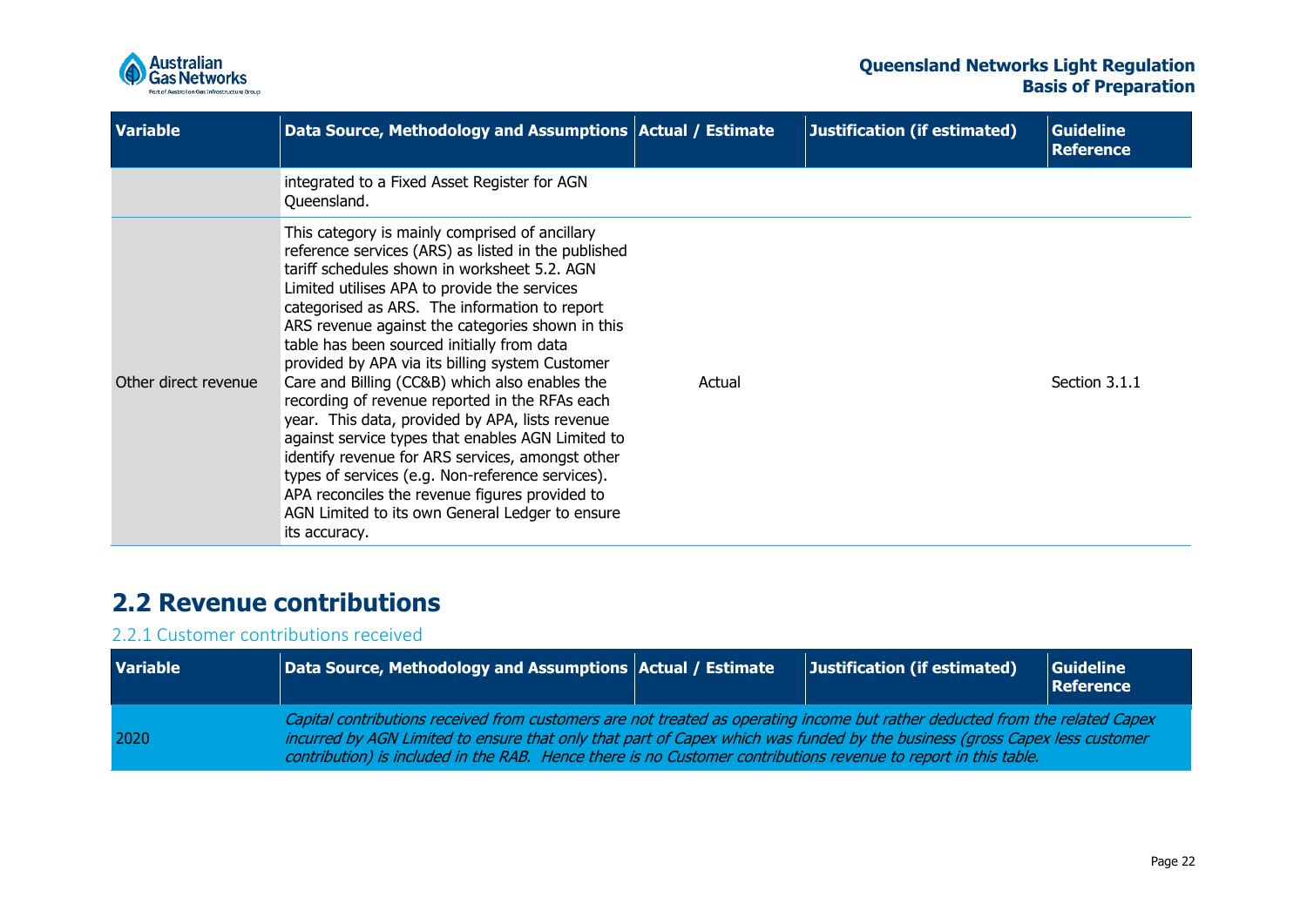

| <b>Variable</b>      | Data Source, Methodology and Assumptions   Actual / Estimate                                                                                                                                                                                                                                                                                                                                                                                                                                                                                                                                                                                                                                                                                                                                                                                          |        | Justification (if estimated) | <b>Guideline</b><br><b>Reference</b> |
|----------------------|-------------------------------------------------------------------------------------------------------------------------------------------------------------------------------------------------------------------------------------------------------------------------------------------------------------------------------------------------------------------------------------------------------------------------------------------------------------------------------------------------------------------------------------------------------------------------------------------------------------------------------------------------------------------------------------------------------------------------------------------------------------------------------------------------------------------------------------------------------|--------|------------------------------|--------------------------------------|
|                      | integrated to a Fixed Asset Register for AGN<br>Queensland.                                                                                                                                                                                                                                                                                                                                                                                                                                                                                                                                                                                                                                                                                                                                                                                           |        |                              |                                      |
| Other direct revenue | This category is mainly comprised of ancillary<br>reference services (ARS) as listed in the published<br>tariff schedules shown in worksheet 5.2. AGN<br>Limited utilises APA to provide the services<br>categorised as ARS. The information to report<br>ARS revenue against the categories shown in this<br>table has been sourced initially from data<br>provided by APA via its billing system Customer<br>Care and Billing (CC&B) which also enables the<br>recording of revenue reported in the RFAs each<br>year. This data, provided by APA, lists revenue<br>against service types that enables AGN Limited to<br>identify revenue for ARS services, amongst other<br>types of services (e.g. Non-reference services).<br>APA reconciles the revenue figures provided to<br>AGN Limited to its own General Ledger to ensure<br>its accuracy. | Actual |                              | Section 3.1.1                        |

## **2.2 Revenue contributions**

### 2.2.1 Customer contributions received

<span id="page-21-1"></span><span id="page-21-0"></span>

| <b>Variable</b> | Data Source, Methodology and Assumptions Actual / Estimate                                                                                                                                                                                                                                                                                                                    |  | Justification (if estimated) | Guideline<br>Reference |  |
|-----------------|-------------------------------------------------------------------------------------------------------------------------------------------------------------------------------------------------------------------------------------------------------------------------------------------------------------------------------------------------------------------------------|--|------------------------------|------------------------|--|
| 2020            | Capital contributions received from customers are not treated as operating income but rather deducted from the related Capex<br>incurred by AGN Limited to ensure that only that part of Capex which was funded by the business (gross Capex less customer<br>contribution) is included in the RAB. Hence there is no Customer contributions revenue to report in this table. |  |                              |                        |  |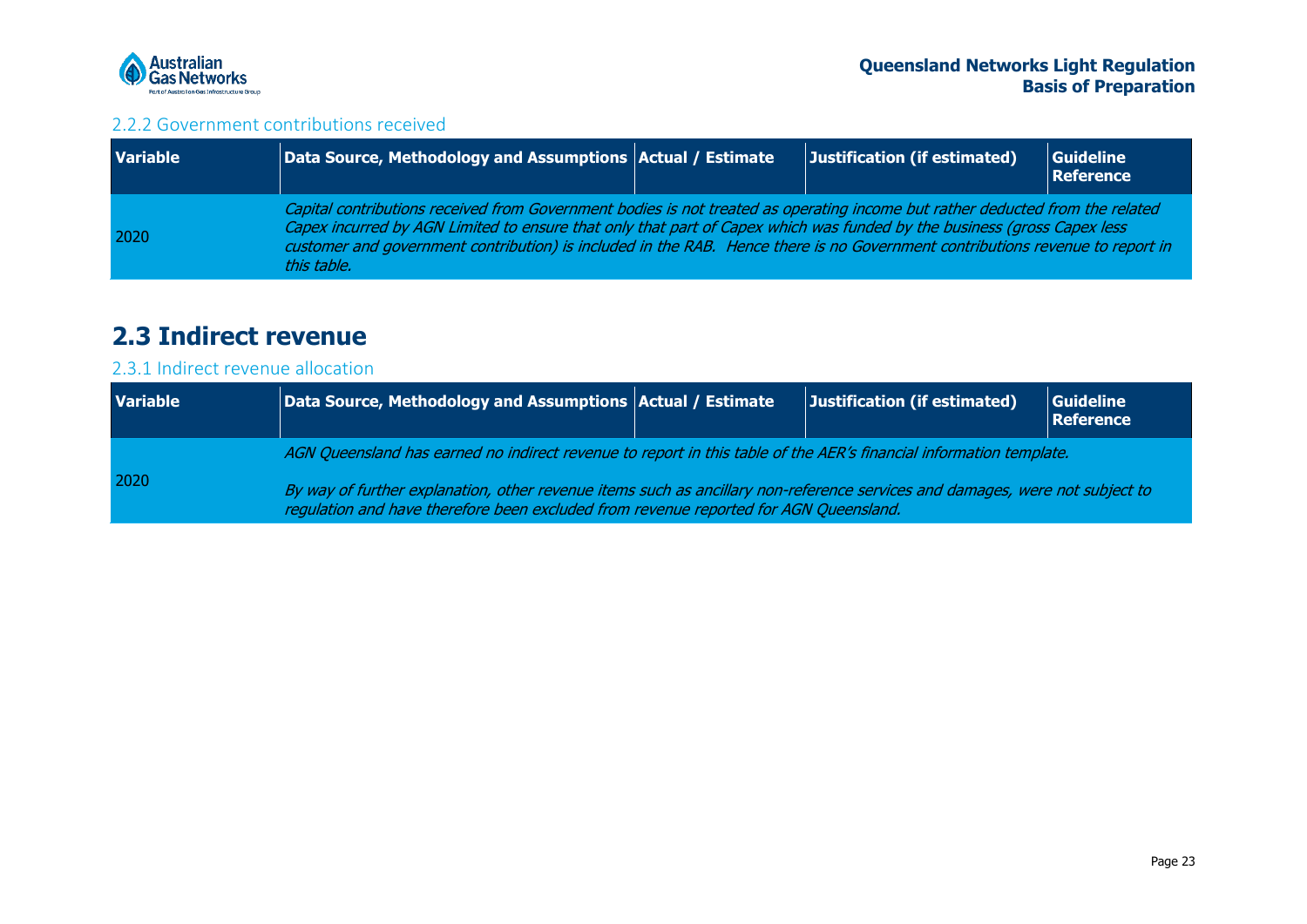

### 2.2.2 Government contributions received

| <b>Variable</b> | $\vert\vert$ Data Source, Methodology and Assumptions $\vert$ Actual / Estimate $\vert$                                                                                                                                                                                                                                                                                                                  | Justification (if estimated) | Guideline<br>Reference |
|-----------------|----------------------------------------------------------------------------------------------------------------------------------------------------------------------------------------------------------------------------------------------------------------------------------------------------------------------------------------------------------------------------------------------------------|------------------------------|------------------------|
| 2020            | Capital contributions received from Government bodies is not treated as operating income but rather deducted from the related<br>Capex incurred by AGN Limited to ensure that only that part of Capex which was funded by the business (gross Capex less<br>customer and government contribution) is included in the RAB. Hence there is no Government contributions revenue to report in<br>this table. |                              |                        |

## **2.3 Indirect revenue**

### 2.3.1 Indirect revenue allocation

<span id="page-22-2"></span><span id="page-22-1"></span><span id="page-22-0"></span>

| <b>Variable</b> | Data Source, Methodology and Assumptions Actual / Estimate                                                                                                                                                            |  | Justification (if estimated) | <b>Guideline</b><br><b>Reference</b> |  |
|-----------------|-----------------------------------------------------------------------------------------------------------------------------------------------------------------------------------------------------------------------|--|------------------------------|--------------------------------------|--|
| 2020            | AGN Queensland has earned no indirect revenue to report in this table of the AER's financial information template.                                                                                                    |  |                              |                                      |  |
|                 | By way of further explanation, other revenue items such as ancillary non-reference services and damages, were not subject to<br>requiation and have therefore been excluded from revenue reported for AGN Queensland. |  |                              |                                      |  |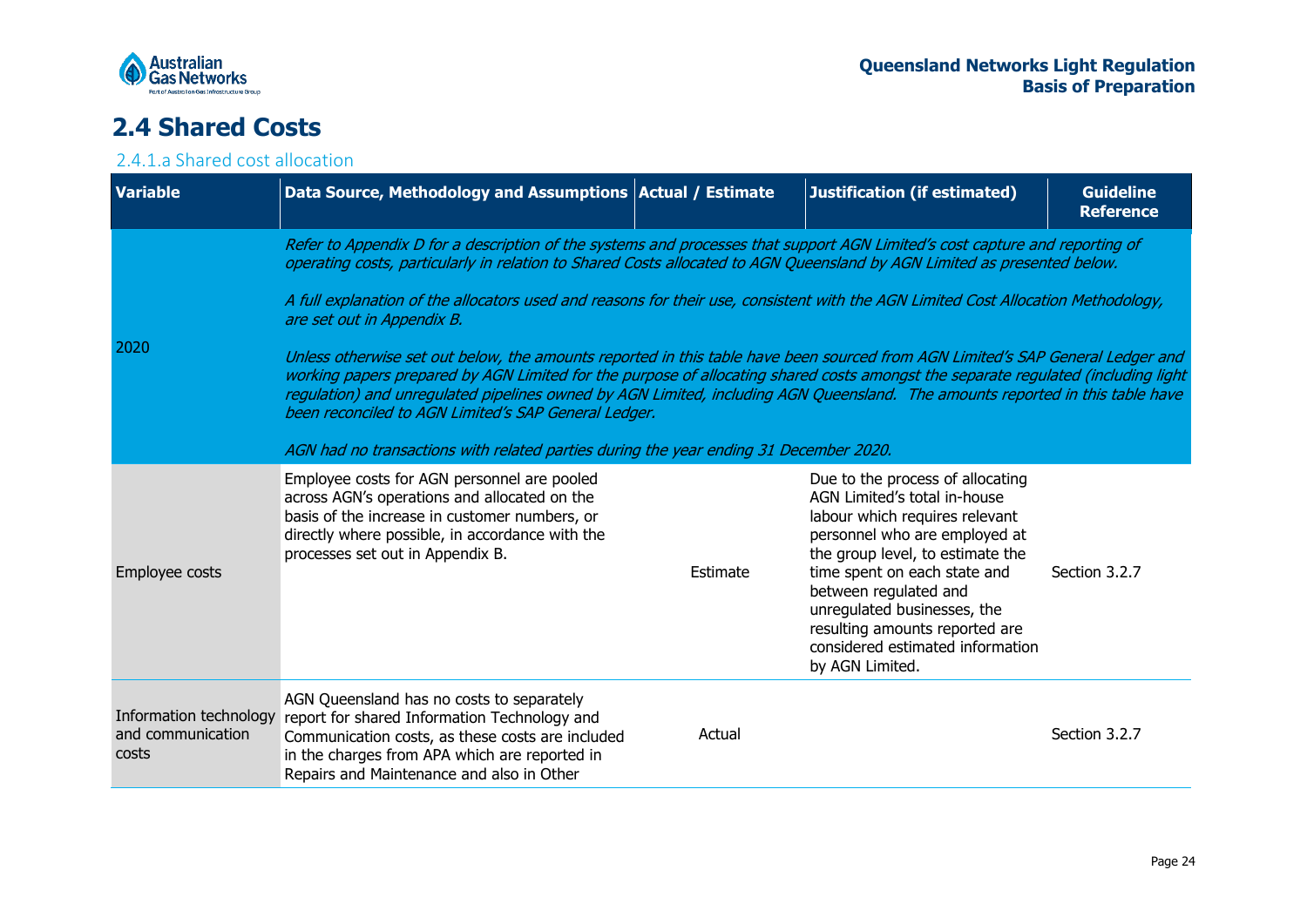

## **2.4 Shared Costs**

### 2.4.1.a Shared cost allocation

<span id="page-23-1"></span><span id="page-23-0"></span>

| <b>Variable</b>                                      | Data Source, Methodology and Assumptions   Actual / Estimate                                                                                                                                                                                                                                                                                                                                                                                                                                                                                                                                                                                                                                                                                                                                                                                                                                                                                                                        |          | Justification (if estimated)                                                                                                                                                                                                                                                                                                                             | <b>Guideline</b><br><b>Reference</b> |
|------------------------------------------------------|-------------------------------------------------------------------------------------------------------------------------------------------------------------------------------------------------------------------------------------------------------------------------------------------------------------------------------------------------------------------------------------------------------------------------------------------------------------------------------------------------------------------------------------------------------------------------------------------------------------------------------------------------------------------------------------------------------------------------------------------------------------------------------------------------------------------------------------------------------------------------------------------------------------------------------------------------------------------------------------|----------|----------------------------------------------------------------------------------------------------------------------------------------------------------------------------------------------------------------------------------------------------------------------------------------------------------------------------------------------------------|--------------------------------------|
| 2020                                                 | Refer to Appendix D for a description of the systems and processes that support AGN Limited's cost capture and reporting of<br>operating costs, particularly in relation to Shared Costs allocated to AGN Queensland by AGN Limited as presented below.<br>A full explanation of the allocators used and reasons for their use, consistent with the AGN Limited Cost Allocation Methodology,<br>are set out in Appendix B.<br>Unless otherwise set out below, the amounts reported in this table have been sourced from AGN Limited's SAP General Ledger and<br>working papers prepared by AGN Limited for the purpose of allocating shared costs amongst the separate regulated (including light<br>regulation) and unregulated pipelines owned by AGN Limited, including AGN Queensland. The amounts reported in this table have<br>been reconciled to AGN Limited's SAP General Ledger.<br>AGN had no transactions with related parties during the year ending 31 December 2020. |          |                                                                                                                                                                                                                                                                                                                                                          |                                      |
| Employee costs                                       | Employee costs for AGN personnel are pooled<br>across AGN's operations and allocated on the<br>basis of the increase in customer numbers, or<br>directly where possible, in accordance with the<br>processes set out in Appendix B.                                                                                                                                                                                                                                                                                                                                                                                                                                                                                                                                                                                                                                                                                                                                                 | Estimate | Due to the process of allocating<br>AGN Limited's total in-house<br>labour which requires relevant<br>personnel who are employed at<br>the group level, to estimate the<br>time spent on each state and<br>between regulated and<br>unregulated businesses, the<br>resulting amounts reported are<br>considered estimated information<br>by AGN Limited. | Section 3.2.7                        |
| Information technology<br>and communication<br>costs | AGN Queensland has no costs to separately<br>report for shared Information Technology and<br>Communication costs, as these costs are included<br>in the charges from APA which are reported in<br>Repairs and Maintenance and also in Other                                                                                                                                                                                                                                                                                                                                                                                                                                                                                                                                                                                                                                                                                                                                         | Actual   |                                                                                                                                                                                                                                                                                                                                                          | Section 3.2.7                        |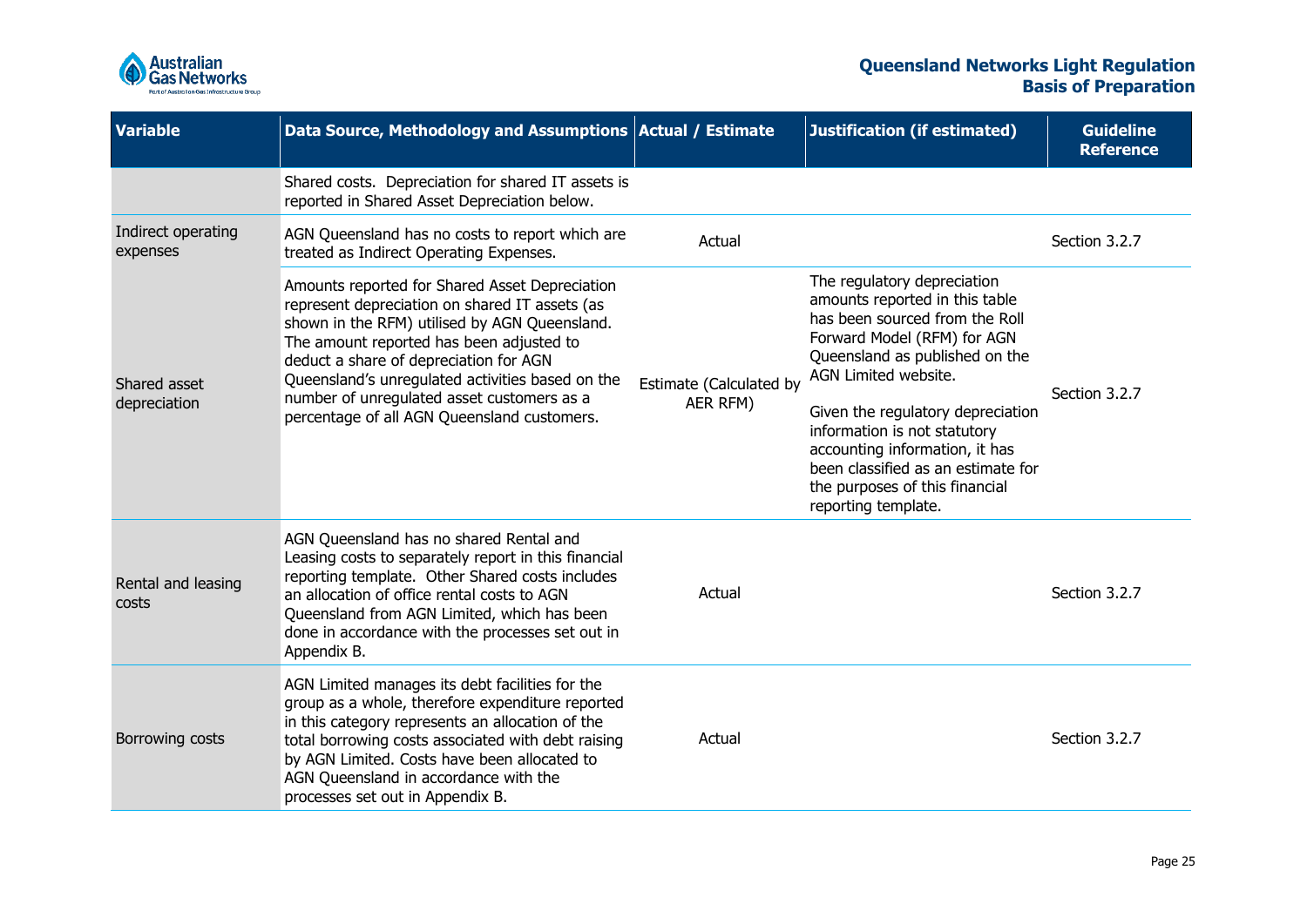

| <b>Variable</b>                | Data Source, Methodology and Assumptions Actual / Estimate                                                                                                                                                                                                                                                                                                                               |                                     | <b>Justification (if estimated)</b>                                                                                                                                                                                                                                                                                                                                                            | <b>Guideline</b><br><b>Reference</b> |
|--------------------------------|------------------------------------------------------------------------------------------------------------------------------------------------------------------------------------------------------------------------------------------------------------------------------------------------------------------------------------------------------------------------------------------|-------------------------------------|------------------------------------------------------------------------------------------------------------------------------------------------------------------------------------------------------------------------------------------------------------------------------------------------------------------------------------------------------------------------------------------------|--------------------------------------|
|                                | Shared costs. Depreciation for shared IT assets is<br>reported in Shared Asset Depreciation below.                                                                                                                                                                                                                                                                                       |                                     |                                                                                                                                                                                                                                                                                                                                                                                                |                                      |
| Indirect operating<br>expenses | AGN Queensland has no costs to report which are<br>treated as Indirect Operating Expenses.                                                                                                                                                                                                                                                                                               | Actual                              |                                                                                                                                                                                                                                                                                                                                                                                                | Section 3.2.7                        |
| Shared asset<br>depreciation   | Amounts reported for Shared Asset Depreciation<br>represent depreciation on shared IT assets (as<br>shown in the RFM) utilised by AGN Queensland.<br>The amount reported has been adjusted to<br>deduct a share of depreciation for AGN<br>Queensland's unregulated activities based on the<br>number of unregulated asset customers as a<br>percentage of all AGN Queensland customers. | Estimate (Calculated by<br>AER RFM) | The regulatory depreciation<br>amounts reported in this table<br>has been sourced from the Roll<br>Forward Model (RFM) for AGN<br>Queensland as published on the<br>AGN Limited website.<br>Given the regulatory depreciation<br>information is not statutory<br>accounting information, it has<br>been classified as an estimate for<br>the purposes of this financial<br>reporting template. | Section 3.2.7                        |
| Rental and leasing<br>costs    | AGN Queensland has no shared Rental and<br>Leasing costs to separately report in this financial<br>reporting template. Other Shared costs includes<br>an allocation of office rental costs to AGN<br>Queensland from AGN Limited, which has been<br>done in accordance with the processes set out in<br>Appendix B.                                                                      | Actual                              |                                                                                                                                                                                                                                                                                                                                                                                                | Section 3.2.7                        |
| Borrowing costs                | AGN Limited manages its debt facilities for the<br>group as a whole, therefore expenditure reported<br>in this category represents an allocation of the<br>total borrowing costs associated with debt raising<br>by AGN Limited. Costs have been allocated to<br>AGN Queensland in accordance with the<br>processes set out in Appendix B.                                               | Actual                              |                                                                                                                                                                                                                                                                                                                                                                                                | Section 3.2.7                        |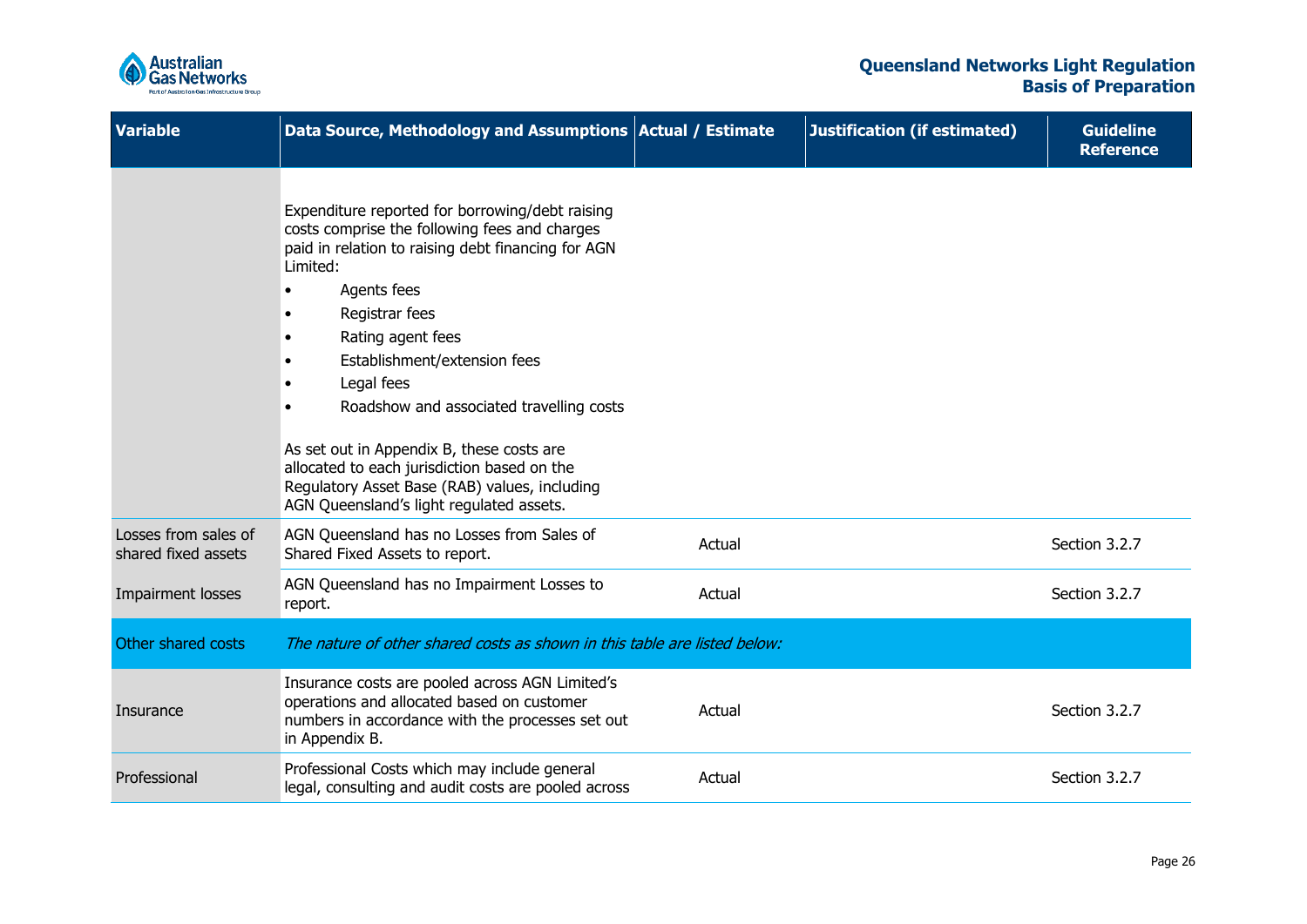

| <b>Variable</b>                             | Data Source, Methodology and Assumptions Actual / Estimate                                                                                                                                                                                                                                                                                                                                                                                                                                                  |        | <b>Justification (if estimated)</b> | <b>Guideline</b><br><b>Reference</b> |
|---------------------------------------------|-------------------------------------------------------------------------------------------------------------------------------------------------------------------------------------------------------------------------------------------------------------------------------------------------------------------------------------------------------------------------------------------------------------------------------------------------------------------------------------------------------------|--------|-------------------------------------|--------------------------------------|
|                                             | Expenditure reported for borrowing/debt raising<br>costs comprise the following fees and charges<br>paid in relation to raising debt financing for AGN<br>Limited:<br>Agents fees<br>Registrar fees<br>Rating agent fees<br>Establishment/extension fees<br>Legal fees<br>Roadshow and associated travelling costs<br>As set out in Appendix B, these costs are<br>allocated to each jurisdiction based on the<br>Regulatory Asset Base (RAB) values, including<br>AGN Queensland's light regulated assets. |        |                                     |                                      |
| Losses from sales of<br>shared fixed assets | AGN Queensland has no Losses from Sales of<br>Shared Fixed Assets to report.                                                                                                                                                                                                                                                                                                                                                                                                                                | Actual |                                     | Section 3.2.7                        |
| Impairment losses                           | AGN Queensland has no Impairment Losses to<br>report.                                                                                                                                                                                                                                                                                                                                                                                                                                                       | Actual |                                     | Section 3.2.7                        |
| Other shared costs                          | The nature of other shared costs as shown in this table are listed below:                                                                                                                                                                                                                                                                                                                                                                                                                                   |        |                                     |                                      |
| Insurance                                   | Insurance costs are pooled across AGN Limited's<br>operations and allocated based on customer<br>numbers in accordance with the processes set out<br>in Appendix B.                                                                                                                                                                                                                                                                                                                                         | Actual |                                     | Section 3.2.7                        |
| Professional                                | Professional Costs which may include general<br>legal, consulting and audit costs are pooled across                                                                                                                                                                                                                                                                                                                                                                                                         | Actual |                                     | Section 3.2.7                        |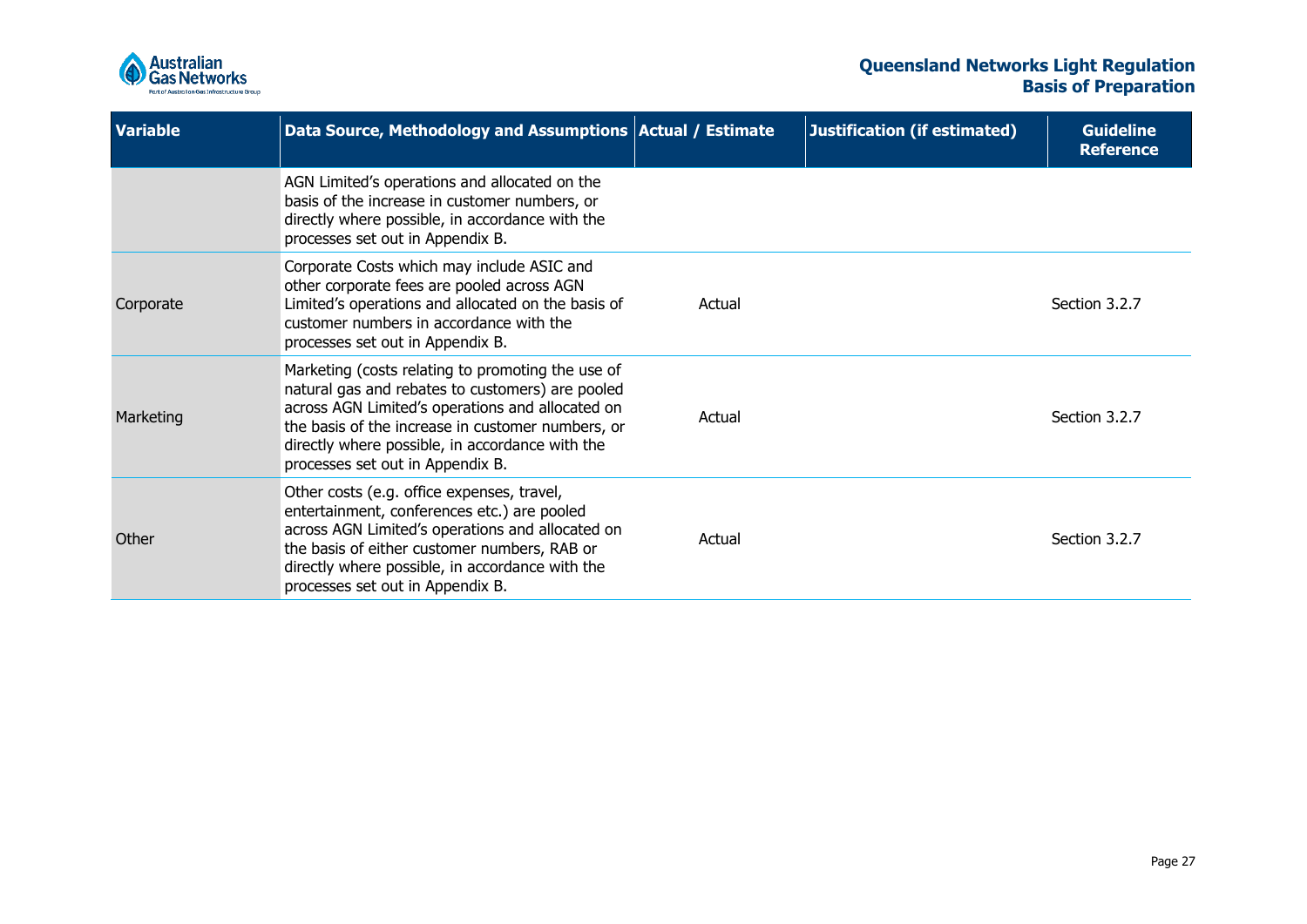

| <b>Variable</b> | Data Source, Methodology and Assumptions   Actual / Estimate                                                                                                                                                                                                                                          |        | <b>Justification (if estimated)</b> | <b>Guideline</b><br><b>Reference</b> |
|-----------------|-------------------------------------------------------------------------------------------------------------------------------------------------------------------------------------------------------------------------------------------------------------------------------------------------------|--------|-------------------------------------|--------------------------------------|
|                 | AGN Limited's operations and allocated on the<br>basis of the increase in customer numbers, or<br>directly where possible, in accordance with the<br>processes set out in Appendix B.                                                                                                                 |        |                                     |                                      |
| Corporate       | Corporate Costs which may include ASIC and<br>other corporate fees are pooled across AGN<br>Limited's operations and allocated on the basis of<br>customer numbers in accordance with the<br>processes set out in Appendix B.                                                                         | Actual |                                     | Section 3.2.7                        |
| Marketing       | Marketing (costs relating to promoting the use of<br>natural gas and rebates to customers) are pooled<br>across AGN Limited's operations and allocated on<br>the basis of the increase in customer numbers, or<br>directly where possible, in accordance with the<br>processes set out in Appendix B. | Actual |                                     | Section 3.2.7                        |
| Other           | Other costs (e.g. office expenses, travel,<br>entertainment, conferences etc.) are pooled<br>across AGN Limited's operations and allocated on<br>the basis of either customer numbers, RAB or<br>directly where possible, in accordance with the<br>processes set out in Appendix B.                  | Actual |                                     | Section 3.2.7                        |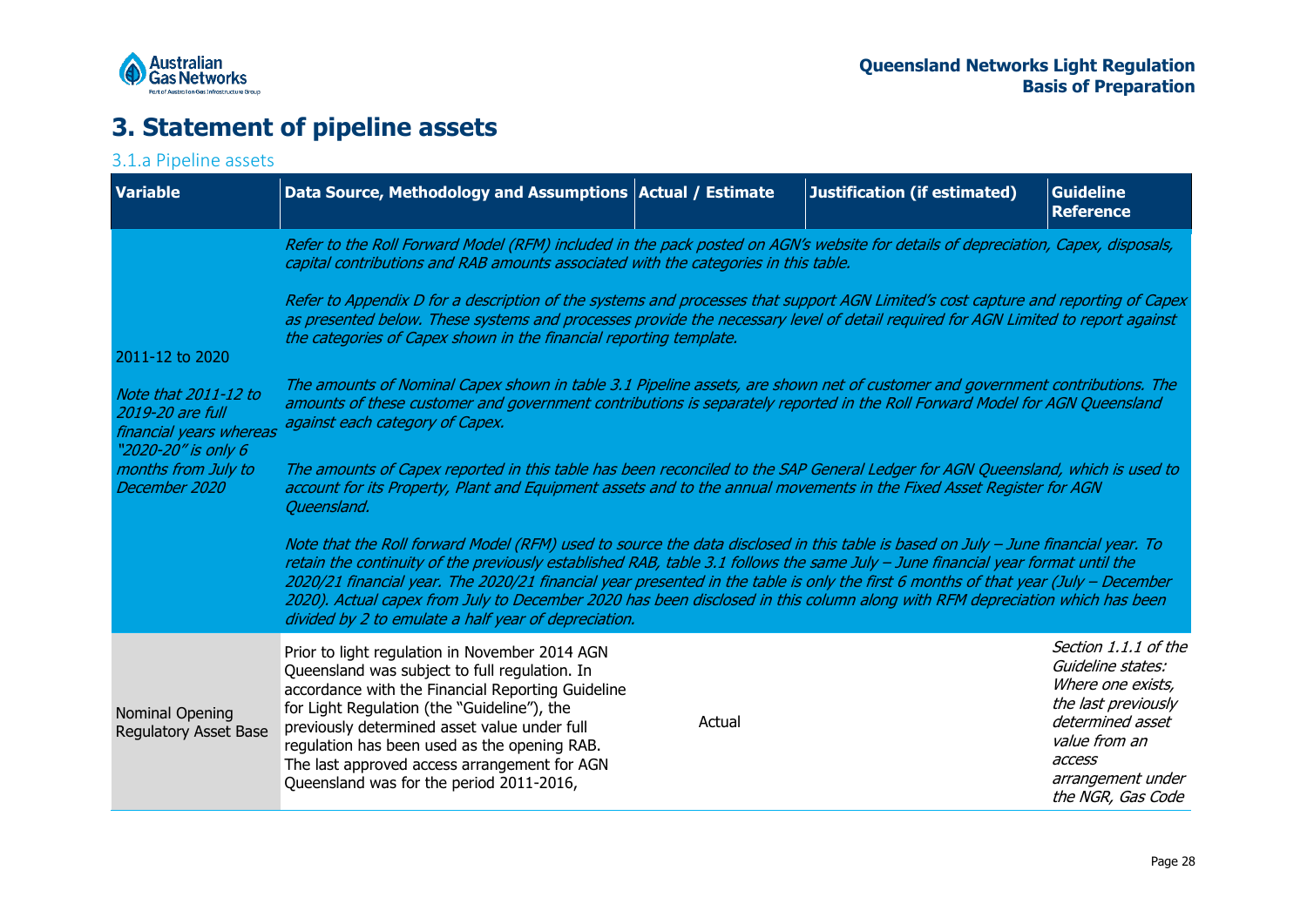

## **3. Statement of pipeline assets**

### 3.1.a Pipeline assets

<span id="page-27-1"></span><span id="page-27-0"></span>

| <b>Variable</b>                                                                            | Data Source, Methodology and Assumptions   Actual / Estimate                                                                                                                                                                                                                                                                                                                                                                                                                                                                                                                                      |        | <b>Justification (if estimated)</b> | <b>Guideline</b><br><b>Reference</b>                                                                                                                                           |
|--------------------------------------------------------------------------------------------|---------------------------------------------------------------------------------------------------------------------------------------------------------------------------------------------------------------------------------------------------------------------------------------------------------------------------------------------------------------------------------------------------------------------------------------------------------------------------------------------------------------------------------------------------------------------------------------------------|--------|-------------------------------------|--------------------------------------------------------------------------------------------------------------------------------------------------------------------------------|
|                                                                                            | Refer to the Roll Forward Model (RFM) included in the pack posted on AGN's website for details of depreciation, Capex, disposals,<br>capital contributions and RAB amounts associated with the categories in this table.                                                                                                                                                                                                                                                                                                                                                                          |        |                                     |                                                                                                                                                                                |
| 2011-12 to 2020                                                                            | Refer to Appendix D for a description of the systems and processes that support AGN Limited's cost capture and reporting of Capex<br>as presented below. These systems and processes provide the necessary level of detail required for AGN Limited to report against<br>the categories of Capex shown in the financial reporting template.                                                                                                                                                                                                                                                       |        |                                     |                                                                                                                                                                                |
| Note that 2011-12 to<br>2019-20 are full<br>financial years whereas<br>"2020-20" is only 6 | The amounts of Nominal Capex shown in table 3.1 Pipeline assets, are shown net of customer and government contributions. The<br>amounts of these customer and government contributions is separately reported in the Roll Forward Model for AGN Queensland<br>against each category of Capex.                                                                                                                                                                                                                                                                                                     |        |                                     |                                                                                                                                                                                |
| months from July to<br>December 2020                                                       | The amounts of Capex reported in this table has been reconciled to the SAP General Ledger for AGN Queensland, which is used to<br>account for its Property, Plant and Equipment assets and to the annual movements in the Fixed Asset Register for AGN<br>Queensland.                                                                                                                                                                                                                                                                                                                             |        |                                     |                                                                                                                                                                                |
|                                                                                            | Note that the Roll forward Model (RFM) used to source the data disclosed in this table is based on July - June financial year. To<br>retain the continuity of the previously established RAB, table 3.1 follows the same July - June financial year format until the<br>2020/21 financial year. The 2020/21 financial year presented in the table is only the first 6 months of that year (July - December<br>2020). Actual capex from July to December 2020 has been disclosed in this column along with RFM depreciation which has been<br>divided by 2 to emulate a half year of depreciation. |        |                                     |                                                                                                                                                                                |
| Nominal Opening<br><b>Regulatory Asset Base</b>                                            | Prior to light regulation in November 2014 AGN<br>Queensland was subject to full regulation. In<br>accordance with the Financial Reporting Guideline<br>for Light Regulation (the "Guideline"), the<br>previously determined asset value under full<br>regulation has been used as the opening RAB.<br>The last approved access arrangement for AGN<br>Queensland was for the period 2011-2016,                                                                                                                                                                                                   | Actual |                                     | Section 1.1.1 of the<br>Guideline states:<br>Where one exists,<br>the last previously<br>determined asset<br>value from an<br>access<br>arrangement under<br>the NGR, Gas Code |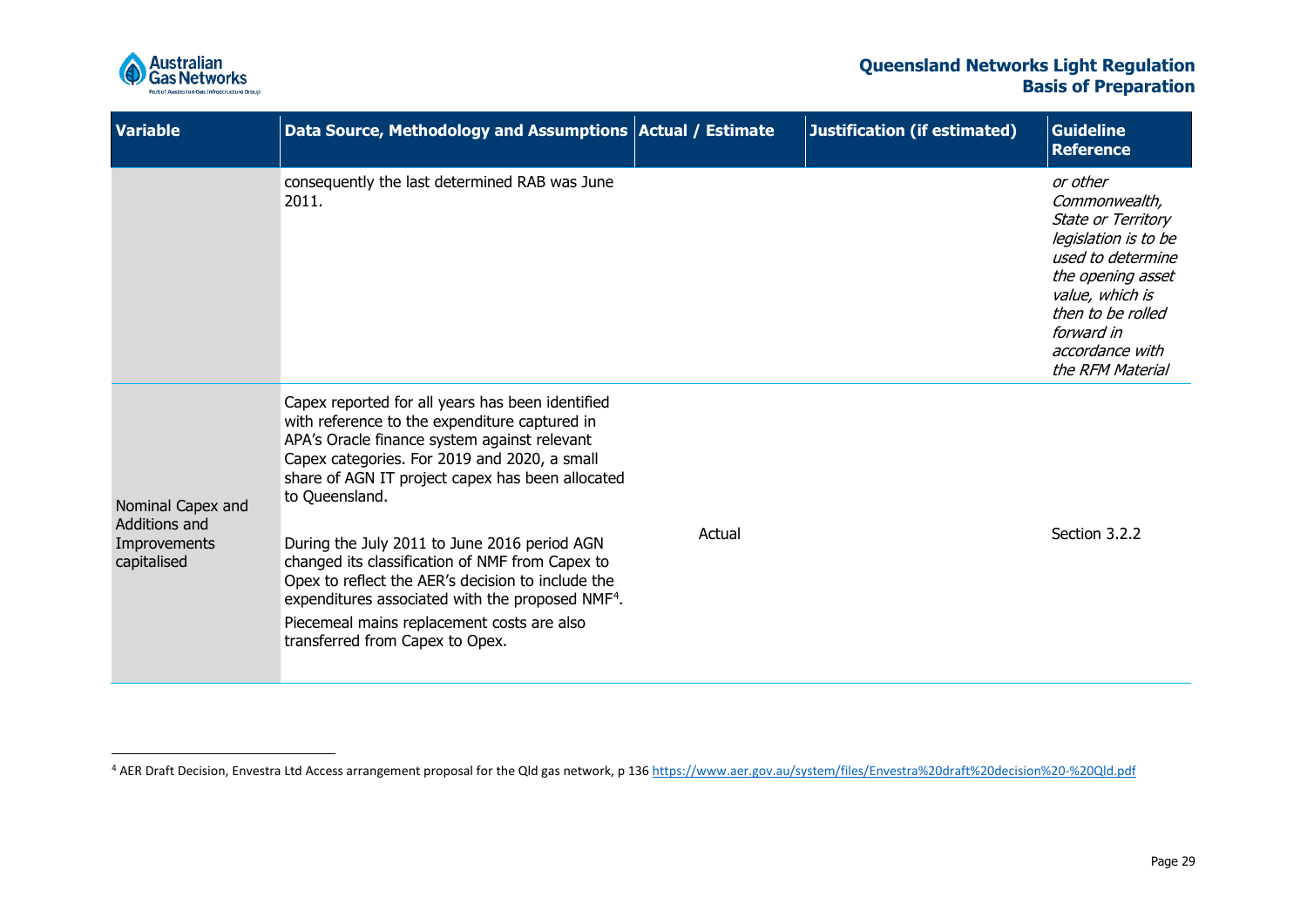<span id="page-28-0"></span>

| <b>Variable</b>                                                   | Data Source, Methodology and Assumptions   Actual / Estimate                                                                                                                                                                                                                                                                                                                                                                                                                                                                                                                     |        | <b>Justification (if estimated)</b> | <b>Guideline</b><br><b>Reference</b>                                                                                                                                                                           |
|-------------------------------------------------------------------|----------------------------------------------------------------------------------------------------------------------------------------------------------------------------------------------------------------------------------------------------------------------------------------------------------------------------------------------------------------------------------------------------------------------------------------------------------------------------------------------------------------------------------------------------------------------------------|--------|-------------------------------------|----------------------------------------------------------------------------------------------------------------------------------------------------------------------------------------------------------------|
|                                                                   | consequently the last determined RAB was June<br>2011.                                                                                                                                                                                                                                                                                                                                                                                                                                                                                                                           |        |                                     | or other<br>Commonwealth,<br>State or Territory<br>legislation is to be<br>used to determine<br>the opening asset<br>value, which is<br>then to be rolled<br>forward in<br>accordance with<br>the RFM Material |
| Nominal Capex and<br>Additions and<br>Improvements<br>capitalised | Capex reported for all years has been identified<br>with reference to the expenditure captured in<br>APA's Oracle finance system against relevant<br>Capex categories. For 2019 and 2020, a small<br>share of AGN IT project capex has been allocated<br>to Queensland.<br>During the July 2011 to June 2016 period AGN<br>changed its classification of NMF from Capex to<br>Opex to reflect the AER's decision to include the<br>expenditures associated with the proposed NMF <sup>4</sup> .<br>Piecemeal mains replacement costs are also<br>transferred from Capex to Opex. | Actual |                                     | Section 3.2.2                                                                                                                                                                                                  |

<sup>&</sup>lt;sup>4</sup> AER Draft Decision, Envestra Ltd Access arrangement proposal for the Qld gas network, p 13[6 https://www.aer.gov.au/system/files/Envestra%20draft%20decision%20-%20Qld.pdf](https://aus01.safelinks.protection.outlook.com/?url=https%3A%2F%2Fwww.aer.gov.au%2Fsystem%2Ffiles%2FEnvestra%2520draft%2520decision%2520-%2520Qld.pdf&data=04%7C01%7CJoe.dodorico%40agig.com.au%7C6ccf59a6912d4f1a020208d90aec2019%7Cf9871c9bc8aa4e58abdf2f0e67acb74a%7C0%7C0%7C637552831530934560%7CUnknown%7CTWFpbGZsb3d8eyJWIjoiMC4wLjAwMDAiLCJQIjoiV2luMzIiLCJBTiI6Ik1haWwiLCJXVCI6Mn0%3D%7C1000&sdata=S0AXae%2FtxhGqAENvjESsgtyzH5%2BbkSeBX9kmr7lMy0c%3D&reserved=0)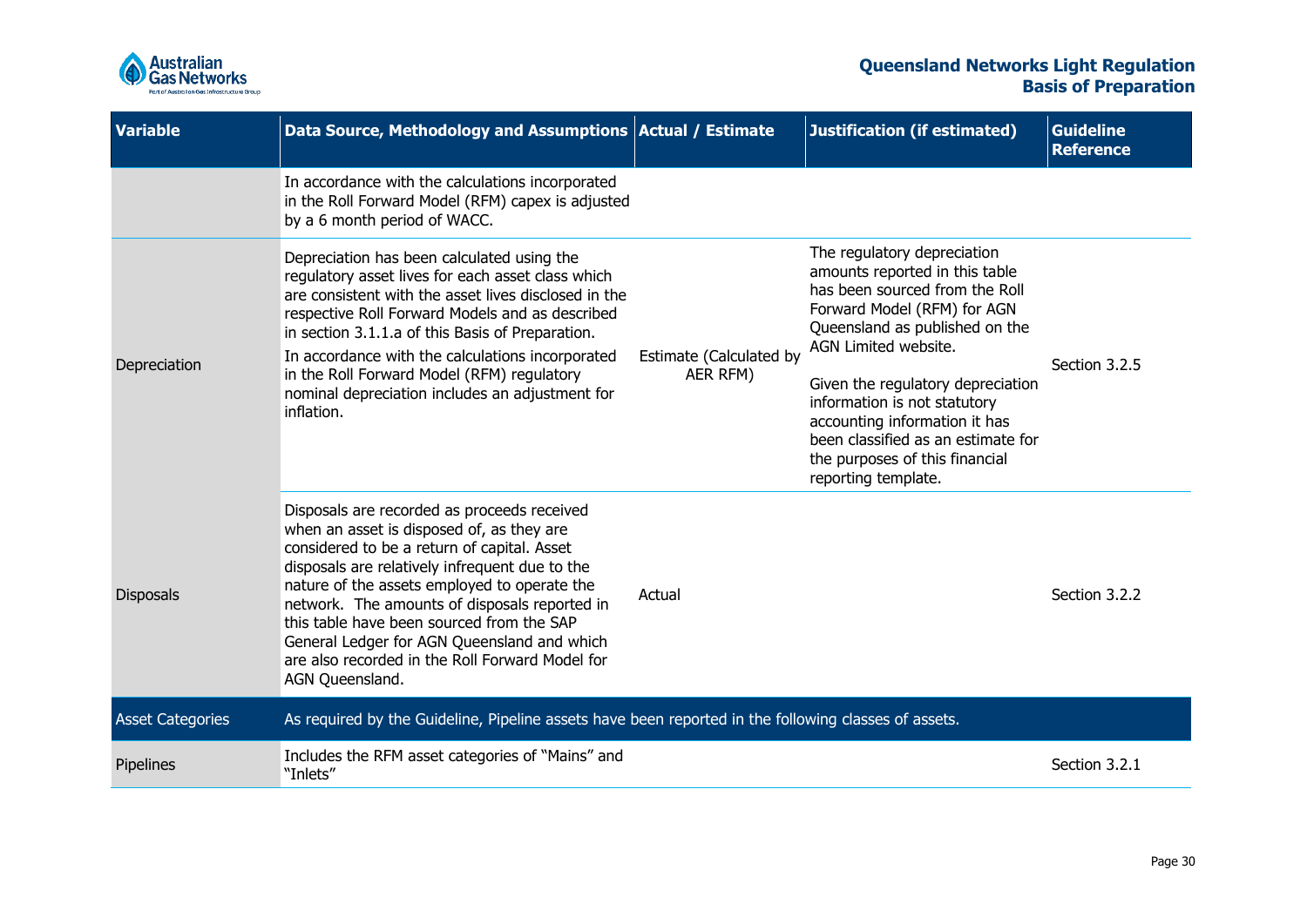

| <b>Variable</b>         | Data Source, Methodology and Assumptions Actual / Estimate                                                                                                                                                                                                                                                                                                                                                                                                   |                                     | <b>Justification (if estimated)</b>                                                                                                                                                                                                                                                                                                                                                           | <b>Guideline</b><br><b>Reference</b> |
|-------------------------|--------------------------------------------------------------------------------------------------------------------------------------------------------------------------------------------------------------------------------------------------------------------------------------------------------------------------------------------------------------------------------------------------------------------------------------------------------------|-------------------------------------|-----------------------------------------------------------------------------------------------------------------------------------------------------------------------------------------------------------------------------------------------------------------------------------------------------------------------------------------------------------------------------------------------|--------------------------------------|
|                         | In accordance with the calculations incorporated<br>in the Roll Forward Model (RFM) capex is adjusted<br>by a 6 month period of WACC.                                                                                                                                                                                                                                                                                                                        |                                     |                                                                                                                                                                                                                                                                                                                                                                                               |                                      |
| Depreciation            | Depreciation has been calculated using the<br>regulatory asset lives for each asset class which<br>are consistent with the asset lives disclosed in the<br>respective Roll Forward Models and as described<br>in section 3.1.1.a of this Basis of Preparation.<br>In accordance with the calculations incorporated<br>in the Roll Forward Model (RFM) regulatory<br>nominal depreciation includes an adjustment for<br>inflation.                            | Estimate (Calculated by<br>AER RFM) | The regulatory depreciation<br>amounts reported in this table<br>has been sourced from the Roll<br>Forward Model (RFM) for AGN<br>Queensland as published on the<br>AGN Limited website.<br>Given the regulatory depreciation<br>information is not statutory<br>accounting information it has<br>been classified as an estimate for<br>the purposes of this financial<br>reporting template. | Section 3.2.5                        |
| <b>Disposals</b>        | Disposals are recorded as proceeds received<br>when an asset is disposed of, as they are<br>considered to be a return of capital. Asset<br>disposals are relatively infrequent due to the<br>nature of the assets employed to operate the<br>network. The amounts of disposals reported in<br>this table have been sourced from the SAP<br>General Ledger for AGN Queensland and which<br>are also recorded in the Roll Forward Model for<br>AGN Queensland. | Actual                              |                                                                                                                                                                                                                                                                                                                                                                                               | Section 3.2.2                        |
| <b>Asset Categories</b> | As required by the Guideline, Pipeline assets have been reported in the following classes of assets.                                                                                                                                                                                                                                                                                                                                                         |                                     |                                                                                                                                                                                                                                                                                                                                                                                               |                                      |
| Pipelines               | Includes the RFM asset categories of "Mains" and<br>"Inlets"                                                                                                                                                                                                                                                                                                                                                                                                 |                                     |                                                                                                                                                                                                                                                                                                                                                                                               | Section 3.2.1                        |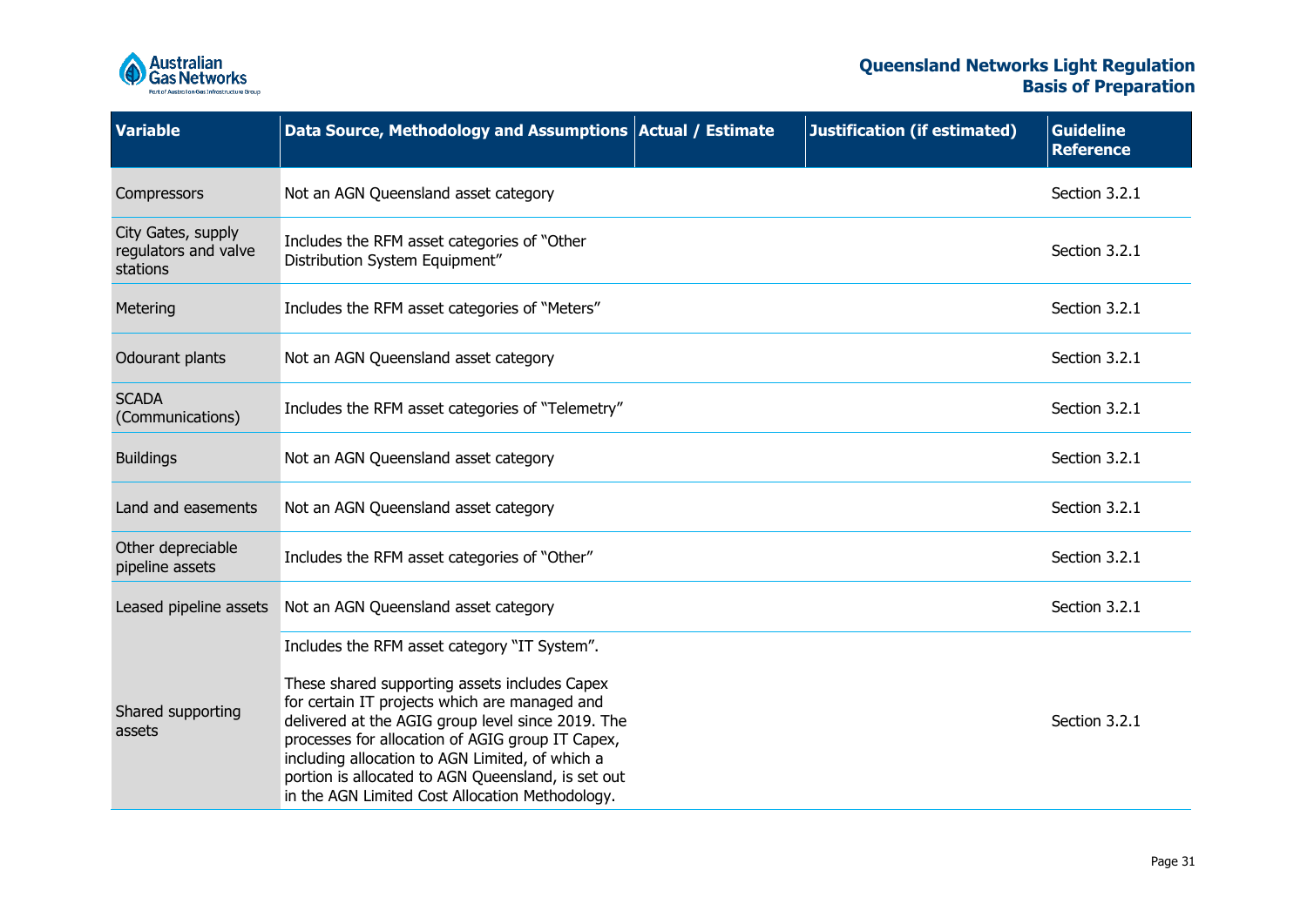

| <b>Variable</b>                                        | Data Source, Methodology and Assumptions Actual / Estimate                                                                                                                                                                                                                                                                                                                                                          | <b>Justification (if estimated)</b> | <b>Guideline</b><br><b>Reference</b> |
|--------------------------------------------------------|---------------------------------------------------------------------------------------------------------------------------------------------------------------------------------------------------------------------------------------------------------------------------------------------------------------------------------------------------------------------------------------------------------------------|-------------------------------------|--------------------------------------|
| Compressors                                            | Not an AGN Queensland asset category                                                                                                                                                                                                                                                                                                                                                                                |                                     | Section 3.2.1                        |
| City Gates, supply<br>regulators and valve<br>stations | Includes the RFM asset categories of "Other<br>Distribution System Equipment"                                                                                                                                                                                                                                                                                                                                       |                                     | Section 3.2.1                        |
| Metering                                               | Includes the RFM asset categories of "Meters"                                                                                                                                                                                                                                                                                                                                                                       |                                     | Section 3.2.1                        |
| Odourant plants                                        | Not an AGN Queensland asset category                                                                                                                                                                                                                                                                                                                                                                                |                                     | Section 3.2.1                        |
| <b>SCADA</b><br>(Communications)                       | Includes the RFM asset categories of "Telemetry"                                                                                                                                                                                                                                                                                                                                                                    |                                     | Section 3.2.1                        |
| <b>Buildings</b>                                       | Not an AGN Queensland asset category                                                                                                                                                                                                                                                                                                                                                                                |                                     | Section 3.2.1                        |
| Land and easements                                     | Not an AGN Queensland asset category                                                                                                                                                                                                                                                                                                                                                                                |                                     | Section 3.2.1                        |
| Other depreciable<br>pipeline assets                   | Includes the RFM asset categories of "Other"                                                                                                                                                                                                                                                                                                                                                                        |                                     | Section 3.2.1                        |
| Leased pipeline assets                                 | Not an AGN Queensland asset category                                                                                                                                                                                                                                                                                                                                                                                |                                     | Section 3.2.1                        |
| Shared supporting<br>assets                            | Includes the RFM asset category "IT System".<br>These shared supporting assets includes Capex<br>for certain IT projects which are managed and<br>delivered at the AGIG group level since 2019. The<br>processes for allocation of AGIG group IT Capex,<br>including allocation to AGN Limited, of which a<br>portion is allocated to AGN Queensland, is set out<br>in the AGN Limited Cost Allocation Methodology. |                                     | Section 3.2.1                        |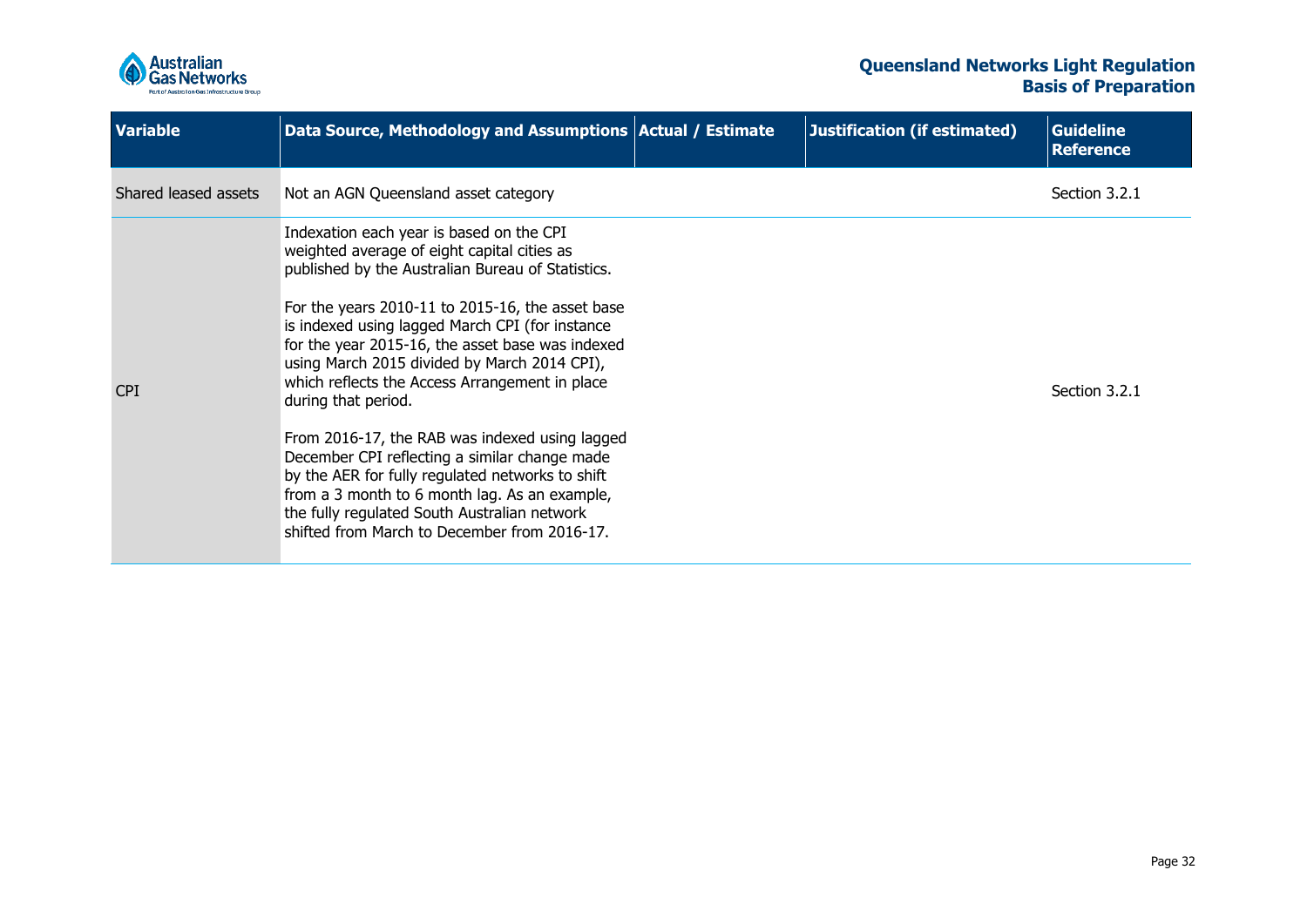

<span id="page-31-0"></span>

| <b>Variable</b>      | Data Source, Methodology and Assumptions Actual / Estimate                                                                                                                                                                                                                                                                                                                                                                                                                                                                                                                                                                                                                                                                               | Justification (if estimated) | <b>Guideline</b><br><b>Reference</b> |
|----------------------|------------------------------------------------------------------------------------------------------------------------------------------------------------------------------------------------------------------------------------------------------------------------------------------------------------------------------------------------------------------------------------------------------------------------------------------------------------------------------------------------------------------------------------------------------------------------------------------------------------------------------------------------------------------------------------------------------------------------------------------|------------------------------|--------------------------------------|
| Shared leased assets | Not an AGN Queensland asset category                                                                                                                                                                                                                                                                                                                                                                                                                                                                                                                                                                                                                                                                                                     |                              | Section 3.2.1                        |
| <b>CPI</b>           | Indexation each year is based on the CPI<br>weighted average of eight capital cities as<br>published by the Australian Bureau of Statistics.<br>For the years 2010-11 to 2015-16, the asset base<br>is indexed using lagged March CPI (for instance<br>for the year 2015-16, the asset base was indexed<br>using March 2015 divided by March 2014 CPI),<br>which reflects the Access Arrangement in place<br>during that period.<br>From 2016-17, the RAB was indexed using lagged<br>December CPI reflecting a similar change made<br>by the AER for fully regulated networks to shift<br>from a 3 month to 6 month lag. As an example,<br>the fully regulated South Australian network<br>shifted from March to December from 2016-17. |                              | Section 3.2.1                        |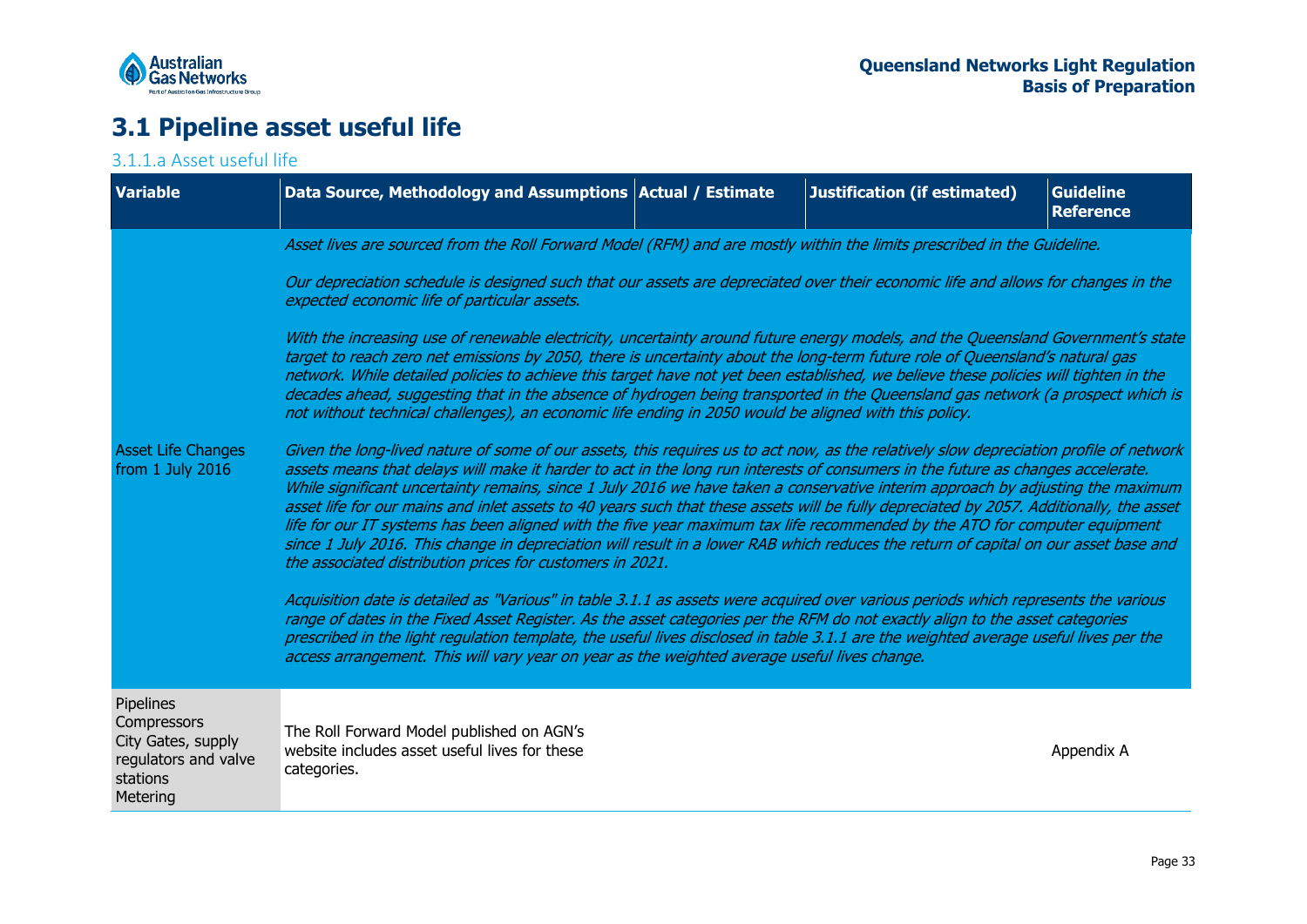

## **3.1 Pipeline asset useful life**

### 3.1.1.a Asset useful life

<span id="page-32-0"></span>

| <b>Variable</b>                                                                                | Data Source, Methodology and Assumptions   Actual / Estimate                                                                                                                                                                                                                                                                                                                                                                                                                                                                                                                                                                                                                                                                                                                                                                                                                              |  | <b>Justification (if estimated)</b> | <b>Guideline</b><br><b>Reference</b> |  |
|------------------------------------------------------------------------------------------------|-------------------------------------------------------------------------------------------------------------------------------------------------------------------------------------------------------------------------------------------------------------------------------------------------------------------------------------------------------------------------------------------------------------------------------------------------------------------------------------------------------------------------------------------------------------------------------------------------------------------------------------------------------------------------------------------------------------------------------------------------------------------------------------------------------------------------------------------------------------------------------------------|--|-------------------------------------|--------------------------------------|--|
|                                                                                                | Asset lives are sourced from the Roll Forward Model (RFM) and are mostly within the limits prescribed in the Guideline.                                                                                                                                                                                                                                                                                                                                                                                                                                                                                                                                                                                                                                                                                                                                                                   |  |                                     |                                      |  |
|                                                                                                | Our depreciation schedule is designed such that our assets are depreciated over their economic life and allows for changes in the<br>expected economic life of particular assets.                                                                                                                                                                                                                                                                                                                                                                                                                                                                                                                                                                                                                                                                                                         |  |                                     |                                      |  |
|                                                                                                | With the increasing use of renewable electricity, uncertainty around future energy models, and the Queensland Government's state<br>target to reach zero net emissions by 2050, there is uncertainty about the long-term future role of Queensland's natural gas<br>network. While detailed policies to achieve this target have not yet been established, we believe these policies will tighten in the<br>decades ahead, suggesting that in the absence of hydrogen being transported in the Queensland gas network (a prospect which is<br>not without technical challenges), an economic life ending in 2050 would be aligned with this policy.                                                                                                                                                                                                                                       |  |                                     |                                      |  |
| <b>Asset Life Changes</b><br>from 1 July 2016                                                  | Given the long-lived nature of some of our assets, this requires us to act now, as the relatively slow depreciation profile of network<br>assets means that delays will make it harder to act in the long run interests of consumers in the future as changes accelerate.<br>While significant uncertainty remains, since 1 July 2016 we have taken a conservative interim approach by adjusting the maximum<br>asset life for our mains and inlet assets to 40 years such that these assets will be fully depreciated by 2057. Additionally, the asset<br>life for our IT systems has been aligned with the five year maximum tax life recommended by the ATO for computer equipment<br>since 1 July 2016. This change in depreciation will result in a lower RAB which reduces the return of capital on our asset base and<br>the associated distribution prices for customers in 2021. |  |                                     |                                      |  |
|                                                                                                | Acquisition date is detailed as "Various" in table 3.1.1 as assets were acquired over various periods which represents the various<br>range of dates in the Fixed Asset Register. As the asset categories per the RFM do not exactly align to the asset categories<br>prescribed in the light regulation template, the useful lives disclosed in table 3.1.1 are the weighted average useful lives per the<br>access arrangement. This will vary year on year as the weighted average useful lives change.                                                                                                                                                                                                                                                                                                                                                                                |  |                                     |                                      |  |
| Pipelines<br>Compressors<br>City Gates, supply<br>regulators and valve<br>stations<br>Metering | The Roll Forward Model published on AGN's<br>website includes asset useful lives for these<br>categories.                                                                                                                                                                                                                                                                                                                                                                                                                                                                                                                                                                                                                                                                                                                                                                                 |  |                                     | Appendix A                           |  |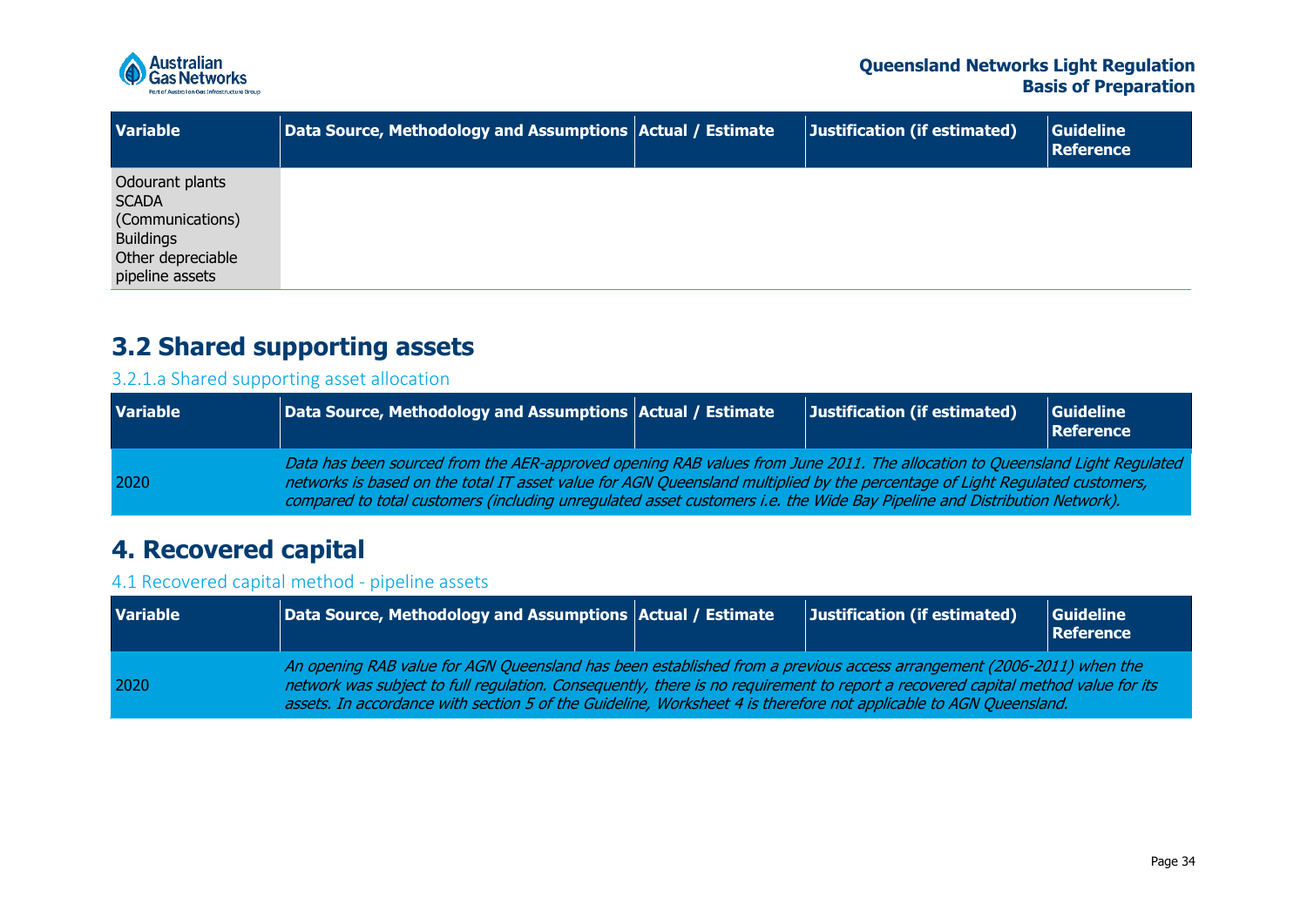

| <b>Variable</b>                                                                                                 | Data Source, Methodology and Assumptions   Actual / Estimate | Justification (if estimated) | <b>Guideline</b><br><b>Reference</b> |
|-----------------------------------------------------------------------------------------------------------------|--------------------------------------------------------------|------------------------------|--------------------------------------|
| Odourant plants<br><b>SCADA</b><br>(Communications)<br><b>Buildings</b><br>Other depreciable<br>pipeline assets |                                                              |                              |                                      |

## **3.2 Shared supporting assets**

### 3.2.1.a Shared supporting asset allocation

| <b>Variable</b> | $\vert\vert$ Data Source, Methodology and Assumptions $\vert$ Actual / Estimate $\vert$                                                                                                                                                                                                                                                                                                | Justification (if estimated) | Guideline<br>Reference |
|-----------------|----------------------------------------------------------------------------------------------------------------------------------------------------------------------------------------------------------------------------------------------------------------------------------------------------------------------------------------------------------------------------------------|------------------------------|------------------------|
| 2020            | Data has been sourced from the AER-approved opening RAB values from June 2011. The allocation to Queensland Light Regulated<br>networks is based on the total IT asset value for AGN Queensland multiplied by the percentage of Light Regulated customers,<br>compared to total customers (including unregulated asset customers i.e. the Wide Bay Pipeline and Distribution Network). |                              |                        |

## **4. Recovered capital**

### 4.1 Recovered capital method - pipeline assets

<span id="page-33-3"></span><span id="page-33-2"></span><span id="page-33-1"></span><span id="page-33-0"></span>

| <b>Variable</b> | Data Source, Methodology and Assumptions Actual / Estimate                                                                                                                                                                                                                                                                                                                    |  | Justification (if estimated) | Guideline<br><b>Reference</b> |  |  |  |
|-----------------|-------------------------------------------------------------------------------------------------------------------------------------------------------------------------------------------------------------------------------------------------------------------------------------------------------------------------------------------------------------------------------|--|------------------------------|-------------------------------|--|--|--|
| 2020            | An opening RAB value for AGN Queensland has been established from a previous access arrangement (2006-2011) when the<br>network was subject to full regulation. Consequently, there is no requirement to report a recovered capital method value for its<br>assets. In accordance with section 5 of the Guideline, Worksheet 4 is therefore not applicable to AGN Queensland. |  |                              |                               |  |  |  |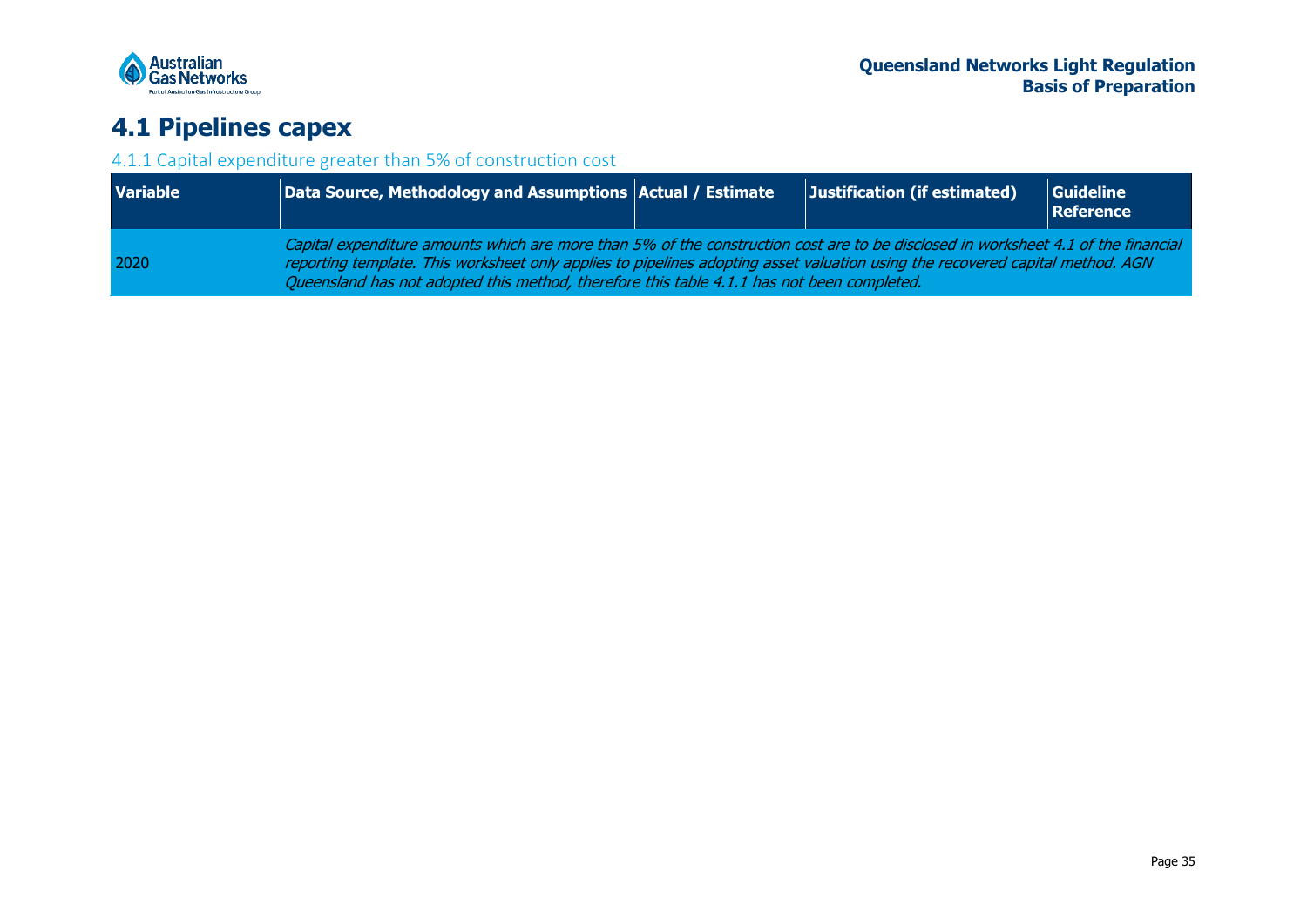

## **4.1 Pipelines capex**

### 4.1.1 Capital expenditure greater than 5% of construction cost

<span id="page-34-1"></span><span id="page-34-0"></span>

| <b>Variable</b> | Data Source, Methodology and Assumptions Actual / Estimate                                                                                                                                                                                                                                                                                                       |  | Justification (if estimated) | Guideline<br>Reference |  |  |  |
|-----------------|------------------------------------------------------------------------------------------------------------------------------------------------------------------------------------------------------------------------------------------------------------------------------------------------------------------------------------------------------------------|--|------------------------------|------------------------|--|--|--|
| 2020            | Capital expenditure amounts which are more than 5% of the construction cost are to be disclosed in worksheet 4.1 of the financial<br>reporting template. This worksheet only applies to pipelines adopting asset valuation using the recovered capital method. AGN<br>Queensland has not adopted this method, therefore this table 4.1.1 has not been completed. |  |                              |                        |  |  |  |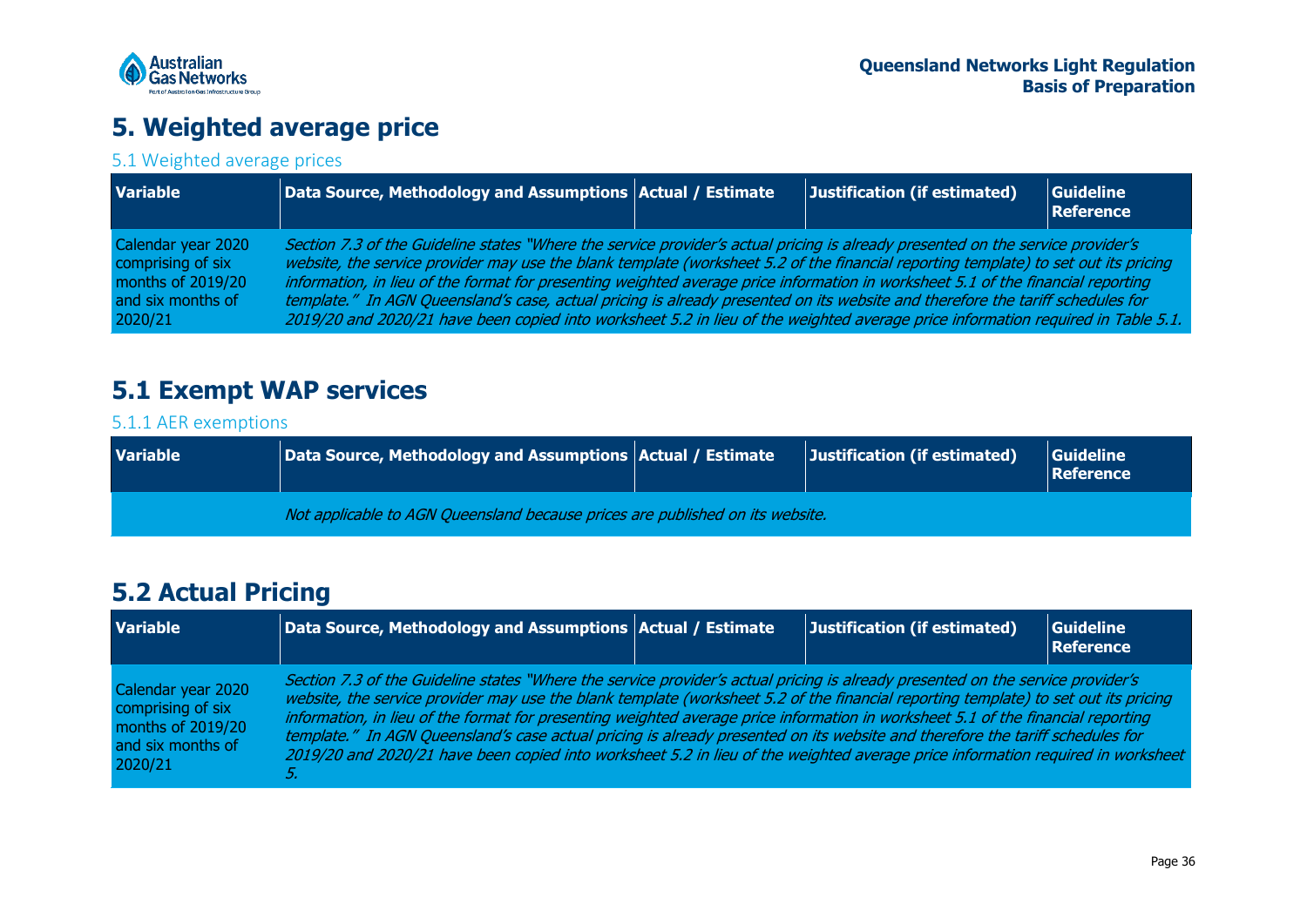

## **5. Weighted average price**

### 5.1 Weighted average prices

| <b>Variable</b>                                                                              | $\vert$ Data Source, Methodology and Assumptions $\vert$ Actual / Estimate                                                                                                                                                                                                                                                                                                                                                                                                                                                                                                                                                                                                       | Justification (if estimated) | <b>Guideline</b><br>Reference |
|----------------------------------------------------------------------------------------------|----------------------------------------------------------------------------------------------------------------------------------------------------------------------------------------------------------------------------------------------------------------------------------------------------------------------------------------------------------------------------------------------------------------------------------------------------------------------------------------------------------------------------------------------------------------------------------------------------------------------------------------------------------------------------------|------------------------------|-------------------------------|
| Calendar year 2020<br>comprising of six<br>months of 2019/20<br>and six months of<br>2020/21 | Section 7.3 of the Guideline states "Where the service provider's actual pricing is already presented on the service provider's<br>website, the service provider may use the blank template (worksheet 5.2 of the financial reporting template) to set out its pricing<br>information, in lieu of the format for presenting weighted average price information in worksheet 5.1 of the financial reporting<br>template." In AGN Queensland's case, actual pricing is already presented on its website and therefore the tariff schedules for<br>2019/20 and 2020/21 have been copied into worksheet 5.2 in lieu of the weighted average price information required in Table 5.1. |                              |                               |

## **5.1 Exempt WAP services**

### 5.1.1 AER exemptions

<span id="page-35-0"></span>

| <b>Variable</b> | $\vert$ Data Source, Methodology and Assumptions $\vert$ Actual / Estimate    | Justification (if estimated) | Guideline<br><b>Reference</b> |
|-----------------|-------------------------------------------------------------------------------|------------------------------|-------------------------------|
|                 | Not applicable to AGN Queensland because prices are published on its website. |                              |                               |

## <span id="page-35-1"></span>**5.2 Actual Pricing**

<span id="page-35-4"></span><span id="page-35-3"></span><span id="page-35-2"></span>

| <b>Variable</b>                                                                              | Data Source, Methodology and Assumptions $ $ Actual / Estimate                                                                                                                                                                                                                                                                                                                                                                                                                                                                                                                                                                                                                 | Justification (if estimated) | Guideline<br>Reference |
|----------------------------------------------------------------------------------------------|--------------------------------------------------------------------------------------------------------------------------------------------------------------------------------------------------------------------------------------------------------------------------------------------------------------------------------------------------------------------------------------------------------------------------------------------------------------------------------------------------------------------------------------------------------------------------------------------------------------------------------------------------------------------------------|------------------------------|------------------------|
| Calendar year 2020<br>comprising of six<br>months of 2019/20<br>and six months of<br>2020/21 | Section 7.3 of the Guideline states "Where the service provider's actual pricing is already presented on the service provider's<br>website, the service provider may use the blank template (worksheet 5.2 of the financial reporting template) to set out its pricing<br>information, in lieu of the format for presenting weighted average price information in worksheet 5.1 of the financial reporting<br>template." In AGN Queensland's case actual pricing is already presented on its website and therefore the tariff schedules for<br>2019/20 and 2020/21 have been copied into worksheet 5.2 in lieu of the weighted average price information required in worksheet |                              |                        |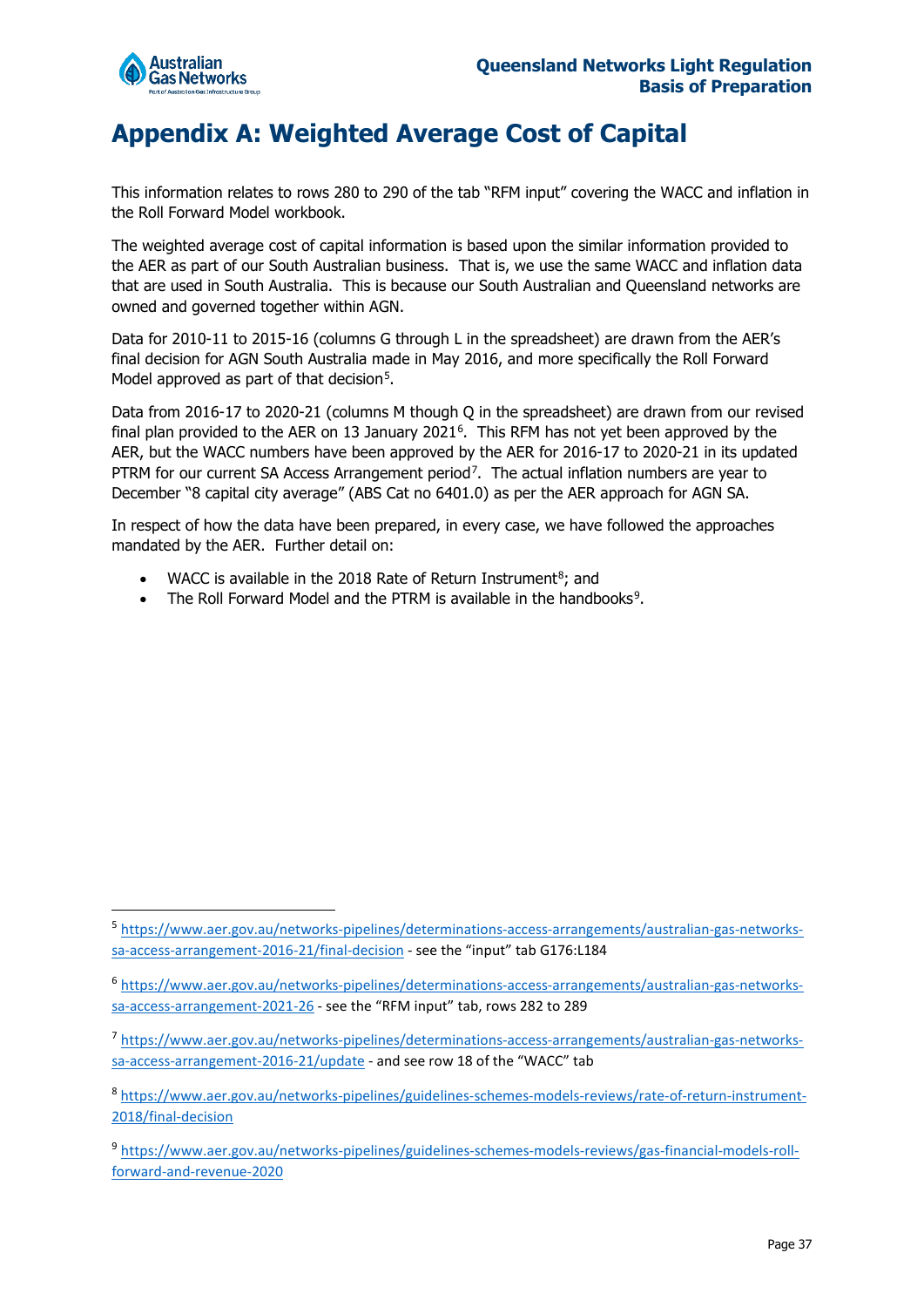

## <span id="page-36-0"></span>**Appendix A: Weighted Average Cost of Capital**

This information relates to rows 280 to 290 of the tab "RFM input" covering the WACC and inflation in the Roll Forward Model workbook.

The weighted average cost of capital information is based upon the similar information provided to the AER as part of our South Australian business. That is, we use the same WACC and inflation data that are used in South Australia. This is because our South Australian and Queensland networks are owned and governed together within AGN.

Data for 2010-11 to 2015-16 (columns G through L in the spreadsheet) are drawn from the AER's final decision for AGN South Australia made in May 2016, and more specifically the Roll Forward Model approved as part of that decision<sup>[5](#page-36-1)</sup>.

Data from 2016-17 to 2020-21 (columns M though Q in the spreadsheet) are drawn from our revised final plan provided to the AER on 13 January 2021<sup>[6](#page-36-2)</sup>. This RFM has not yet been approved by the AER, but the WACC numbers have been approved by the AER for 2016-17 to 2020-21 in its updated PTRM for our current SA Access Arrangement period<sup>7</sup>. The actual inflation numbers are year to December "8 capital city average" (ABS Cat no 6401.0) as per the AER approach for AGN SA.

In respect of how the data have been prepared, in every case, we have followed the approaches mandated by the AER. Further detail on:

- WACC is available in the 201[8](#page-36-4) Rate of Return Instrument $8$ ; and
- The Roll Forward Model and the PTRM is available in the handbooks<sup>[9](#page-36-5)</sup>.

<span id="page-36-1"></span><sup>5</sup> [https://www.aer.gov.au/networks-pipelines/determinations-access-arrangements/australian-gas-networks](https://www.aer.gov.au/networks-pipelines/determinations-access-arrangements/australian-gas-networks-sa-access-arrangement-2016-21/final-decision)[sa-access-arrangement-2016-21/final-decision -](https://www.aer.gov.au/networks-pipelines/determinations-access-arrangements/australian-gas-networks-sa-access-arrangement-2016-21/final-decision) see the "input" tab G176:L184

<span id="page-36-2"></span><sup>6</sup> [https://www.aer.gov.au/networks-pipelines/determinations-access-arrangements/australian-gas-networks](https://www.aer.gov.au/networks-pipelines/determinations-access-arrangements/australian-gas-networks-sa-access-arrangement-2021-26)[sa-access-arrangement-2021-26 -](https://www.aer.gov.au/networks-pipelines/determinations-access-arrangements/australian-gas-networks-sa-access-arrangement-2021-26) see the "RFM input" tab, rows 282 to 289

<span id="page-36-3"></span><sup>7</sup> [https://www.aer.gov.au/networks-pipelines/determinations-access-arrangements/australian-gas-networks](https://www.aer.gov.au/networks-pipelines/determinations-access-arrangements/australian-gas-networks-sa-access-arrangement-2016-21/update)[sa-access-arrangement-2016-21/update](https://www.aer.gov.au/networks-pipelines/determinations-access-arrangements/australian-gas-networks-sa-access-arrangement-2016-21/update) - and see row 18 of the "WACC" tab

<span id="page-36-4"></span><sup>8</sup> [https://www.aer.gov.au/networks-pipelines/guidelines-schemes-models-reviews/rate-of-return-instrument-](https://www.aer.gov.au/networks-pipelines/guidelines-schemes-models-reviews/rate-of-return-instrument-2018/final-decision)[2018/final-decision](https://www.aer.gov.au/networks-pipelines/guidelines-schemes-models-reviews/rate-of-return-instrument-2018/final-decision)

<span id="page-36-5"></span><sup>9</sup> [https://www.aer.gov.au/networks-pipelines/guidelines-schemes-models-reviews/gas-financial-models-roll](https://www.aer.gov.au/networks-pipelines/guidelines-schemes-models-reviews/gas-financial-models-roll-forward-and-revenue-2020)[forward-and-revenue-2020](https://www.aer.gov.au/networks-pipelines/guidelines-schemes-models-reviews/gas-financial-models-roll-forward-and-revenue-2020)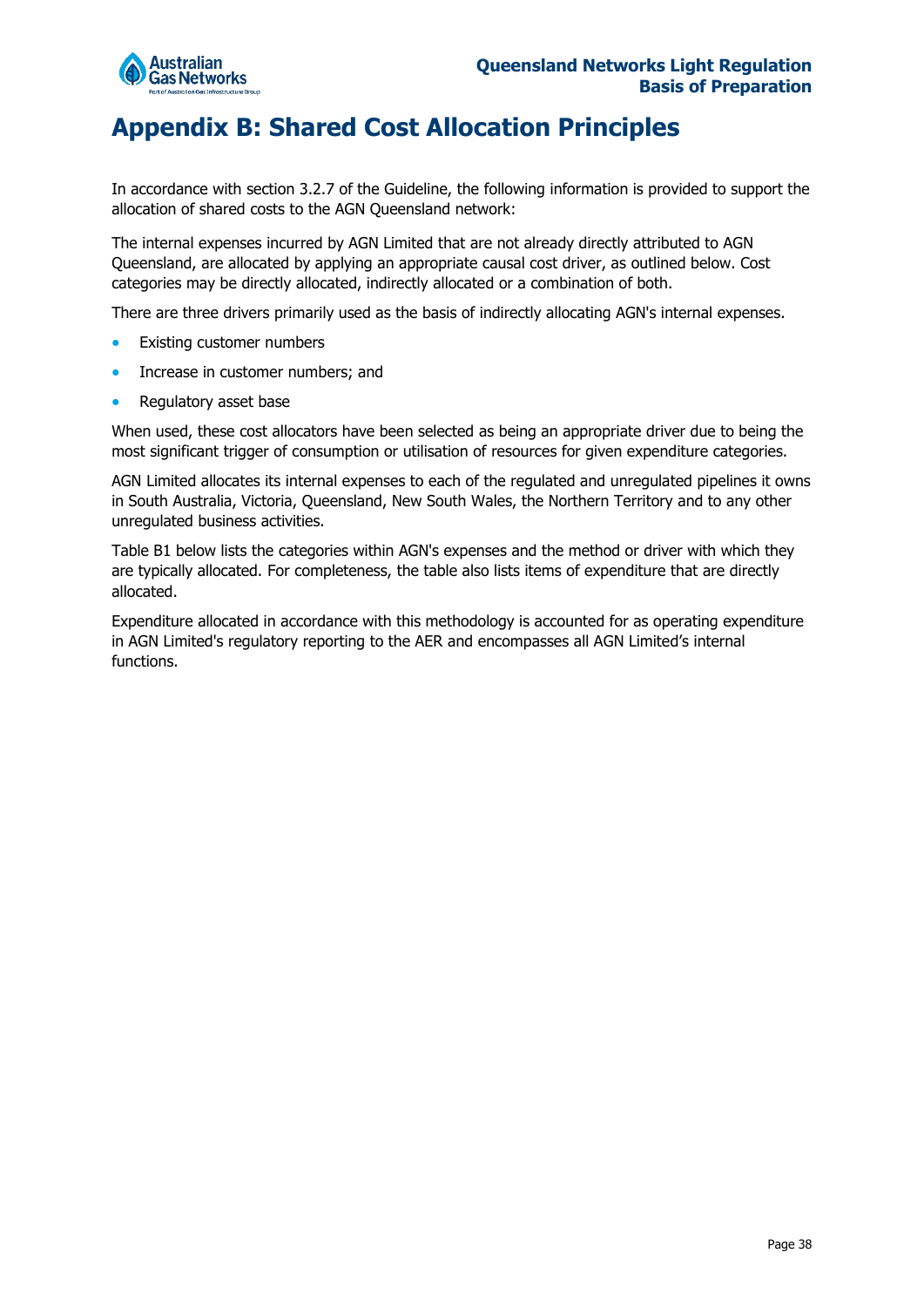

## <span id="page-37-0"></span>**Appendix B: Shared Cost Allocation Principles**

In accordance with section 3.2.7 of the Guideline, the following information is provided to support the allocation of shared costs to the AGN Queensland network:

The internal expenses incurred by AGN Limited that are not already directly attributed to AGN Queensland, are allocated by applying an appropriate causal cost driver, as outlined below. Cost categories may be directly allocated, indirectly allocated or a combination of both.

There are three drivers primarily used as the basis of indirectly allocating AGN's internal expenses.

- Existing customer numbers
- Increase in customer numbers; and
- Regulatory asset base

When used, these cost allocators have been selected as being an appropriate driver due to being the most significant trigger of consumption or utilisation of resources for given expenditure categories.

AGN Limited allocates its internal expenses to each of the regulated and unregulated pipelines it owns in South Australia, Victoria, Queensland, New South Wales, the Northern Territory and to any other unregulated business activities.

Table B1 below lists the categories within AGN's expenses and the method or driver with which they are typically allocated. For completeness, the table also lists items of expenditure that are directly allocated.

Expenditure allocated in accordance with this methodology is accounted for as operating expenditure in AGN Limited's regulatory reporting to the AER and encompasses all AGN Limited's internal functions.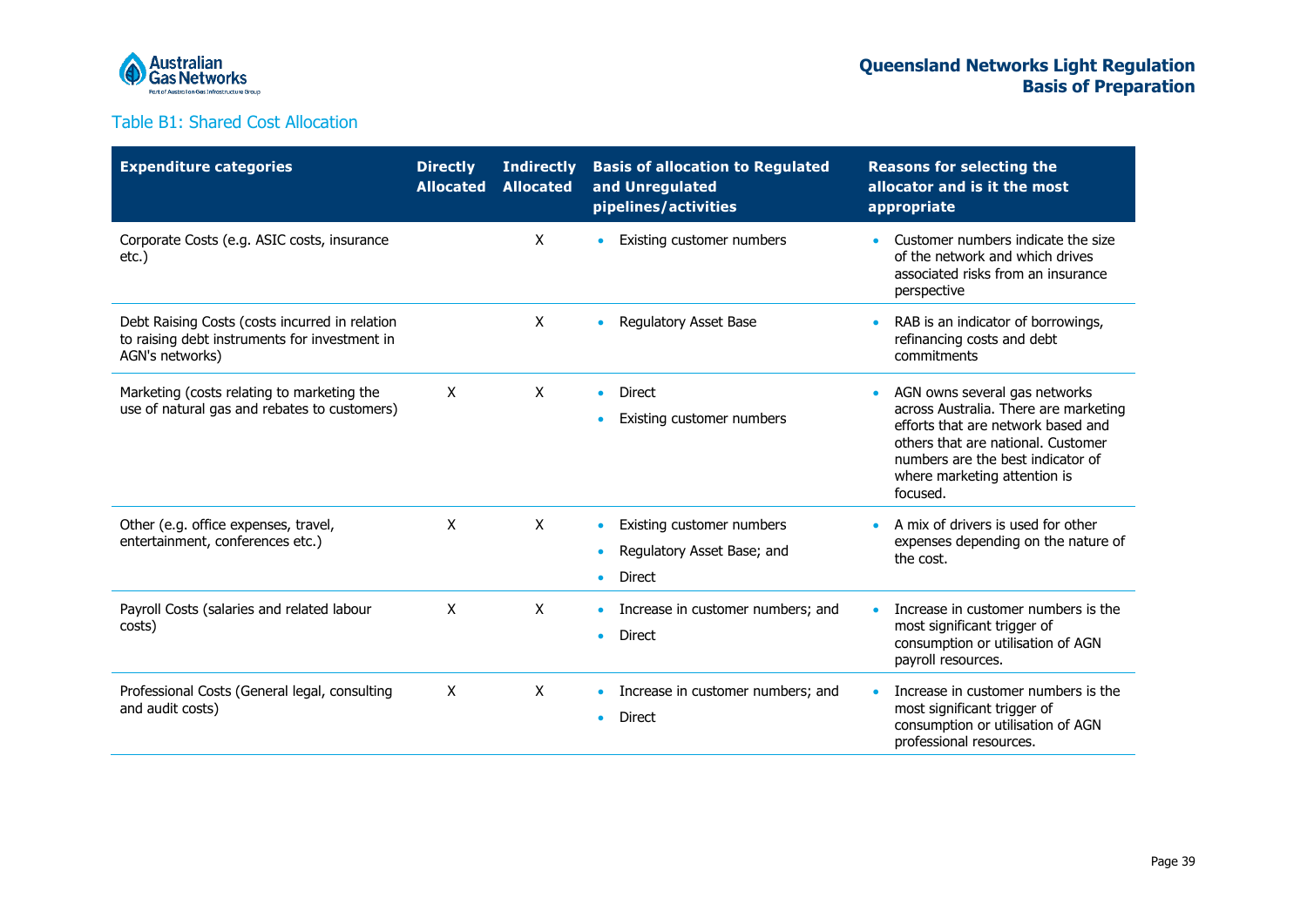

### Table B1: Shared Cost Allocation

| <b>Expenditure categories</b>                                                                                      | <b>Directly</b><br><b>Allocated</b> | <b>Indirectly</b><br><b>Allocated</b> | <b>Basis of allocation to Regulated</b><br>and Unregulated<br>pipelines/activities                              | <b>Reasons for selecting the</b><br>allocator and is it the most<br>appropriate                                                                                                                                                                  |
|--------------------------------------------------------------------------------------------------------------------|-------------------------------------|---------------------------------------|-----------------------------------------------------------------------------------------------------------------|--------------------------------------------------------------------------------------------------------------------------------------------------------------------------------------------------------------------------------------------------|
| Corporate Costs (e.g. ASIC costs, insurance<br>$etc.$ )                                                            |                                     | X                                     | Existing customer numbers<br>$\bullet$                                                                          | Customer numbers indicate the size<br>$\bullet$<br>of the network and which drives<br>associated risks from an insurance<br>perspective                                                                                                          |
| Debt Raising Costs (costs incurred in relation<br>to raising debt instruments for investment in<br>AGN's networks) |                                     | X                                     | <b>Regulatory Asset Base</b><br>$\bullet$                                                                       | RAB is an indicator of borrowings,<br>$\bullet$<br>refinancing costs and debt<br>commitments                                                                                                                                                     |
| Marketing (costs relating to marketing the<br>use of natural gas and rebates to customers)                         | X                                   | X                                     | <b>Direct</b><br>$\bullet$<br>Existing customer numbers<br>$\bullet$                                            | AGN owns several gas networks<br>$\bullet$<br>across Australia. There are marketing<br>efforts that are network based and<br>others that are national. Customer<br>numbers are the best indicator of<br>where marketing attention is<br>focused. |
| Other (e.g. office expenses, travel,<br>entertainment, conferences etc.)                                           | X                                   | X                                     | Existing customer numbers<br>$\bullet$<br>Regulatory Asset Base; and<br>$\bullet$<br><b>Direct</b><br>$\bullet$ | A mix of drivers is used for other<br>$\bullet$<br>expenses depending on the nature of<br>the cost.                                                                                                                                              |
| Payroll Costs (salaries and related labour<br>costs)                                                               | X                                   | X                                     | Increase in customer numbers; and<br>$\bullet$<br><b>Direct</b><br>$\bullet$                                    | Increase in customer numbers is the<br>most significant trigger of<br>consumption or utilisation of AGN<br>payroll resources.                                                                                                                    |
| Professional Costs (General legal, consulting<br>and audit costs)                                                  | X                                   | X                                     | Increase in customer numbers; and<br>$\bullet$<br>Direct<br>$\bullet$                                           | Increase in customer numbers is the<br>most significant trigger of<br>consumption or utilisation of AGN<br>professional resources.                                                                                                               |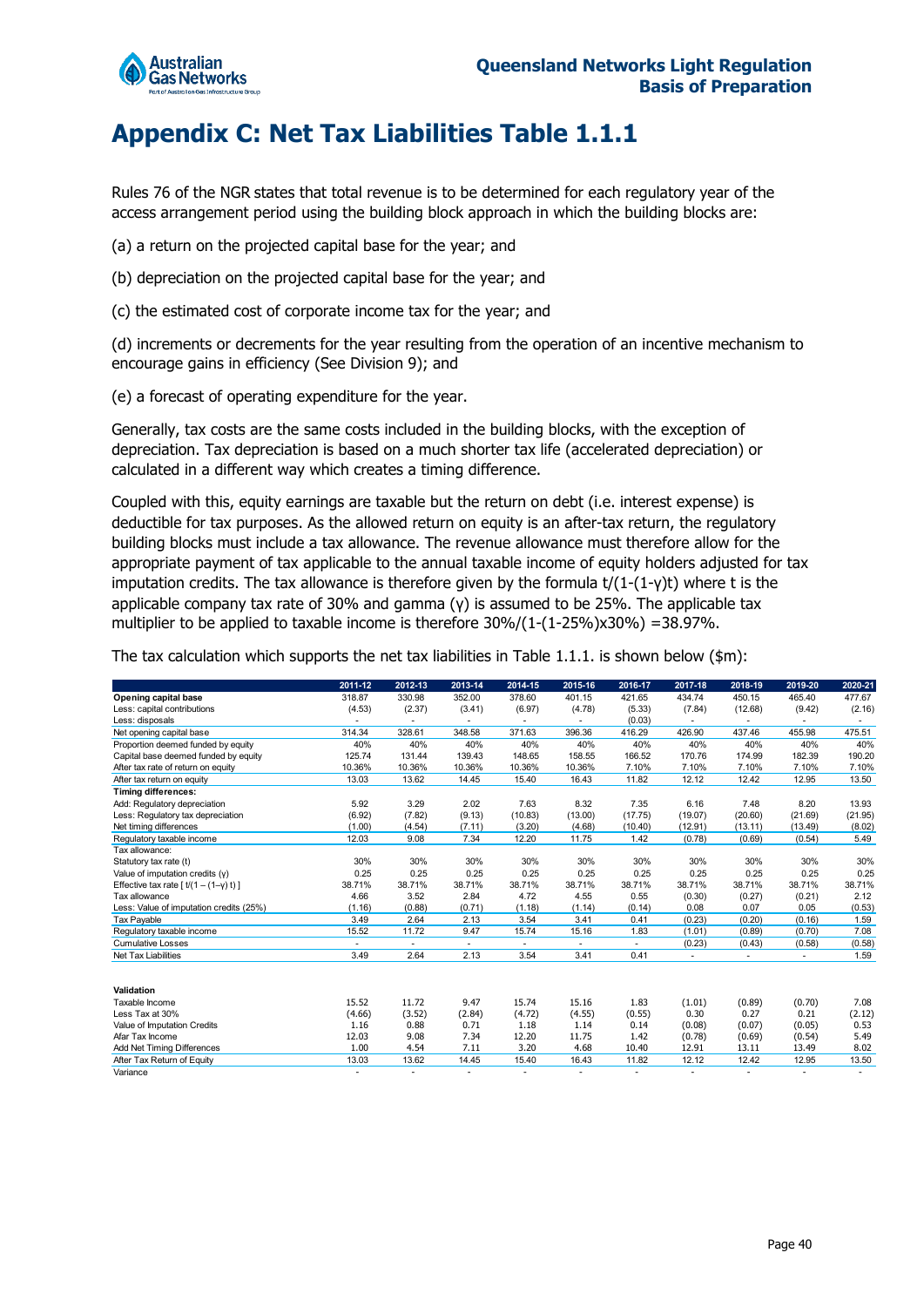

## <span id="page-39-0"></span>**Appendix C: Net Tax Liabilities Table 1.1.1**

Rules 76 of the NGR states that total revenue is to be determined for each regulatory year of the access arrangement period using the building block approach in which the building blocks are:

- (a) a return on the projected capital base for the year; and
- (b) depreciation on the projected capital base for the year; and
- (c) the estimated cost of corporate income tax for the year; and

(d) increments or decrements for the year resulting from the operation of an incentive mechanism to encourage gains in efficiency (See Division 9); and

(e) a forecast of operating expenditure for the year.

Generally, tax costs are the same costs included in the building blocks, with the exception of depreciation. Tax depreciation is based on a much shorter tax life (accelerated depreciation) or calculated in a different way which creates a timing difference.

Coupled with this, equity earnings are taxable but the return on debt (i.e. interest expense) is deductible for tax purposes. As the allowed return on equity is an after-tax return, the regulatory building blocks must include a tax allowance. The revenue allowance must therefore allow for the appropriate payment of tax applicable to the annual taxable income of equity holders adjusted for tax imputation credits. The tax allowance is therefore given by the formula  $t/(1-(1-\gamma)t)$  where t is the applicable company tax rate of 30% and gamma (γ) is assumed to be 25%. The applicable tax multiplier to be applied to taxable income is therefore  $30\%/1-(1-25\%) \times 30\%$  =  $38.97\%$ .

The tax calculation which supports the net tax liabilities in Table 1.1.1. is shown below ( $\sin$ ):

|                                                     | 2011-12        | 2012-13        | 2013-14                  | 2014-15                  | 2015-16                  | 2016-17        | 2017-18 | 2018-19 | 2019-20 | 2020-21 |
|-----------------------------------------------------|----------------|----------------|--------------------------|--------------------------|--------------------------|----------------|---------|---------|---------|---------|
| Opening capital base                                | 318.87         | 330.98         | 352.00                   | 378.60                   | 401.15                   | 421.65         | 434.74  | 450.15  | 465.40  | 477.67  |
| Less: capital contributions                         | (4.53)         | (2.37)         | (3.41)                   | (6.97)                   | (4.78)                   | (5.33)         | (7.84)  | (12.68) | (9.42)  | (2.16)  |
| Less: disposals                                     |                | $\blacksquare$ | $\overline{\phantom{a}}$ | $\overline{\phantom{a}}$ |                          | (0.03)         | $\sim$  | $\sim$  | ٠       | $\sim$  |
| Net opening capital base                            | 314.34         | 328.61         | 348.58                   | 371.63                   | 396.36                   | 416.29         | 426.90  | 437.46  | 455.98  | 475.51  |
| Proportion deemed funded by equity                  | 40%            | 40%            | 40%                      | 40%                      | 40%                      | 40%            | 40%     | 40%     | 40%     | 40%     |
| Capital base deemed funded by equity                | 125.74         | 131.44         | 139.43                   | 148.65                   | 158.55                   | 166.52         | 170.76  | 174.99  | 182.39  | 190.20  |
| After tax rate of return on equity                  | 10.36%         | 10.36%         | 10.36%                   | 10.36%                   | 10.36%                   | 7.10%          | 7.10%   | 7.10%   | 7.10%   | 7.10%   |
| After tax return on equity                          | 13.03          | 13.62          | 14.45                    | 15.40                    | 16.43                    | 11.82          | 12.12   | 12.42   | 12.95   | 13.50   |
| <b>Timing differences:</b>                          |                |                |                          |                          |                          |                |         |         |         |         |
| Add: Regulatory depreciation                        | 5.92           | 3.29           | 2.02                     | 7.63                     | 8.32                     | 7.35           | 6.16    | 7.48    | 8.20    | 13.93   |
| Less: Regulatory tax depreciation                   | (6.92)         | (7.82)         | (9.13)                   | (10.83)                  | (13.00)                  | (17.75)        | (19.07) | (20.60) | (21.69) | (21.95) |
| Net timing differences                              | (1.00)         | (4.54)         | (7.11)                   | (3.20)                   | (4.68)                   | (10.40)        | (12.91) | (13.11) | (13.49) | (8.02)  |
| Regulatory taxable income                           | 12.03          | 9.08           | 7.34                     | 12.20                    | 11.75                    | 1.42           | (0.78)  | (0.69)  | (0.54)  | 5.49    |
| Tax allowance:                                      |                |                |                          |                          |                          |                |         |         |         |         |
| Statutory tax rate (t)                              | 30%            | 30%            | 30%                      | 30%                      | 30%                      | 30%            | 30%     | 30%     | 30%     | 30%     |
| Value of imputation credits (y)                     | 0.25           | 0.25           | 0.25                     | 0.25                     | 0.25                     | 0.25           | 0.25    | 0.25    | 0.25    | 0.25    |
| Effective tax rate $\lceil t/(1-(1-\gamma)t)\rceil$ | 38.71%         | 38.71%         | 38.71%                   | 38.71%                   | 38.71%                   | 38.71%         | 38.71%  | 38.71%  | 38.71%  | 38.71%  |
| Tax allowance                                       | 4.66           | 3.52           | 2.84                     | 4.72                     | 4.55                     | 0.55           | (0.30)  | (0.27)  | (0.21)  | 2.12    |
| Less: Value of imputation credits (25%)             | (1.16)         | (0.88)         | (0.71)                   | (1.18)                   | (1.14)                   | (0.14)         | 0.08    | 0.07    | 0.05    | (0.53)  |
| Tax Payable                                         | 3.49           | 2.64           | 2.13                     | 3.54                     | 3.41                     | 0.41           | (0.23)  | (0.20)  | (0.16)  | 1.59    |
| Regulatory taxable income                           | 15.52          | 11.72          | 9.47                     | 15.74                    | 15.16                    | 1.83           | (1.01)  | (0.89)  | (0.70)  | 7.08    |
| <b>Cumulative Losses</b>                            | $\blacksquare$ | $\sim$         | $\overline{\phantom{a}}$ | $\blacksquare$           | $\overline{\phantom{a}}$ | $\blacksquare$ | (0.23)  | (0.43)  | (0.58)  | (0.58)  |
| Net Tax Liabilities                                 | 3.49           | 2.64           | 2.13                     | 3.54                     | 3.41                     | 0.41           |         | ٠       |         | 1.59    |
|                                                     |                |                |                          |                          |                          |                |         |         |         |         |
| Validation                                          |                |                |                          |                          |                          |                |         |         |         |         |
| Taxable Income                                      | 15.52          | 11.72          | 9.47                     | 15.74                    | 15.16                    | 1.83           | (1.01)  | (0.89)  | (0.70)  | 7.08    |
| Less Tax at 30%                                     | (4.66)         | (3.52)         | (2.84)                   | (4.72)                   | (4.55)                   | (0.55)         | 0.30    | 0.27    | 0.21    | (2.12)  |
| Value of Imputation Credits                         | 1.16           | 0.88           | 0.71                     | 1.18                     | 1.14                     | 0.14           | (0.08)  | (0.07)  | (0.05)  | 0.53    |
| Afar Tax Income                                     | 12.03          | 9.08           | 7.34                     | 12.20                    | 11.75                    | 1.42           | (0.78)  | (0.69)  | (0.54)  | 5.49    |
| Add Net Timing Differences                          | 1.00           | 4.54           | 7.11                     | 3.20                     | 4.68                     | 10.40          | 12.91   | 13.11   | 13.49   | 8.02    |
| After Tax Return of Equity                          | 13.03          | 13.62          | 14.45                    | 15.40                    | 16.43                    | 11.82          | 12.12   | 12.42   | 12.95   | 13.50   |
| Variance                                            |                | ÷              | ÷.                       | $\overline{\phantom{a}}$ |                          | ٠              |         | ÷.      |         |         |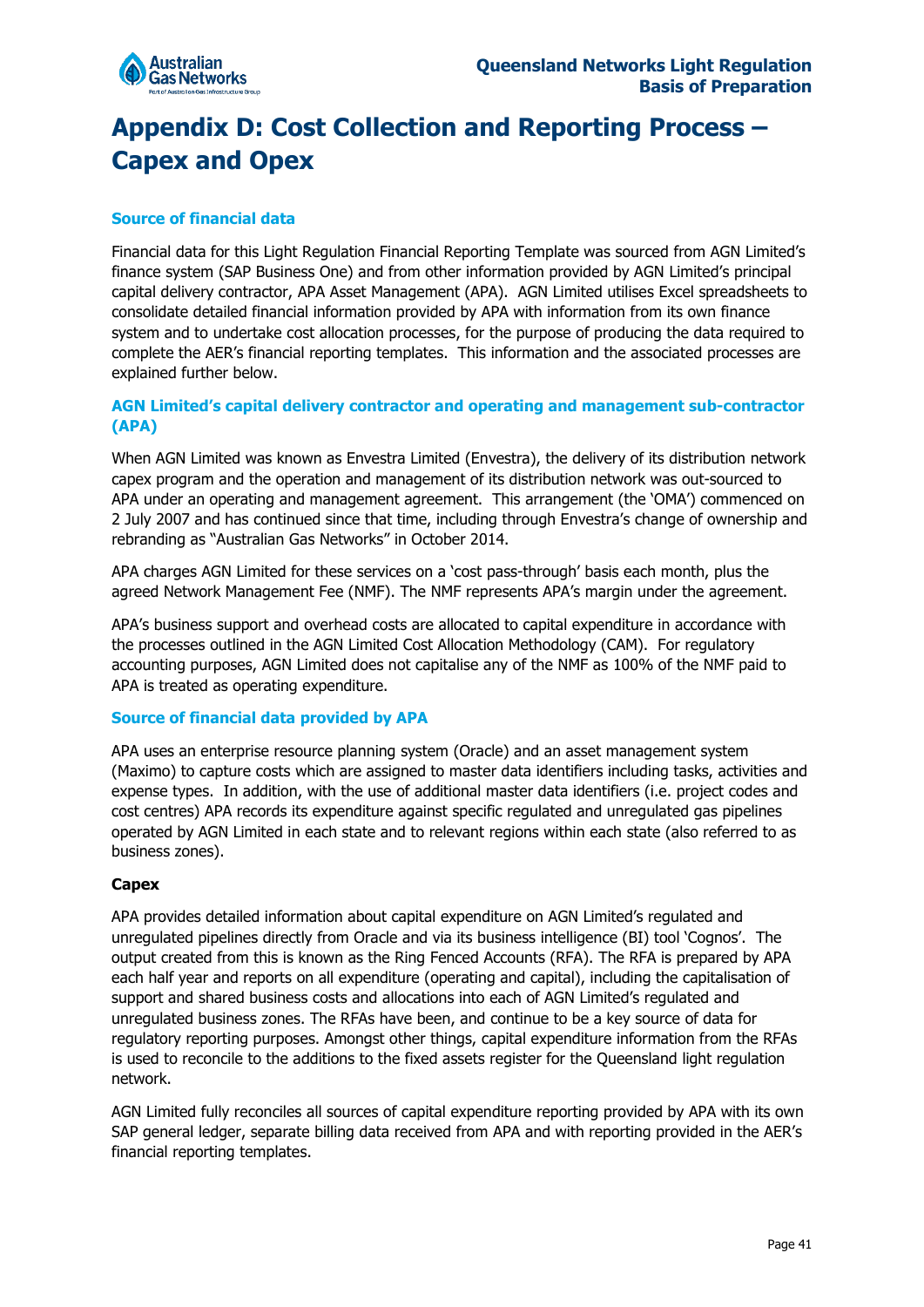

## <span id="page-40-0"></span>**Appendix D: Cost Collection and Reporting Process – Capex and Opex**

#### **Source of financial data**

Financial data for this Light Regulation Financial Reporting Template was sourced from AGN Limited's finance system (SAP Business One) and from other information provided by AGN Limited's principal capital delivery contractor, APA Asset Management (APA). AGN Limited utilises Excel spreadsheets to consolidate detailed financial information provided by APA with information from its own finance system and to undertake cost allocation processes, for the purpose of producing the data required to complete the AER's financial reporting templates. This information and the associated processes are explained further below.

#### **AGN Limited's capital delivery contractor and operating and management sub-contractor (APA)**

When AGN Limited was known as Envestra Limited (Envestra), the delivery of its distribution network capex program and the operation and management of its distribution network was out-sourced to APA under an operating and management agreement. This arrangement (the 'OMA') commenced on 2 July 2007 and has continued since that time, including through Envestra's change of ownership and rebranding as "Australian Gas Networks" in October 2014.

APA charges AGN Limited for these services on a 'cost pass-through' basis each month, plus the agreed Network Management Fee (NMF). The NMF represents APA's margin under the agreement.

APA's business support and overhead costs are allocated to capital expenditure in accordance with the processes outlined in the AGN Limited Cost Allocation Methodology (CAM). For regulatory accounting purposes, AGN Limited does not capitalise any of the NMF as 100% of the NMF paid to APA is treated as operating expenditure.

#### **Source of financial data provided by APA**

APA uses an enterprise resource planning system (Oracle) and an asset management system (Maximo) to capture costs which are assigned to master data identifiers including tasks, activities and expense types. In addition, with the use of additional master data identifiers (i.e. project codes and cost centres) APA records its expenditure against specific regulated and unregulated gas pipelines operated by AGN Limited in each state and to relevant regions within each state (also referred to as business zones).

#### **Capex**

APA provides detailed information about capital expenditure on AGN Limited's regulated and unregulated pipelines directly from Oracle and via its business intelligence (BI) tool 'Cognos'. The output created from this is known as the Ring Fenced Accounts (RFA). The RFA is prepared by APA each half year and reports on all expenditure (operating and capital), including the capitalisation of support and shared business costs and allocations into each of AGN Limited's regulated and unregulated business zones. The RFAs have been, and continue to be a key source of data for regulatory reporting purposes. Amongst other things, capital expenditure information from the RFAs is used to reconcile to the additions to the fixed assets register for the Queensland light regulation network.

AGN Limited fully reconciles all sources of capital expenditure reporting provided by APA with its own SAP general ledger, separate billing data received from APA and with reporting provided in the AER's financial reporting templates.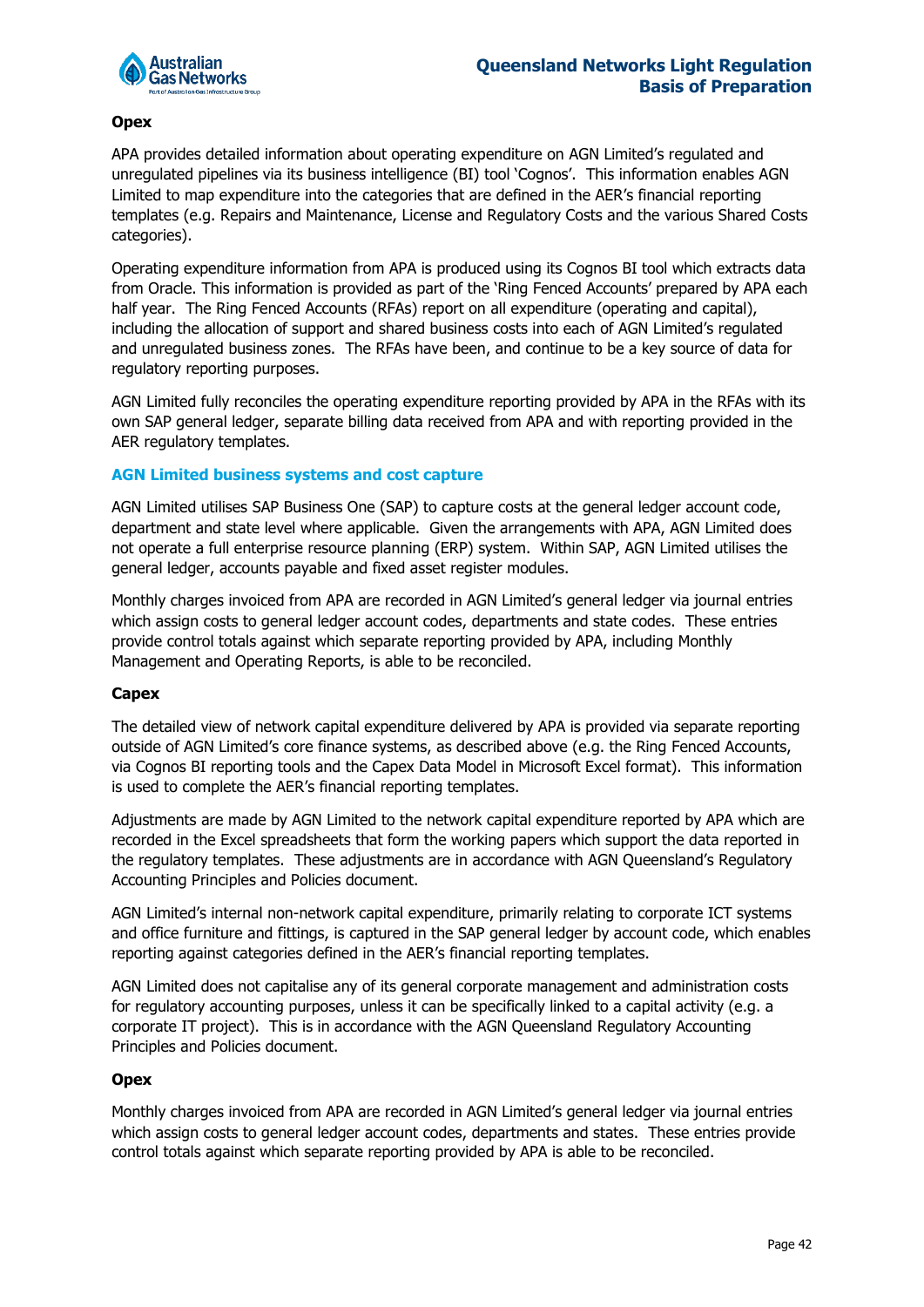

#### **Opex**

APA provides detailed information about operating expenditure on AGN Limited's regulated and unregulated pipelines via its business intelligence (BI) tool 'Cognos'. This information enables AGN Limited to map expenditure into the categories that are defined in the AER's financial reporting templates (e.g. Repairs and Maintenance, License and Regulatory Costs and the various Shared Costs categories).

Operating expenditure information from APA is produced using its Cognos BI tool which extracts data from Oracle. This information is provided as part of the 'Ring Fenced Accounts' prepared by APA each half year. The Ring Fenced Accounts (RFAs) report on all expenditure (operating and capital), including the allocation of support and shared business costs into each of AGN Limited's regulated and unregulated business zones. The RFAs have been, and continue to be a key source of data for regulatory reporting purposes.

AGN Limited fully reconciles the operating expenditure reporting provided by APA in the RFAs with its own SAP general ledger, separate billing data received from APA and with reporting provided in the AER regulatory templates.

#### **AGN Limited business systems and cost capture**

AGN Limited utilises SAP Business One (SAP) to capture costs at the general ledger account code, department and state level where applicable. Given the arrangements with APA, AGN Limited does not operate a full enterprise resource planning (ERP) system. Within SAP, AGN Limited utilises the general ledger, accounts payable and fixed asset register modules.

Monthly charges invoiced from APA are recorded in AGN Limited's general ledger via journal entries which assign costs to general ledger account codes, departments and state codes. These entries provide control totals against which separate reporting provided by APA, including Monthly Management and Operating Reports, is able to be reconciled.

#### **Capex**

The detailed view of network capital expenditure delivered by APA is provided via separate reporting outside of AGN Limited's core finance systems, as described above (e.g. the Ring Fenced Accounts, via Cognos BI reporting tools and the Capex Data Model in Microsoft Excel format). This information is used to complete the AER's financial reporting templates.

Adjustments are made by AGN Limited to the network capital expenditure reported by APA which are recorded in the Excel spreadsheets that form the working papers which support the data reported in the regulatory templates. These adjustments are in accordance with AGN Queensland's Regulatory Accounting Principles and Policies document.

AGN Limited's internal non-network capital expenditure, primarily relating to corporate ICT systems and office furniture and fittings, is captured in the SAP general ledger by account code, which enables reporting against categories defined in the AER's financial reporting templates.

AGN Limited does not capitalise any of its general corporate management and administration costs for regulatory accounting purposes, unless it can be specifically linked to a capital activity (e.g. a corporate IT project). This is in accordance with the AGN Queensland Regulatory Accounting Principles and Policies document.

#### **Opex**

Monthly charges invoiced from APA are recorded in AGN Limited's general ledger via journal entries which assign costs to general ledger account codes, departments and states. These entries provide control totals against which separate reporting provided by APA is able to be reconciled.